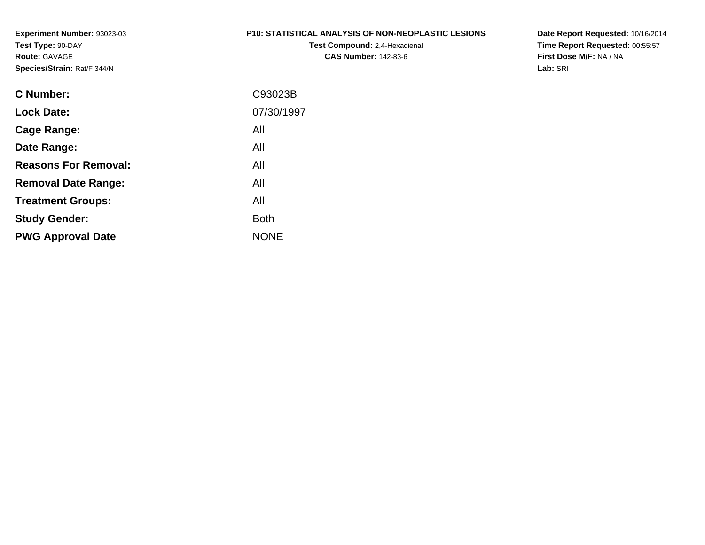### **P10: STATISTICAL ANALYSIS OF NON-NEOPLASTIC LESIONS**

**Test Compound:** 2,4-Hexadienal **CAS Number:** 142-83-6

**Date Report Requested:** 10/16/2014 **Time Report Requested:** 00:55:57**First Dose M/F:** NA / NA**Lab:** SRI

| C93023B     |
|-------------|
| 07/30/1997  |
| All         |
| All         |
| All         |
| All         |
| All         |
| <b>Both</b> |
| <b>NONE</b> |
|             |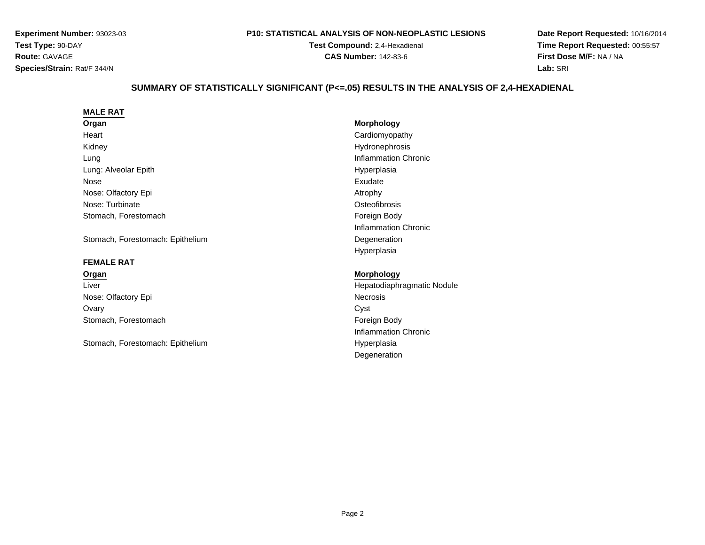#### **P10: STATISTICAL ANALYSIS OF NON-NEOPLASTIC LESIONS**

**Test Compound:** 2,4-Hexadienal **CAS Number:** 142-83-6

**Date Report Requested:** 10/16/2014**Time Report Requested:** 00:55:57**First Dose M/F:** NA / NA**Lab:** SRI

# **SUMMARY OF STATISTICALLY SIGNIFICANT (P<=.05) RESULTS IN THE ANALYSIS OF 2,4-HEXADIENAL**

| <b>MALE RAT</b>                  |                             |
|----------------------------------|-----------------------------|
| Organ                            | <b>Morphology</b>           |
| Heart                            | Cardiomyopathy              |
| Kidney                           | Hydronephrosis              |
| Lung                             | Inflammation Chronic        |
| Lung: Alveolar Epith             | Hyperplasia                 |
| Nose                             | Exudate                     |
| Nose: Olfactory Epi              | Atrophy                     |
| Nose: Turbinate                  | Osteofibrosis               |
| Stomach, Forestomach             | Foreign Body                |
|                                  | Inflammation Chronic        |
| Stomach, Forestomach: Epithelium | Degeneration                |
|                                  | Hyperplasia                 |
| <b>FEMALE RAT</b>                |                             |
| Organ                            | <b>Morphology</b>           |
| Liver                            | Hepatodiaphragmatic Nodule  |
| Nose: Olfactory Epi              | <b>Necrosis</b>             |
| Ovary                            | Cyst                        |
| Stomach, Forestomach             | Foreign Body                |
|                                  | <b>Inflammation Chronic</b> |
| Stomach, Forestomach: Epithelium | Hyperplasia                 |
|                                  |                             |

Degeneration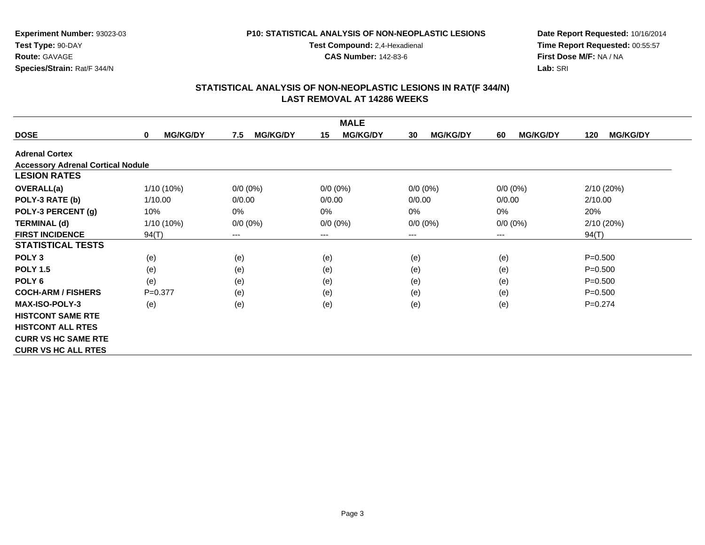### **P10: STATISTICAL ANALYSIS OF NON-NEOPLASTIC LESIONS**

**Test Compound:** 2,4-Hexadienal

**CAS Number:** 142-83-6

**Date Report Requested:** 10/16/2014 **Time Report Requested:** 00:55:57**First Dose M/F:** NA / NA**Lab:** SRI

| <b>MALE</b>                              |                      |                        |                       |                       |                       |                        |  |  |  |
|------------------------------------------|----------------------|------------------------|-----------------------|-----------------------|-----------------------|------------------------|--|--|--|
| <b>DOSE</b>                              | <b>MG/KG/DY</b><br>0 | 7.5<br><b>MG/KG/DY</b> | <b>MG/KG/DY</b><br>15 | <b>MG/KG/DY</b><br>30 | <b>MG/KG/DY</b><br>60 | <b>MG/KG/DY</b><br>120 |  |  |  |
| <b>Adrenal Cortex</b>                    |                      |                        |                       |                       |                       |                        |  |  |  |
| <b>Accessory Adrenal Cortical Nodule</b> |                      |                        |                       |                       |                       |                        |  |  |  |
| <b>LESION RATES</b>                      |                      |                        |                       |                       |                       |                        |  |  |  |
| <b>OVERALL(a)</b>                        | $1/10(10\%)$         | $0/0 (0\%)$            | $0/0 (0\%)$           | $0/0 (0\%)$           | $0/0 (0\%)$           | 2/10(20%)              |  |  |  |
| POLY-3 RATE (b)                          | 1/10.00              | 0/0.00                 | 0/0.00                | 0/0.00                | 0/0.00                | 2/10.00                |  |  |  |
| POLY-3 PERCENT (g)                       | 10%                  | 0%                     | 0%                    | $0\%$                 | 0%                    | 20%                    |  |  |  |
| <b>TERMINAL (d)</b>                      | $1/10(10\%)$         | $0/0 (0\%)$            | $0/0 (0\%)$           | $0/0 (0\%)$           | $0/0 (0\%)$           | 2/10 (20%)             |  |  |  |
| <b>FIRST INCIDENCE</b>                   | 94(T)                | $\qquad \qquad \cdots$ | $---$                 | ---                   | ---                   | 94(T)                  |  |  |  |
| <b>STATISTICAL TESTS</b>                 |                      |                        |                       |                       |                       |                        |  |  |  |
| POLY <sub>3</sub>                        | (e)                  | (e)                    | (e)                   | (e)                   | (e)                   | $P = 0.500$            |  |  |  |
| <b>POLY 1.5</b>                          | (e)                  | (e)                    | (e)                   | (e)                   | (e)                   | $P = 0.500$            |  |  |  |
| POLY <sub>6</sub>                        | (e)                  | (e)                    | (e)                   | (e)                   | (e)                   | $P = 0.500$            |  |  |  |
| <b>COCH-ARM / FISHERS</b>                | $P=0.377$            | (e)                    | (e)                   | (e)                   | (e)                   | $P = 0.500$            |  |  |  |
| <b>MAX-ISO-POLY-3</b>                    | (e)                  | (e)                    | (e)                   | (e)                   | (e)                   | $P=0.274$              |  |  |  |
| <b>HISTCONT SAME RTE</b>                 |                      |                        |                       |                       |                       |                        |  |  |  |
| <b>HISTCONT ALL RTES</b>                 |                      |                        |                       |                       |                       |                        |  |  |  |
| <b>CURR VS HC SAME RTE</b>               |                      |                        |                       |                       |                       |                        |  |  |  |
| <b>CURR VS HC ALL RTES</b>               |                      |                        |                       |                       |                       |                        |  |  |  |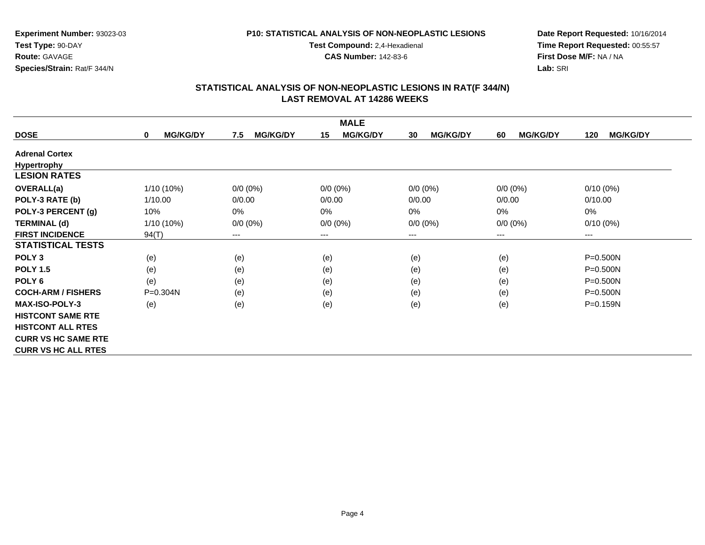### **P10: STATISTICAL ANALYSIS OF NON-NEOPLASTIC LESIONS**

**Test Compound:** 2,4-Hexadienal **CAS Number:** 142-83-6

**Date Report Requested:** 10/16/2014**Time Report Requested:** 00:55:57**First Dose M/F:** NA / NA**Lab:** SRI

|                            |                                 |                        | <b>MALE</b>           |                       |                       |                        |
|----------------------------|---------------------------------|------------------------|-----------------------|-----------------------|-----------------------|------------------------|
| <b>DOSE</b>                | <b>MG/KG/DY</b><br>$\mathbf{0}$ | <b>MG/KG/DY</b><br>7.5 | <b>MG/KG/DY</b><br>15 | <b>MG/KG/DY</b><br>30 | 60<br><b>MG/KG/DY</b> | <b>MG/KG/DY</b><br>120 |
| <b>Adrenal Cortex</b>      |                                 |                        |                       |                       |                       |                        |
| Hypertrophy                |                                 |                        |                       |                       |                       |                        |
| <b>LESION RATES</b>        |                                 |                        |                       |                       |                       |                        |
| <b>OVERALL(a)</b>          | 1/10 (10%)                      | $0/0 (0\%)$            | $0/0 (0\%)$           | $0/0 (0\%)$           | $0/0 (0\%)$           | $0/10(0\%)$            |
| POLY-3 RATE (b)            | 1/10.00                         | 0/0.00                 | 0/0.00                | 0/0.00                | 0/0.00                | 0/10.00                |
| POLY-3 PERCENT (g)         | 10%                             | 0%                     | 0%                    | 0%                    | 0%                    | 0%                     |
| <b>TERMINAL (d)</b>        | 1/10 (10%)                      | $0/0 (0\%)$            | $0/0$ $(0%)$          | $0/0 (0\%)$           | $0/0 (0\%)$           | $0/10(0\%)$            |
| <b>FIRST INCIDENCE</b>     | 94(T)                           | ---                    | ---                   | ---                   | $\cdots$              | $--$                   |
| <b>STATISTICAL TESTS</b>   |                                 |                        |                       |                       |                       |                        |
| POLY <sub>3</sub>          | (e)                             | (e)                    | (e)                   | (e)                   | (e)                   | $P = 0.500N$           |
| <b>POLY 1.5</b>            | (e)                             | (e)                    | (e)                   | (e)                   | (e)                   | $P = 0.500N$           |
| POLY 6                     | (e)                             | (e)                    | (e)                   | (e)                   | (e)                   | $P = 0.500N$           |
| <b>COCH-ARM / FISHERS</b>  | $P=0.304N$                      | (e)                    | (e)                   | (e)                   | (e)                   | $P = 0.500N$           |
| <b>MAX-ISO-POLY-3</b>      | (e)                             | (e)                    | (e)                   | (e)                   | (e)                   | P=0.159N               |
| <b>HISTCONT SAME RTE</b>   |                                 |                        |                       |                       |                       |                        |
| <b>HISTCONT ALL RTES</b>   |                                 |                        |                       |                       |                       |                        |
| <b>CURR VS HC SAME RTE</b> |                                 |                        |                       |                       |                       |                        |
| <b>CURR VS HC ALL RTES</b> |                                 |                        |                       |                       |                       |                        |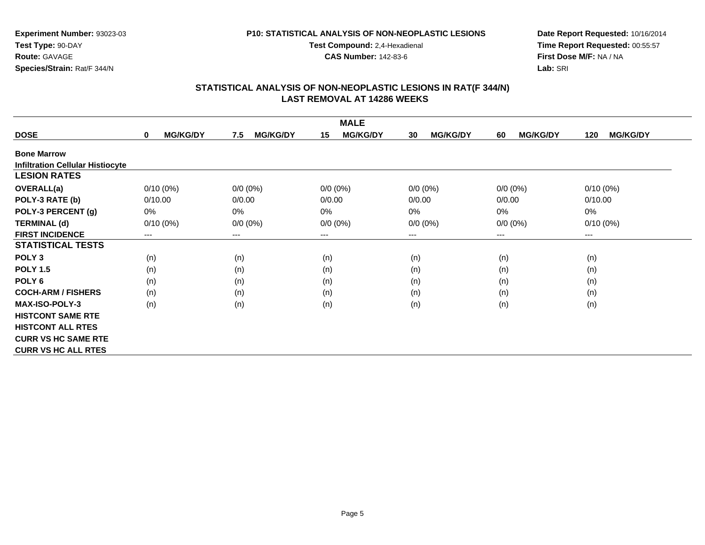### **P10: STATISTICAL ANALYSIS OF NON-NEOPLASTIC LESIONS**

**Test Compound:** 2,4-Hexadienal

**CAS Number:** 142-83-6

**Date Report Requested:** 10/16/2014 **Time Report Requested:** 00:55:57**First Dose M/F:** NA / NA**Lab:** SRI

|                                         |                                |                        | <b>MALE</b>           |                       |                       |                        |
|-----------------------------------------|--------------------------------|------------------------|-----------------------|-----------------------|-----------------------|------------------------|
| <b>DOSE</b>                             | <b>MG/KG/DY</b><br>$\mathbf 0$ | <b>MG/KG/DY</b><br>7.5 | <b>MG/KG/DY</b><br>15 | <b>MG/KG/DY</b><br>30 | <b>MG/KG/DY</b><br>60 | <b>MG/KG/DY</b><br>120 |
| <b>Bone Marrow</b>                      |                                |                        |                       |                       |                       |                        |
| <b>Infiltration Cellular Histiocyte</b> |                                |                        |                       |                       |                       |                        |
| <b>LESION RATES</b>                     |                                |                        |                       |                       |                       |                        |
| <b>OVERALL(a)</b>                       | $0/10(0\%)$                    | $0/0 (0\%)$            | $0/0 (0\%)$           | $0/0 (0\%)$           | $0/0 (0\%)$           | $0/10(0\%)$            |
| POLY-3 RATE (b)                         | 0/10.00                        | 0/0.00                 | 0/0.00                | 0/0.00                | 0/0.00                | 0/10.00                |
| POLY-3 PERCENT (g)                      | $0\%$                          | 0%                     | 0%                    | $0\%$                 | 0%                    | $0\%$                  |
| <b>TERMINAL (d)</b>                     | $0/10(0\%)$                    | $0/0 (0\%)$            | $0/0 (0\%)$           | $0/0 (0\%)$           | $0/0 (0\%)$           | $0/10(0\%)$            |
| <b>FIRST INCIDENCE</b>                  | ---                            | ---                    | $--$                  | ---                   | ---                   | $--$                   |
| <b>STATISTICAL TESTS</b>                |                                |                        |                       |                       |                       |                        |
| POLY <sub>3</sub>                       | (n)                            | (n)                    | (n)                   | (n)                   | (n)                   | (n)                    |
| <b>POLY 1.5</b>                         | (n)                            | (n)                    | (n)                   | (n)                   | (n)                   | (n)                    |
| POLY 6                                  | (n)                            | (n)                    | (n)                   | (n)                   | (n)                   | (n)                    |
| <b>COCH-ARM / FISHERS</b>               | (n)                            | (n)                    | (n)                   | (n)                   | (n)                   | (n)                    |
| <b>MAX-ISO-POLY-3</b>                   | (n)                            | (n)                    | (n)                   | (n)                   | (n)                   | (n)                    |
| <b>HISTCONT SAME RTE</b>                |                                |                        |                       |                       |                       |                        |
| <b>HISTCONT ALL RTES</b>                |                                |                        |                       |                       |                       |                        |
| <b>CURR VS HC SAME RTE</b>              |                                |                        |                       |                       |                       |                        |
| <b>CURR VS HC ALL RTES</b>              |                                |                        |                       |                       |                       |                        |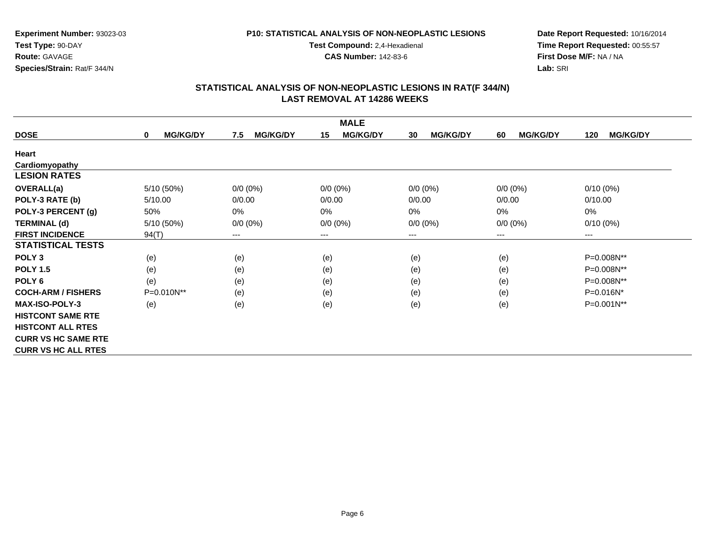### **P10: STATISTICAL ANALYSIS OF NON-NEOPLASTIC LESIONS**

**Test Compound:** 2,4-Hexadienal **CAS Number:** 142-83-6

**Date Report Requested:** 10/16/2014 **Time Report Requested:** 00:55:57**First Dose M/F:** NA / NA**Lab:** SRI

|                            |                                |                        | <b>MALE</b>           |                       |                       |                        |
|----------------------------|--------------------------------|------------------------|-----------------------|-----------------------|-----------------------|------------------------|
| <b>DOSE</b>                | <b>MG/KG/DY</b><br>$\mathbf 0$ | <b>MG/KG/DY</b><br>7.5 | <b>MG/KG/DY</b><br>15 | <b>MG/KG/DY</b><br>30 | <b>MG/KG/DY</b><br>60 | <b>MG/KG/DY</b><br>120 |
| Heart                      |                                |                        |                       |                       |                       |                        |
| Cardiomyopathy             |                                |                        |                       |                       |                       |                        |
| <b>LESION RATES</b>        |                                |                        |                       |                       |                       |                        |
| <b>OVERALL(a)</b>          | 5/10 (50%)                     | $0/0 (0\%)$            | $0/0 (0\%)$           | $0/0 (0\%)$           | $0/0 (0\%)$           | $0/10(0\%)$            |
| POLY-3 RATE (b)            | 5/10.00                        | 0/0.00                 | 0/0.00                | 0/0.00                | 0/0.00                | 0/10.00                |
| POLY-3 PERCENT (g)         | 50%                            | 0%                     | 0%                    | 0%                    | 0%                    | $0\%$                  |
| <b>TERMINAL (d)</b>        | 5/10 (50%)                     | $0/0 (0\%)$            | $0/0 (0\%)$           | $0/0 (0\%)$           | $0/0 (0\%)$           | $0/10(0\%)$            |
| <b>FIRST INCIDENCE</b>     | 94(T)                          | ---                    | $--$                  | ---                   | ---                   | ---                    |
| <b>STATISTICAL TESTS</b>   |                                |                        |                       |                       |                       |                        |
| POLY <sub>3</sub>          | (e)                            | (e)                    | (e)                   | (e)                   | (e)                   | P=0.008N**             |
| <b>POLY 1.5</b>            | (e)                            | (e)                    | (e)                   | (e)                   | (e)                   | P=0.008N**             |
| POLY <sub>6</sub>          | (e)                            | (e)                    | (e)                   | (e)                   | (e)                   | P=0.008N**             |
| <b>COCH-ARM / FISHERS</b>  | P=0.010N**                     | (e)                    | (e)                   | (e)                   | (e)                   | P=0.016N*              |
| <b>MAX-ISO-POLY-3</b>      | (e)                            | (e)                    | (e)                   | (e)                   | (e)                   | P=0.001N**             |
| <b>HISTCONT SAME RTE</b>   |                                |                        |                       |                       |                       |                        |
| <b>HISTCONT ALL RTES</b>   |                                |                        |                       |                       |                       |                        |
| <b>CURR VS HC SAME RTE</b> |                                |                        |                       |                       |                       |                        |
| <b>CURR VS HC ALL RTES</b> |                                |                        |                       |                       |                       |                        |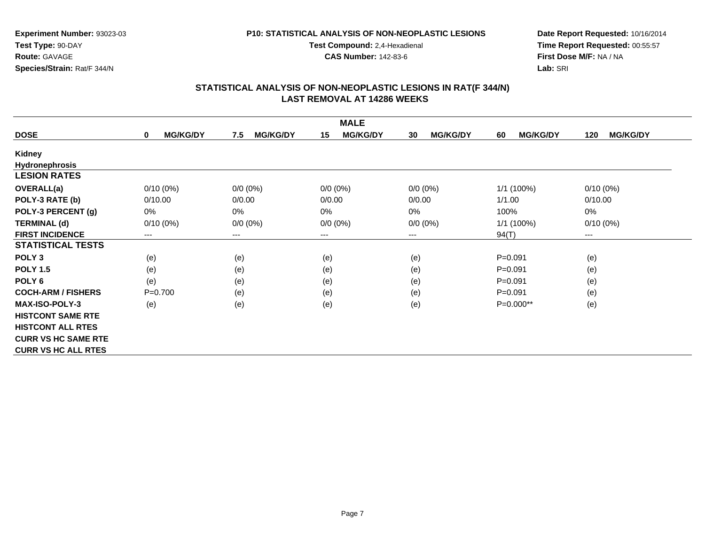### **P10: STATISTICAL ANALYSIS OF NON-NEOPLASTIC LESIONS**

**Test Compound:** 2,4-Hexadienal **CAS Number:** 142-83-6

**Date Report Requested:** 10/16/2014 **Time Report Requested:** 00:55:57**First Dose M/F:** NA / NA**Lab:** SRI

|                            |                      |                        | <b>MALE</b>           |                       |                       |                        |
|----------------------------|----------------------|------------------------|-----------------------|-----------------------|-----------------------|------------------------|
| <b>DOSE</b>                | <b>MG/KG/DY</b><br>0 | <b>MG/KG/DY</b><br>7.5 | <b>MG/KG/DY</b><br>15 | <b>MG/KG/DY</b><br>30 | <b>MG/KG/DY</b><br>60 | <b>MG/KG/DY</b><br>120 |
| Kidney                     |                      |                        |                       |                       |                       |                        |
| <b>Hydronephrosis</b>      |                      |                        |                       |                       |                       |                        |
| <b>LESION RATES</b>        |                      |                        |                       |                       |                       |                        |
| <b>OVERALL(a)</b>          | $0/10(0\%)$          | $0/0 (0\%)$            | $0/0 (0\%)$           | $0/0 (0\%)$           | 1/1 (100%)            | $0/10(0\%)$            |
| POLY-3 RATE (b)            | 0/10.00              | 0/0.00                 | 0/0.00                | 0/0.00                | 1/1.00                | 0/10.00                |
| POLY-3 PERCENT (g)         | 0%                   | 0%                     | 0%                    | 0%                    | 100%                  | 0%                     |
| <b>TERMINAL (d)</b>        | $0/10(0\%)$          | $0/0 (0\%)$            | $0/0 (0\%)$           | $0/0 (0\%)$           | 1/1 (100%)            | $0/10(0\%)$            |
| <b>FIRST INCIDENCE</b>     | ---                  | $---$                  | $--$                  | $--$                  | 94(T)                 | ---                    |
| <b>STATISTICAL TESTS</b>   |                      |                        |                       |                       |                       |                        |
| POLY <sub>3</sub>          | (e)                  | (e)                    | (e)                   | (e)                   | $P = 0.091$           | (e)                    |
| <b>POLY 1.5</b>            | (e)                  | (e)                    | (e)                   | (e)                   | $P = 0.091$           | (e)                    |
| POLY <sub>6</sub>          | (e)                  | (e)                    | (e)                   | (e)                   | $P = 0.091$           | (e)                    |
| <b>COCH-ARM / FISHERS</b>  | $P = 0.700$          | (e)                    | (e)                   | (e)                   | $P = 0.091$           | (e)                    |
| <b>MAX-ISO-POLY-3</b>      | (e)                  | (e)                    | (e)                   | (e)                   | P=0.000**             | (e)                    |
| <b>HISTCONT SAME RTE</b>   |                      |                        |                       |                       |                       |                        |
| <b>HISTCONT ALL RTES</b>   |                      |                        |                       |                       |                       |                        |
| <b>CURR VS HC SAME RTE</b> |                      |                        |                       |                       |                       |                        |
| <b>CURR VS HC ALL RTES</b> |                      |                        |                       |                       |                       |                        |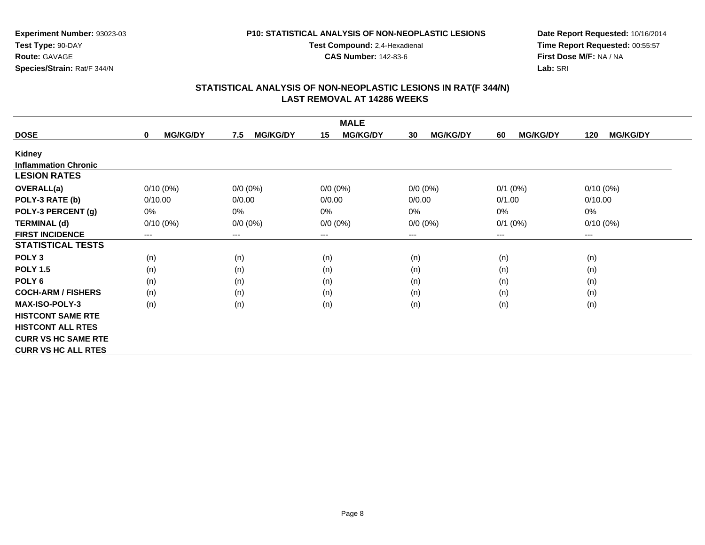#### **P10: STATISTICAL ANALYSIS OF NON-NEOPLASTIC LESIONS**

**Test Compound:** 2,4-Hexadienal

**CAS Number:** 142-83-6

**Date Report Requested:** 10/16/2014 **Time Report Requested:** 00:55:57**First Dose M/F:** NA / NA**Lab:** SRI

|                             |                                |                        | <b>MALE</b>            |                       |                       |                        |
|-----------------------------|--------------------------------|------------------------|------------------------|-----------------------|-----------------------|------------------------|
| <b>DOSE</b>                 | <b>MG/KG/DY</b><br>$\mathbf 0$ | 7.5<br><b>MG/KG/DY</b> | <b>MG/KG/DY</b><br>15  | <b>MG/KG/DY</b><br>30 | <b>MG/KG/DY</b><br>60 | <b>MG/KG/DY</b><br>120 |
| Kidney                      |                                |                        |                        |                       |                       |                        |
| <b>Inflammation Chronic</b> |                                |                        |                        |                       |                       |                        |
| <b>LESION RATES</b>         |                                |                        |                        |                       |                       |                        |
| <b>OVERALL(a)</b>           | $0/10(0\%)$                    | $0/0 (0\%)$            | $0/0 (0\%)$            | $0/0 (0\%)$           | $0/1$ $(0%)$          | $0/10(0\%)$            |
| POLY-3 RATE (b)             | 0/10.00                        | 0/0.00                 | 0/0.00                 | 0/0.00                | 0/1.00                | 0/10.00                |
| POLY-3 PERCENT (g)          | $0\%$                          | 0%                     | 0%                     | $0\%$                 | 0%                    | $0\%$                  |
| <b>TERMINAL (d)</b>         | $0/10(0\%)$                    | $0/0 (0\%)$            | $0/0 (0\%)$            | $0/0 (0\%)$           | $0/1$ $(0%)$          | $0/10(0\%)$            |
| <b>FIRST INCIDENCE</b>      | $\qquad \qquad \cdots$         | ---                    | $\qquad \qquad \cdots$ | $--$                  | ---                   | $\qquad \qquad \cdots$ |
| <b>STATISTICAL TESTS</b>    |                                |                        |                        |                       |                       |                        |
| POLY <sub>3</sub>           | (n)                            | (n)                    | (n)                    | (n)                   | (n)                   | (n)                    |
| <b>POLY 1.5</b>             | (n)                            | (n)                    | (n)                    | (n)                   | (n)                   | (n)                    |
| POLY <sub>6</sub>           | (n)                            | (n)                    | (n)                    | (n)                   | (n)                   | (n)                    |
| <b>COCH-ARM / FISHERS</b>   | (n)                            | (n)                    | (n)                    | (n)                   | (n)                   | (n)                    |
| <b>MAX-ISO-POLY-3</b>       | (n)                            | (n)                    | (n)                    | (n)                   | (n)                   | (n)                    |
| <b>HISTCONT SAME RTE</b>    |                                |                        |                        |                       |                       |                        |
| <b>HISTCONT ALL RTES</b>    |                                |                        |                        |                       |                       |                        |
| <b>CURR VS HC SAME RTE</b>  |                                |                        |                        |                       |                       |                        |
| <b>CURR VS HC ALL RTES</b>  |                                |                        |                        |                       |                       |                        |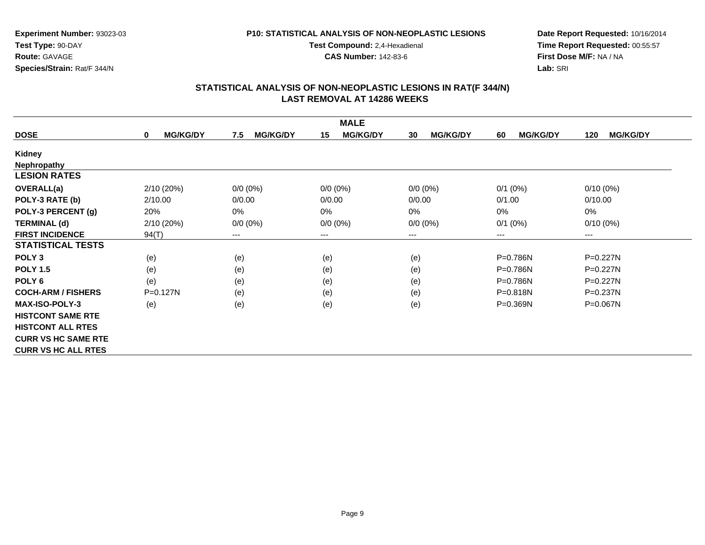### **P10: STATISTICAL ANALYSIS OF NON-NEOPLASTIC LESIONS**

**Test Compound:** 2,4-Hexadienal **CAS Number:** 142-83-6

**Date Report Requested:** 10/16/2014**Time Report Requested:** 00:55:57**First Dose M/F:** NA / NA**Lab:** SRI

|                            |                      |                        | <b>MALE</b>           |                       |                       |                        |
|----------------------------|----------------------|------------------------|-----------------------|-----------------------|-----------------------|------------------------|
| <b>DOSE</b>                | <b>MG/KG/DY</b><br>0 | <b>MG/KG/DY</b><br>7.5 | <b>MG/KG/DY</b><br>15 | <b>MG/KG/DY</b><br>30 | <b>MG/KG/DY</b><br>60 | <b>MG/KG/DY</b><br>120 |
| Kidney                     |                      |                        |                       |                       |                       |                        |
| Nephropathy                |                      |                        |                       |                       |                       |                        |
| <b>LESION RATES</b>        |                      |                        |                       |                       |                       |                        |
| <b>OVERALL(a)</b>          | 2/10 (20%)           | $0/0 (0\%)$            | $0/0 (0\%)$           | $0/0 (0\%)$           | $0/1$ (0%)            | $0/10(0\%)$            |
| POLY-3 RATE (b)            | 2/10.00              | 0/0.00                 | 0/0.00                | 0/0.00                | 0/1.00                | 0/10.00                |
| POLY-3 PERCENT (g)         | 20%                  | 0%                     | 0%                    | $0\%$                 | 0%                    | 0%                     |
| <b>TERMINAL (d)</b>        | 2/10 (20%)           | $0/0 (0\%)$            | $0/0 (0\%)$           | $0/0 (0\%)$           | $0/1$ (0%)            | $0/10(0\%)$            |
| <b>FIRST INCIDENCE</b>     | 94(T)                | ---                    | ---                   | ---                   | $---$                 | $---$                  |
| <b>STATISTICAL TESTS</b>   |                      |                        |                       |                       |                       |                        |
| POLY <sub>3</sub>          | (e)                  | (e)                    | (e)                   | (e)                   | $P=0.786N$            | P=0.227N               |
| <b>POLY 1.5</b>            | (e)                  | (e)                    | (e)                   | (e)                   | P=0.786N              | $P=0.227N$             |
| POLY <sub>6</sub>          | (e)                  | (e)                    | (e)                   | (e)                   | $P=0.786N$            | $P=0.227N$             |
| <b>COCH-ARM / FISHERS</b>  | $P=0.127N$           | (e)                    | (e)                   | (e)                   | $P = 0.818N$          | $P = 0.237N$           |
| <b>MAX-ISO-POLY-3</b>      | (e)                  | (e)                    | (e)                   | (e)                   | P=0.369N              | P=0.067N               |
| <b>HISTCONT SAME RTE</b>   |                      |                        |                       |                       |                       |                        |
| <b>HISTCONT ALL RTES</b>   |                      |                        |                       |                       |                       |                        |
| <b>CURR VS HC SAME RTE</b> |                      |                        |                       |                       |                       |                        |
| <b>CURR VS HC ALL RTES</b> |                      |                        |                       |                       |                       |                        |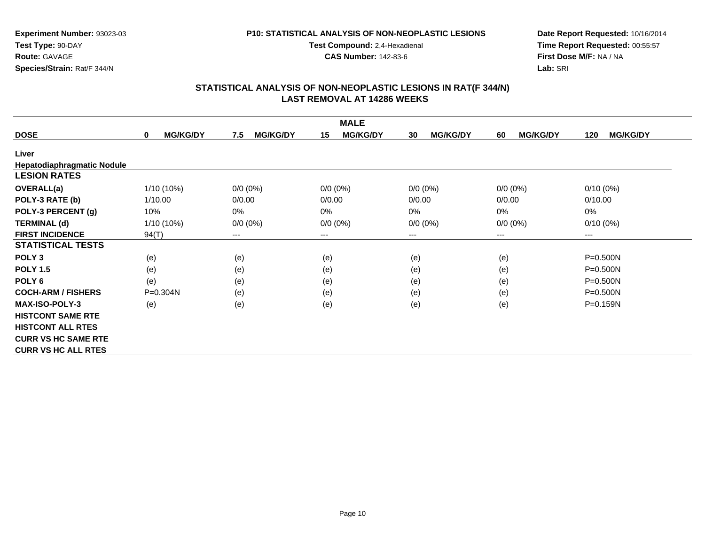### **P10: STATISTICAL ANALYSIS OF NON-NEOPLASTIC LESIONS**

**Test Compound:** 2,4-Hexadienal

**CAS Number:** 142-83-6

**Date Report Requested:** 10/16/2014**Time Report Requested:** 00:55:57**First Dose M/F:** NA / NA**Lab:** SRI

| <b>MALE</b>                |                                |                        |                        |                       |                       |                        |  |  |
|----------------------------|--------------------------------|------------------------|------------------------|-----------------------|-----------------------|------------------------|--|--|
| <b>DOSE</b>                | <b>MG/KG/DY</b><br>$\mathbf 0$ | <b>MG/KG/DY</b><br>7.5 | <b>MG/KG/DY</b><br>15  | <b>MG/KG/DY</b><br>30 | <b>MG/KG/DY</b><br>60 | <b>MG/KG/DY</b><br>120 |  |  |
| Liver                      |                                |                        |                        |                       |                       |                        |  |  |
| Hepatodiaphragmatic Nodule |                                |                        |                        |                       |                       |                        |  |  |
| <b>LESION RATES</b>        |                                |                        |                        |                       |                       |                        |  |  |
| OVERALL(a)                 | 1/10 (10%)                     | $0/0 (0\%)$            | $0/0 (0\%)$            | $0/0 (0\%)$           | $0/0 (0\%)$           | $0/10(0\%)$            |  |  |
| POLY-3 RATE (b)            | 1/10.00                        | 0/0.00                 | 0/0.00                 | 0/0.00                | 0/0.00                | 0/10.00                |  |  |
| POLY-3 PERCENT (g)         | 10%                            | 0%                     | 0%                     | $0\%$                 | $0\%$                 | 0%                     |  |  |
| <b>TERMINAL (d)</b>        | 1/10 (10%)                     | $0/0 (0\%)$            | $0/0 (0\%)$            | $0/0 (0\%)$           | $0/0 (0\%)$           | $0/10(0\%)$            |  |  |
| <b>FIRST INCIDENCE</b>     | 94(T)                          | $---$                  | $\qquad \qquad \cdots$ | $---$                 | ---                   | ---                    |  |  |
| <b>STATISTICAL TESTS</b>   |                                |                        |                        |                       |                       |                        |  |  |
| POLY <sub>3</sub>          | (e)                            | (e)                    | (e)                    | (e)                   | (e)                   | $P = 0.500N$           |  |  |
| <b>POLY 1.5</b>            | (e)                            | (e)                    | (e)                    | (e)                   | (e)                   | $P = 0.500N$           |  |  |
| POLY <sub>6</sub>          | (e)                            | (e)                    | (e)                    | (e)                   | (e)                   | $P = 0.500N$           |  |  |
| <b>COCH-ARM / FISHERS</b>  | $P = 0.304N$                   | (e)                    | (e)                    | (e)                   | (e)                   | $P = 0.500N$           |  |  |
| <b>MAX-ISO-POLY-3</b>      | (e)                            | (e)                    | (e)                    | (e)                   | (e)                   | $P = 0.159N$           |  |  |
| <b>HISTCONT SAME RTE</b>   |                                |                        |                        |                       |                       |                        |  |  |
| <b>HISTCONT ALL RTES</b>   |                                |                        |                        |                       |                       |                        |  |  |
| <b>CURR VS HC SAME RTE</b> |                                |                        |                        |                       |                       |                        |  |  |
| <b>CURR VS HC ALL RTES</b> |                                |                        |                        |                       |                       |                        |  |  |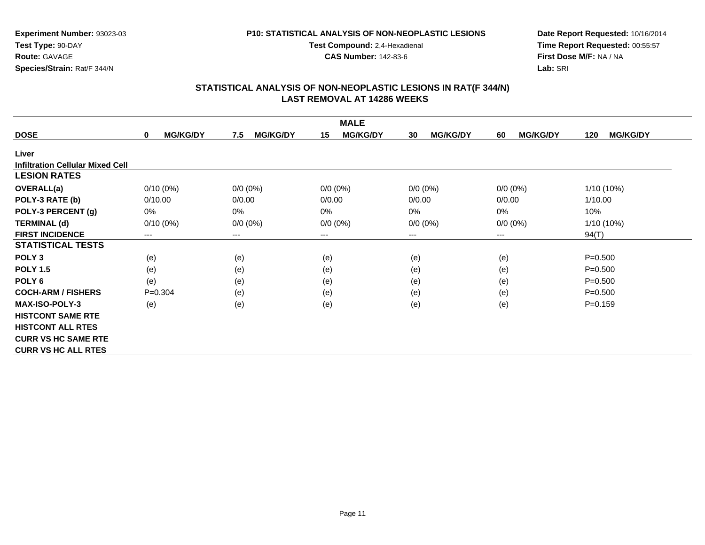### **P10: STATISTICAL ANALYSIS OF NON-NEOPLASTIC LESIONS**

**Test Compound:** 2,4-Hexadienal

**CAS Number:** 142-83-6

**Date Report Requested:** 10/16/2014 **Time Report Requested:** 00:55:57**First Dose M/F:** NA / NA**Lab:** SRI

| <b>MALE</b>                             |                      |                        |                       |                       |                       |                        |  |  |
|-----------------------------------------|----------------------|------------------------|-----------------------|-----------------------|-----------------------|------------------------|--|--|
| <b>DOSE</b>                             | <b>MG/KG/DY</b><br>0 | <b>MG/KG/DY</b><br>7.5 | <b>MG/KG/DY</b><br>15 | <b>MG/KG/DY</b><br>30 | <b>MG/KG/DY</b><br>60 | <b>MG/KG/DY</b><br>120 |  |  |
| Liver                                   |                      |                        |                       |                       |                       |                        |  |  |
| <b>Infiltration Cellular Mixed Cell</b> |                      |                        |                       |                       |                       |                        |  |  |
| <b>LESION RATES</b>                     |                      |                        |                       |                       |                       |                        |  |  |
| <b>OVERALL(a)</b>                       | $0/10(0\%)$          | $0/0 (0\%)$            | $0/0 (0\%)$           | $0/0 (0\%)$           | $0/0 (0\%)$           | 1/10 (10%)             |  |  |
| POLY-3 RATE (b)                         | 0/10.00              | 0/0.00                 | 0/0.00                | 0/0.00                | 0/0.00                | 1/10.00                |  |  |
| POLY-3 PERCENT (g)                      | 0%                   | 0%                     | $0\%$                 | 0%                    | 0%                    | 10%                    |  |  |
| <b>TERMINAL (d)</b>                     | $0/10(0\%)$          | $0/0 (0\%)$            | $0/0 (0\%)$           | $0/0 (0\%)$           | $0/0 (0\%)$           | 1/10 (10%)             |  |  |
| <b>FIRST INCIDENCE</b>                  | $---$                | $\qquad \qquad \cdots$ | $---$                 | ---                   | ---                   | 94(T)                  |  |  |
| <b>STATISTICAL TESTS</b>                |                      |                        |                       |                       |                       |                        |  |  |
| POLY <sub>3</sub>                       | (e)                  | (e)                    | (e)                   | (e)                   | (e)                   | $P = 0.500$            |  |  |
| <b>POLY 1.5</b>                         | (e)                  | (e)                    | (e)                   | (e)                   | (e)                   | $P = 0.500$            |  |  |
| POLY <sub>6</sub>                       | (e)                  | (e)                    | (e)                   | (e)                   | (e)                   | $P = 0.500$            |  |  |
| <b>COCH-ARM / FISHERS</b>               | $P = 0.304$          | (e)                    | (e)                   | (e)                   | (e)                   | $P = 0.500$            |  |  |
| <b>MAX-ISO-POLY-3</b>                   | (e)                  | (e)                    | (e)                   | (e)                   | (e)                   | $P = 0.159$            |  |  |
| <b>HISTCONT SAME RTE</b>                |                      |                        |                       |                       |                       |                        |  |  |
| <b>HISTCONT ALL RTES</b>                |                      |                        |                       |                       |                       |                        |  |  |
| <b>CURR VS HC SAME RTE</b>              |                      |                        |                       |                       |                       |                        |  |  |
| <b>CURR VS HC ALL RTES</b>              |                      |                        |                       |                       |                       |                        |  |  |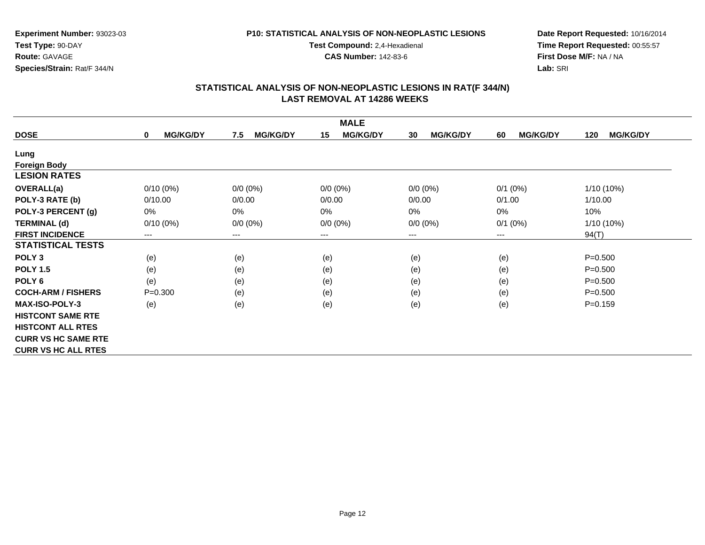### **P10: STATISTICAL ANALYSIS OF NON-NEOPLASTIC LESIONS**

**Test Compound:** 2,4-Hexadienal

**CAS Number:** 142-83-6

**Date Report Requested:** 10/16/2014**Time Report Requested:** 00:55:57**First Dose M/F:** NA / NA**Lab:** SRI

| <b>MALE</b>                |                      |                        |                       |                       |                       |                        |  |  |
|----------------------------|----------------------|------------------------|-----------------------|-----------------------|-----------------------|------------------------|--|--|
| <b>DOSE</b>                | <b>MG/KG/DY</b><br>0 | <b>MG/KG/DY</b><br>7.5 | <b>MG/KG/DY</b><br>15 | <b>MG/KG/DY</b><br>30 | 60<br><b>MG/KG/DY</b> | <b>MG/KG/DY</b><br>120 |  |  |
| Lung                       |                      |                        |                       |                       |                       |                        |  |  |
| <b>Foreign Body</b>        |                      |                        |                       |                       |                       |                        |  |  |
| <b>LESION RATES</b>        |                      |                        |                       |                       |                       |                        |  |  |
| <b>OVERALL(a)</b>          | $0/10(0\%)$          | $0/0 (0\%)$            | $0/0 (0\%)$           | $0/0 (0\%)$           | $0/1$ (0%)            | 1/10 (10%)             |  |  |
| POLY-3 RATE (b)            | 0/10.00              | 0/0.00                 | 0/0.00                | 0/0.00                | 0/1.00                | 1/10.00                |  |  |
| POLY-3 PERCENT (g)         | 0%                   | 0%                     | 0%                    | $0\%$                 | 0%                    | 10%                    |  |  |
| <b>TERMINAL (d)</b>        | $0/10(0\%)$          | $0/0 (0\%)$            | $0/0 (0\%)$           | $0/0 (0\%)$           | $0/1$ (0%)            | 1/10 (10%)             |  |  |
| <b>FIRST INCIDENCE</b>     | ---                  | ---                    | ---                   | ---                   | $---$                 | 94(T)                  |  |  |
| <b>STATISTICAL TESTS</b>   |                      |                        |                       |                       |                       |                        |  |  |
| POLY <sub>3</sub>          | (e)                  | (e)                    | (e)                   | (e)                   | (e)                   | $P = 0.500$            |  |  |
| <b>POLY 1.5</b>            | (e)                  | (e)                    | (e)                   | (e)                   | (e)                   | $P = 0.500$            |  |  |
| POLY <sub>6</sub>          | (e)                  | (e)                    | (e)                   | (e)                   | (e)                   | $P = 0.500$            |  |  |
| <b>COCH-ARM / FISHERS</b>  | $P = 0.300$          | (e)                    | (e)                   | (e)                   | (e)                   | $P = 0.500$            |  |  |
| <b>MAX-ISO-POLY-3</b>      | (e)                  | (e)                    | (e)                   | (e)                   | (e)                   | $P = 0.159$            |  |  |
| <b>HISTCONT SAME RTE</b>   |                      |                        |                       |                       |                       |                        |  |  |
| <b>HISTCONT ALL RTES</b>   |                      |                        |                       |                       |                       |                        |  |  |
| <b>CURR VS HC SAME RTE</b> |                      |                        |                       |                       |                       |                        |  |  |
| <b>CURR VS HC ALL RTES</b> |                      |                        |                       |                       |                       |                        |  |  |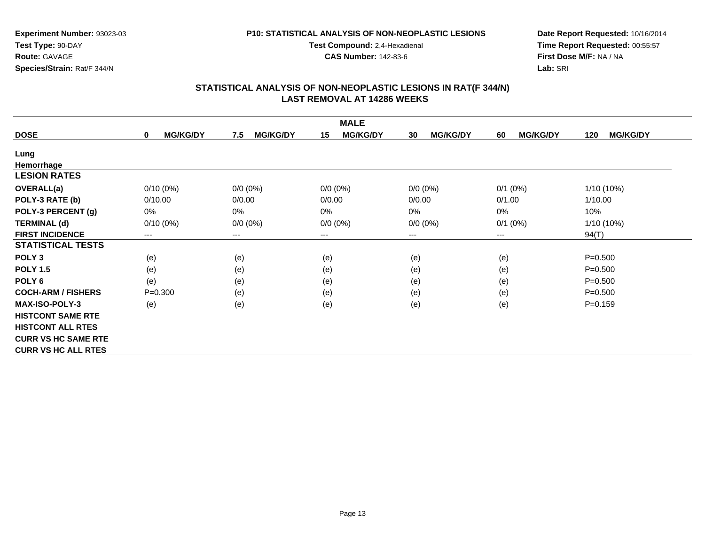### **P10: STATISTICAL ANALYSIS OF NON-NEOPLASTIC LESIONS**

**Test Compound:** 2,4-Hexadienal

**CAS Number:** 142-83-6

**Date Report Requested:** 10/16/2014**Time Report Requested:** 00:55:57**First Dose M/F:** NA / NA**Lab:** SRI

| <b>MALE</b>                |                                |                        |                        |                        |                       |                        |  |
|----------------------------|--------------------------------|------------------------|------------------------|------------------------|-----------------------|------------------------|--|
| <b>DOSE</b>                | <b>MG/KG/DY</b><br>$\mathbf 0$ | <b>MG/KG/DY</b><br>7.5 | <b>MG/KG/DY</b><br>15  | <b>MG/KG/DY</b><br>30  | <b>MG/KG/DY</b><br>60 | <b>MG/KG/DY</b><br>120 |  |
| Lung                       |                                |                        |                        |                        |                       |                        |  |
| Hemorrhage                 |                                |                        |                        |                        |                       |                        |  |
| <b>LESION RATES</b>        |                                |                        |                        |                        |                       |                        |  |
| <b>OVERALL(a)</b>          | $0/10(0\%)$                    | $0/0 (0\%)$            | $0/0(0\%)$             | $0/0 (0\%)$            | $0/1$ (0%)            | $1/10(10\%)$           |  |
| POLY-3 RATE (b)            | 0/10.00                        | 0/0.00                 | 0/0.00                 | 0/0.00                 | 0/1.00                | 1/10.00                |  |
| POLY-3 PERCENT (g)         | $0\%$                          | 0%                     | 0%                     | 0%                     | 0%                    | 10%                    |  |
| <b>TERMINAL (d)</b>        | $0/10(0\%)$                    | $0/0 (0\%)$            | $0/0 (0\%)$            | $0/0 (0\%)$            | $0/1$ (0%)            | 1/10 (10%)             |  |
| <b>FIRST INCIDENCE</b>     | ---                            | $---$                  | $\qquad \qquad \cdots$ | $\qquad \qquad \cdots$ | $---$                 | 94(T)                  |  |
| <b>STATISTICAL TESTS</b>   |                                |                        |                        |                        |                       |                        |  |
| POLY <sub>3</sub>          | (e)                            | (e)                    | (e)                    | (e)                    | (e)                   | $P = 0.500$            |  |
| <b>POLY 1.5</b>            | (e)                            | (e)                    | (e)                    | (e)                    | (e)                   | $P = 0.500$            |  |
| POLY <sub>6</sub>          | (e)                            | (e)                    | (e)                    | (e)                    | (e)                   | $P = 0.500$            |  |
| <b>COCH-ARM / FISHERS</b>  | $P = 0.300$                    | (e)                    | (e)                    | (e)                    | (e)                   | $P = 0.500$            |  |
| <b>MAX-ISO-POLY-3</b>      | (e)                            | (e)                    | (e)                    | (e)                    | (e)                   | $P=0.159$              |  |
| <b>HISTCONT SAME RTE</b>   |                                |                        |                        |                        |                       |                        |  |
| <b>HISTCONT ALL RTES</b>   |                                |                        |                        |                        |                       |                        |  |
| <b>CURR VS HC SAME RTE</b> |                                |                        |                        |                        |                       |                        |  |
| <b>CURR VS HC ALL RTES</b> |                                |                        |                        |                        |                       |                        |  |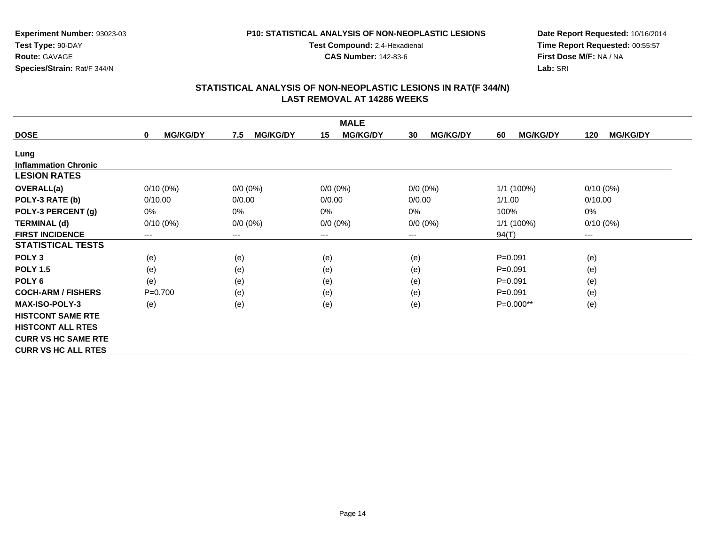### **P10: STATISTICAL ANALYSIS OF NON-NEOPLASTIC LESIONS**

**Test Compound:** 2,4-Hexadienal

**CAS Number:** 142-83-6

**Date Report Requested:** 10/16/2014 **Time Report Requested:** 00:55:57**First Dose M/F:** NA / NA**Lab:** SRI

| <b>MALE</b>                 |                                |                        |                       |                       |                       |                        |  |
|-----------------------------|--------------------------------|------------------------|-----------------------|-----------------------|-----------------------|------------------------|--|
| <b>DOSE</b>                 | <b>MG/KG/DY</b><br>$\mathbf 0$ | <b>MG/KG/DY</b><br>7.5 | <b>MG/KG/DY</b><br>15 | <b>MG/KG/DY</b><br>30 | <b>MG/KG/DY</b><br>60 | <b>MG/KG/DY</b><br>120 |  |
| Lung                        |                                |                        |                       |                       |                       |                        |  |
| <b>Inflammation Chronic</b> |                                |                        |                       |                       |                       |                        |  |
| <b>LESION RATES</b>         |                                |                        |                       |                       |                       |                        |  |
| <b>OVERALL(a)</b>           | $0/10(0\%)$                    | $0/0 (0\%)$            | $0/0 (0\%)$           | $0/0 (0\%)$           | 1/1 (100%)            | $0/10(0\%)$            |  |
| POLY-3 RATE (b)             | 0/10.00                        | 0/0.00                 | 0/0.00                | 0/0.00                | 1/1.00                | 0/10.00                |  |
| POLY-3 PERCENT (g)          | 0%                             | $0\%$                  | 0%                    | 0%                    | 100%                  | $0\%$                  |  |
| <b>TERMINAL (d)</b>         | $0/10(0\%)$                    | $0/0 (0\%)$            | $0/0 (0\%)$           | $0/0 (0\%)$           | 1/1 (100%)            | $0/10(0\%)$            |  |
| <b>FIRST INCIDENCE</b>      | ---                            | ---                    | ---                   | ---                   | 94(T)                 | $---$                  |  |
| <b>STATISTICAL TESTS</b>    |                                |                        |                       |                       |                       |                        |  |
| POLY <sub>3</sub>           | (e)                            | (e)                    | (e)                   | (e)                   | $P = 0.091$           | (e)                    |  |
| <b>POLY 1.5</b>             | (e)                            | (e)                    | (e)                   | (e)                   | $P = 0.091$           | (e)                    |  |
| POLY <sub>6</sub>           | (e)                            | (e)                    | (e)                   | (e)                   | $P = 0.091$           | (e)                    |  |
| <b>COCH-ARM / FISHERS</b>   | $P = 0.700$                    | (e)                    | (e)                   | (e)                   | $P = 0.091$           | (e)                    |  |
| <b>MAX-ISO-POLY-3</b>       | (e)                            | (e)                    | (e)                   | (e)                   | P=0.000**             | (e)                    |  |
| <b>HISTCONT SAME RTE</b>    |                                |                        |                       |                       |                       |                        |  |
| <b>HISTCONT ALL RTES</b>    |                                |                        |                       |                       |                       |                        |  |
| <b>CURR VS HC SAME RTE</b>  |                                |                        |                       |                       |                       |                        |  |
| <b>CURR VS HC ALL RTES</b>  |                                |                        |                       |                       |                       |                        |  |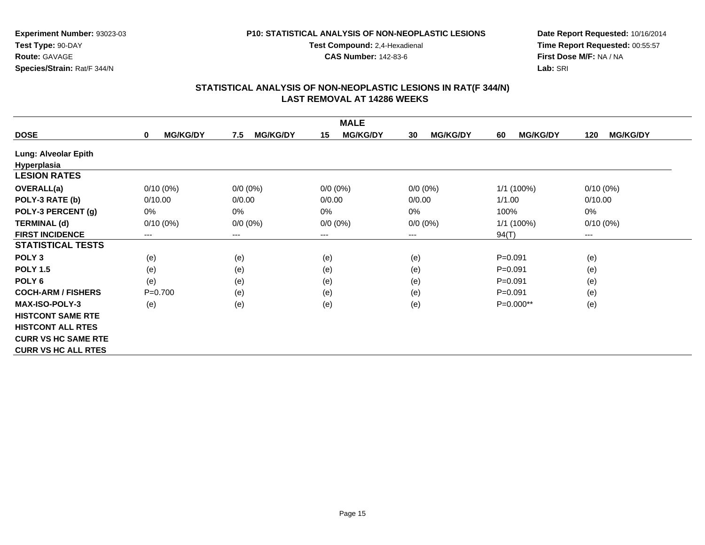### **P10: STATISTICAL ANALYSIS OF NON-NEOPLASTIC LESIONS**

**Test Compound:** 2,4-Hexadienal

**CAS Number:** 142-83-6

**Date Report Requested:** 10/16/2014**Time Report Requested:** 00:55:57**First Dose M/F:** NA / NA**Lab:** SRI

| <b>MALE</b>                |                      |                        |                       |                       |                       |                        |  |
|----------------------------|----------------------|------------------------|-----------------------|-----------------------|-----------------------|------------------------|--|
| <b>DOSE</b>                | <b>MG/KG/DY</b><br>0 | <b>MG/KG/DY</b><br>7.5 | <b>MG/KG/DY</b><br>15 | <b>MG/KG/DY</b><br>30 | <b>MG/KG/DY</b><br>60 | <b>MG/KG/DY</b><br>120 |  |
| Lung: Alveolar Epith       |                      |                        |                       |                       |                       |                        |  |
| Hyperplasia                |                      |                        |                       |                       |                       |                        |  |
| <b>LESION RATES</b>        |                      |                        |                       |                       |                       |                        |  |
| <b>OVERALL(a)</b>          | $0/10(0\%)$          | $0/0 (0\%)$            | $0/0(0\%)$            | $0/0 (0\%)$           | 1/1 (100%)            | $0/10(0\%)$            |  |
| POLY-3 RATE (b)            | 0/10.00              | 0/0.00                 | 0/0.00                | 0/0.00                | 1/1.00                | 0/10.00                |  |
| POLY-3 PERCENT (g)         | 0%                   | 0%                     | 0%                    | 0%                    | 100%                  | 0%                     |  |
| <b>TERMINAL (d)</b>        | $0/10(0\%)$          | $0/0 (0\%)$            | $0/0 (0\%)$           | $0/0 (0\%)$           | 1/1 (100%)            | $0/10(0\%)$            |  |
| <b>FIRST INCIDENCE</b>     | ---                  | $---$                  | $--$                  | ---                   | 94(T)                 | ---                    |  |
| <b>STATISTICAL TESTS</b>   |                      |                        |                       |                       |                       |                        |  |
| POLY <sub>3</sub>          | (e)                  | (e)                    | (e)                   | (e)                   | $P = 0.091$           | (e)                    |  |
| <b>POLY 1.5</b>            | (e)                  | (e)                    | (e)                   | (e)                   | $P = 0.091$           | (e)                    |  |
| POLY <sub>6</sub>          | (e)                  | (e)                    | (e)                   | (e)                   | $P = 0.091$           | (e)                    |  |
| <b>COCH-ARM / FISHERS</b>  | $P = 0.700$          | (e)                    | (e)                   | (e)                   | $P = 0.091$           | (e)                    |  |
| <b>MAX-ISO-POLY-3</b>      | (e)                  | (e)                    | (e)                   | (e)                   | P=0.000**             | (e)                    |  |
| <b>HISTCONT SAME RTE</b>   |                      |                        |                       |                       |                       |                        |  |
| <b>HISTCONT ALL RTES</b>   |                      |                        |                       |                       |                       |                        |  |
| <b>CURR VS HC SAME RTE</b> |                      |                        |                       |                       |                       |                        |  |
| <b>CURR VS HC ALL RTES</b> |                      |                        |                       |                       |                       |                        |  |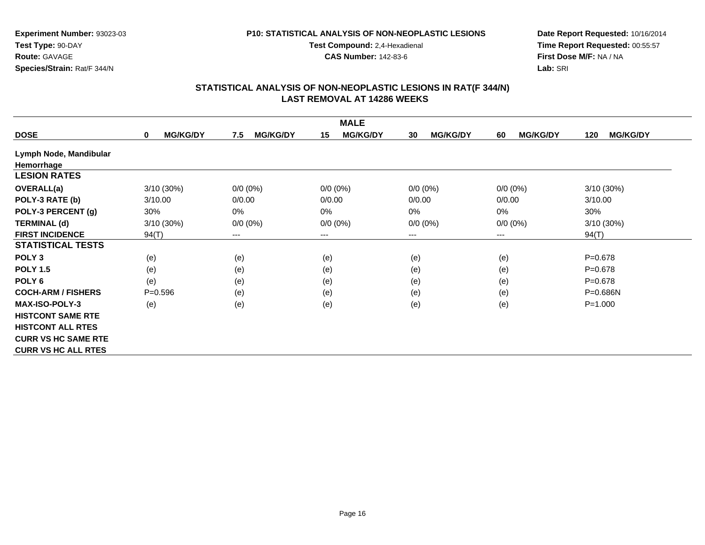### **P10: STATISTICAL ANALYSIS OF NON-NEOPLASTIC LESIONS**

**Test Compound:** 2,4-Hexadienal

**CAS Number:** 142-83-6

**Date Report Requested:** 10/16/2014**Time Report Requested:** 00:55:57**First Dose M/F:** NA / NA**Lab:** SRI

| <b>MALE</b>                |                             |                        |                       |                       |                       |                        |  |
|----------------------------|-----------------------------|------------------------|-----------------------|-----------------------|-----------------------|------------------------|--|
| <b>DOSE</b>                | <b>MG/KG/DY</b><br>$\bf{0}$ | <b>MG/KG/DY</b><br>7.5 | <b>MG/KG/DY</b><br>15 | <b>MG/KG/DY</b><br>30 | 60<br><b>MG/KG/DY</b> | <b>MG/KG/DY</b><br>120 |  |
| Lymph Node, Mandibular     |                             |                        |                       |                       |                       |                        |  |
| Hemorrhage                 |                             |                        |                       |                       |                       |                        |  |
| <b>LESION RATES</b>        |                             |                        |                       |                       |                       |                        |  |
| <b>OVERALL(a)</b>          | 3/10 (30%)                  | $0/0 (0\%)$            | $0/0 (0\%)$           | $0/0 (0\%)$           | $0/0 (0\%)$           | 3/10 (30%)             |  |
| POLY-3 RATE (b)            | 3/10.00                     | 0/0.00                 | 0/0.00                | 0/0.00                | 0/0.00                | 3/10.00                |  |
| POLY-3 PERCENT (g)         | 30%                         | 0%                     | 0%                    | $0\%$                 | 0%                    | 30%                    |  |
| <b>TERMINAL (d)</b>        | 3/10 (30%)                  | $0/0 (0\%)$            | $0/0 (0\%)$           | $0/0 (0\%)$           | $0/0 (0\%)$           | 3/10 (30%)             |  |
| <b>FIRST INCIDENCE</b>     | 94(T)                       | ---                    | ---                   | $---$                 | $--$                  | 94(T)                  |  |
| <b>STATISTICAL TESTS</b>   |                             |                        |                       |                       |                       |                        |  |
| POLY <sub>3</sub>          | (e)                         | (e)                    | (e)                   | (e)                   | (e)                   | $P = 0.678$            |  |
| <b>POLY 1.5</b>            | (e)                         | (e)                    | (e)                   | (e)                   | (e)                   | $P = 0.678$            |  |
| POLY <sub>6</sub>          | (e)                         | (e)                    | (e)                   | (e)                   | (e)                   | $P = 0.678$            |  |
| <b>COCH-ARM / FISHERS</b>  | $P = 0.596$                 | (e)                    | (e)                   | (e)                   | (e)                   | P=0.686N               |  |
| <b>MAX-ISO-POLY-3</b>      | (e)                         | (e)                    | (e)                   | (e)                   | (e)                   | $P = 1.000$            |  |
| <b>HISTCONT SAME RTE</b>   |                             |                        |                       |                       |                       |                        |  |
| <b>HISTCONT ALL RTES</b>   |                             |                        |                       |                       |                       |                        |  |
| <b>CURR VS HC SAME RTE</b> |                             |                        |                       |                       |                       |                        |  |
| <b>CURR VS HC ALL RTES</b> |                             |                        |                       |                       |                       |                        |  |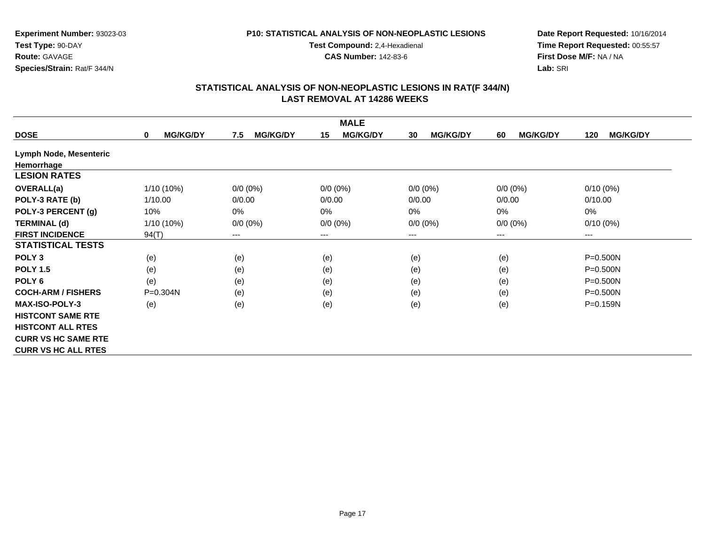### **P10: STATISTICAL ANALYSIS OF NON-NEOPLASTIC LESIONS**

**Test Compound:** 2,4-Hexadienal

**CAS Number:** 142-83-6

**Date Report Requested:** 10/16/2014**Time Report Requested:** 00:55:57**First Dose M/F:** NA / NA**Lab:** SRI

| <b>MALE</b>                |                             |                        |                       |                       |                       |                        |  |
|----------------------------|-----------------------------|------------------------|-----------------------|-----------------------|-----------------------|------------------------|--|
| <b>DOSE</b>                | <b>MG/KG/DY</b><br>$\bf{0}$ | <b>MG/KG/DY</b><br>7.5 | <b>MG/KG/DY</b><br>15 | <b>MG/KG/DY</b><br>30 | 60<br><b>MG/KG/DY</b> | <b>MG/KG/DY</b><br>120 |  |
| Lymph Node, Mesenteric     |                             |                        |                       |                       |                       |                        |  |
| Hemorrhage                 |                             |                        |                       |                       |                       |                        |  |
| <b>LESION RATES</b>        |                             |                        |                       |                       |                       |                        |  |
| <b>OVERALL(a)</b>          | 1/10 (10%)                  | $0/0 (0\%)$            | $0/0 (0\%)$           | $0/0 (0\%)$           | $0/0 (0\%)$           | $0/10(0\%)$            |  |
| POLY-3 RATE (b)            | 1/10.00                     | 0/0.00                 | 0/0.00                | 0/0.00                | 0/0.00                | 0/10.00                |  |
| POLY-3 PERCENT (g)         | 10%                         | 0%                     | 0%                    | $0\%$                 | 0%                    | 0%                     |  |
| <b>TERMINAL (d)</b>        | 1/10 (10%)                  | $0/0 (0\%)$            | $0/0 (0\%)$           | $0/0 (0\%)$           | $0/0 (0\%)$           | $0/10(0\%)$            |  |
| <b>FIRST INCIDENCE</b>     | 94(T)                       | ---                    | ---                   | $---$                 | $--$                  | $---$                  |  |
| <b>STATISTICAL TESTS</b>   |                             |                        |                       |                       |                       |                        |  |
| POLY <sub>3</sub>          | (e)                         | (e)                    | (e)                   | (e)                   | (e)                   | $P = 0.500N$           |  |
| <b>POLY 1.5</b>            | (e)                         | (e)                    | (e)                   | (e)                   | (e)                   | P=0.500N               |  |
| POLY <sub>6</sub>          | (e)                         | (e)                    | (e)                   | (e)                   | (e)                   | $P = 0.500N$           |  |
| <b>COCH-ARM / FISHERS</b>  | P=0.304N                    | (e)                    | (e)                   | (e)                   | (e)                   | $P = 0.500N$           |  |
| <b>MAX-ISO-POLY-3</b>      | (e)                         | (e)                    | (e)                   | (e)                   | (e)                   | P=0.159N               |  |
| <b>HISTCONT SAME RTE</b>   |                             |                        |                       |                       |                       |                        |  |
| <b>HISTCONT ALL RTES</b>   |                             |                        |                       |                       |                       |                        |  |
| <b>CURR VS HC SAME RTE</b> |                             |                        |                       |                       |                       |                        |  |
| <b>CURR VS HC ALL RTES</b> |                             |                        |                       |                       |                       |                        |  |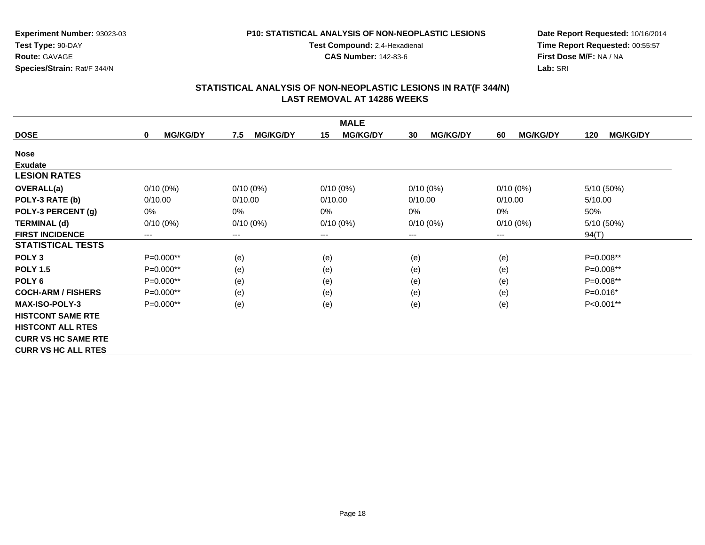### **P10: STATISTICAL ANALYSIS OF NON-NEOPLASTIC LESIONS**

**Test Compound:** 2,4-Hexadienal

**CAS Number:** 142-83-6

**Date Report Requested:** 10/16/2014 **Time Report Requested:** 00:55:57**First Dose M/F:** NA / NA**Lab:** SRI

| <b>MALE</b>                |                                |                        |                        |                       |                       |                        |  |
|----------------------------|--------------------------------|------------------------|------------------------|-----------------------|-----------------------|------------------------|--|
| <b>DOSE</b>                | <b>MG/KG/DY</b><br>$\mathbf 0$ | <b>MG/KG/DY</b><br>7.5 | <b>MG/KG/DY</b><br>15  | <b>MG/KG/DY</b><br>30 | <b>MG/KG/DY</b><br>60 | <b>MG/KG/DY</b><br>120 |  |
| <b>Nose</b>                |                                |                        |                        |                       |                       |                        |  |
| <b>Exudate</b>             |                                |                        |                        |                       |                       |                        |  |
| <b>LESION RATES</b>        |                                |                        |                        |                       |                       |                        |  |
| <b>OVERALL(a)</b>          | $0/10(0\%)$                    | $0/10(0\%)$            | $0/10(0\%)$            | $0/10(0\%)$           | $0/10(0\%)$           | 5/10 (50%)             |  |
| POLY-3 RATE (b)            | 0/10.00                        | 0/10.00                | 0/10.00                | 0/10.00               | 0/10.00               | 5/10.00                |  |
| POLY-3 PERCENT (g)         | 0%                             | 0%                     | 0%                     | 0%                    | 0%                    | 50%                    |  |
| <b>TERMINAL (d)</b>        | $0/10(0\%)$                    | $0/10(0\%)$            | $0/10(0\%)$            | $0/10(0\%)$           | $0/10(0\%)$           | 5/10 (50%)             |  |
| <b>FIRST INCIDENCE</b>     | ---                            | ---                    | $\qquad \qquad \cdots$ | ---                   | ---                   | 94(T)                  |  |
| <b>STATISTICAL TESTS</b>   |                                |                        |                        |                       |                       |                        |  |
| POLY <sub>3</sub>          | P=0.000**                      | (e)                    | (e)                    | (e)                   | (e)                   | P=0.008**              |  |
| <b>POLY 1.5</b>            | $P=0.000**$                    | (e)                    | (e)                    | (e)                   | (e)                   | $P=0.008**$            |  |
| POLY <sub>6</sub>          | $P=0.000**$                    | (e)                    | (e)                    | (e)                   | (e)                   | P=0.008**              |  |
| <b>COCH-ARM / FISHERS</b>  | $P=0.000**$                    | (e)                    | (e)                    | (e)                   | (e)                   | $P=0.016*$             |  |
| <b>MAX-ISO-POLY-3</b>      | P=0.000**                      | (e)                    | (e)                    | (e)                   | (e)                   | P<0.001**              |  |
| <b>HISTCONT SAME RTE</b>   |                                |                        |                        |                       |                       |                        |  |
| <b>HISTCONT ALL RTES</b>   |                                |                        |                        |                       |                       |                        |  |
| <b>CURR VS HC SAME RTE</b> |                                |                        |                        |                       |                       |                        |  |
| <b>CURR VS HC ALL RTES</b> |                                |                        |                        |                       |                       |                        |  |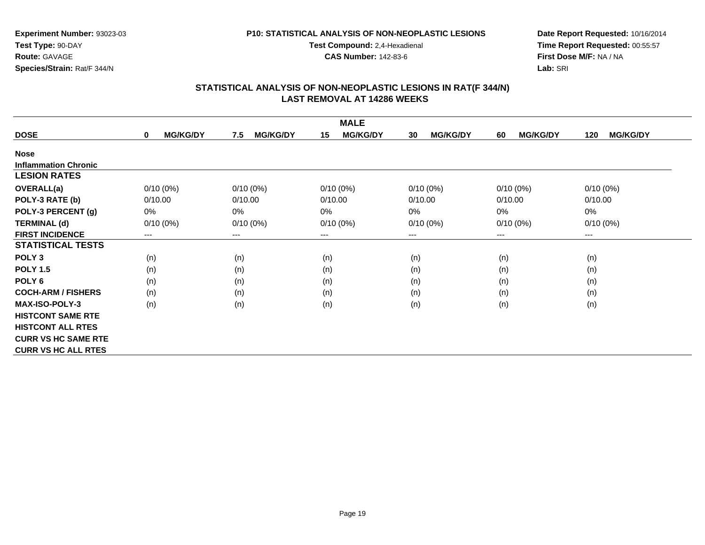### **P10: STATISTICAL ANALYSIS OF NON-NEOPLASTIC LESIONS**

**Test Compound:** 2,4-Hexadienal

**CAS Number:** 142-83-6

**Date Report Requested:** 10/16/2014 **Time Report Requested:** 00:55:57**First Dose M/F:** NA / NA**Lab:** SRI

| <b>MALE</b>                 |                                |                        |                        |                       |                       |                        |  |
|-----------------------------|--------------------------------|------------------------|------------------------|-----------------------|-----------------------|------------------------|--|
| <b>DOSE</b>                 | <b>MG/KG/DY</b><br>$\mathbf 0$ | 7.5<br><b>MG/KG/DY</b> | <b>MG/KG/DY</b><br>15  | <b>MG/KG/DY</b><br>30 | <b>MG/KG/DY</b><br>60 | <b>MG/KG/DY</b><br>120 |  |
| <b>Nose</b>                 |                                |                        |                        |                       |                       |                        |  |
| <b>Inflammation Chronic</b> |                                |                        |                        |                       |                       |                        |  |
| <b>LESION RATES</b>         |                                |                        |                        |                       |                       |                        |  |
| <b>OVERALL(a)</b>           | $0/10(0\%)$                    | $0/10(0\%)$            | $0/10(0\%)$            | $0/10(0\%)$           | $0/10(0\%)$           | $0/10(0\%)$            |  |
| POLY-3 RATE (b)             | 0/10.00                        | 0/10.00                | 0/10.00                | 0/10.00               | 0/10.00               | 0/10.00                |  |
| POLY-3 PERCENT (g)          | $0\%$                          | 0%                     | 0%                     | $0\%$                 | 0%                    | $0\%$                  |  |
| <b>TERMINAL (d)</b>         | $0/10(0\%)$                    | $0/10(0\%)$            | $0/10(0\%)$            | $0/10(0\%)$           | $0/10(0\%)$           | $0/10(0\%)$            |  |
| <b>FIRST INCIDENCE</b>      | $\qquad \qquad \cdots$         | ---                    | $\qquad \qquad \cdots$ | ---                   | ---                   | $\qquad \qquad \cdots$ |  |
| <b>STATISTICAL TESTS</b>    |                                |                        |                        |                       |                       |                        |  |
| POLY <sub>3</sub>           | (n)                            | (n)                    | (n)                    | (n)                   | (n)                   | (n)                    |  |
| <b>POLY 1.5</b>             | (n)                            | (n)                    | (n)                    | (n)                   | (n)                   | (n)                    |  |
| POLY <sub>6</sub>           | (n)                            | (n)                    | (n)                    | (n)                   | (n)                   | (n)                    |  |
| <b>COCH-ARM / FISHERS</b>   | (n)                            | (n)                    | (n)                    | (n)                   | (n)                   | (n)                    |  |
| <b>MAX-ISO-POLY-3</b>       | (n)                            | (n)                    | (n)                    | (n)                   | (n)                   | (n)                    |  |
| <b>HISTCONT SAME RTE</b>    |                                |                        |                        |                       |                       |                        |  |
| <b>HISTCONT ALL RTES</b>    |                                |                        |                        |                       |                       |                        |  |
| <b>CURR VS HC SAME RTE</b>  |                                |                        |                        |                       |                       |                        |  |
| <b>CURR VS HC ALL RTES</b>  |                                |                        |                        |                       |                       |                        |  |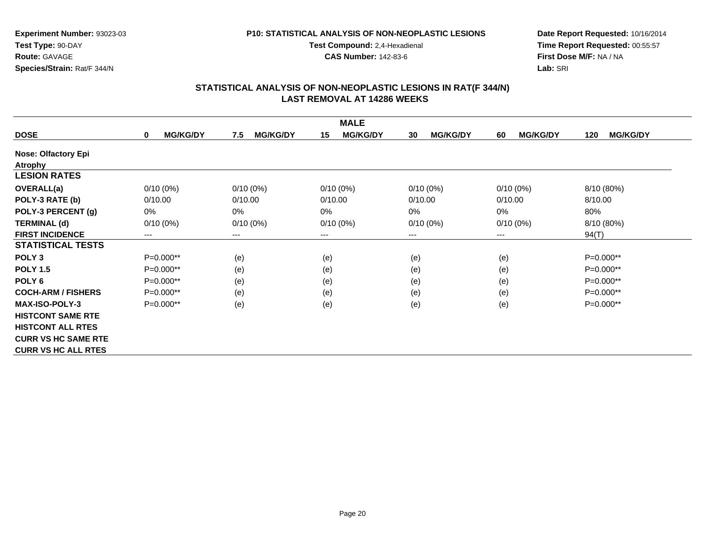### **P10: STATISTICAL ANALYSIS OF NON-NEOPLASTIC LESIONS**

**Test Compound:** 2,4-Hexadienal

**CAS Number:** 142-83-6

**Date Report Requested:** 10/16/2014 **Time Report Requested:** 00:55:57**First Dose M/F:** NA / NA**Lab:** SRI

|                            | <b>MALE</b>                    |                        |                        |                       |                       |                        |  |  |
|----------------------------|--------------------------------|------------------------|------------------------|-----------------------|-----------------------|------------------------|--|--|
| <b>DOSE</b>                | <b>MG/KG/DY</b><br>$\mathbf 0$ | 7.5<br><b>MG/KG/DY</b> | <b>MG/KG/DY</b><br>15  | <b>MG/KG/DY</b><br>30 | <b>MG/KG/DY</b><br>60 | <b>MG/KG/DY</b><br>120 |  |  |
| <b>Nose: Olfactory Epi</b> |                                |                        |                        |                       |                       |                        |  |  |
| <b>Atrophy</b>             |                                |                        |                        |                       |                       |                        |  |  |
| <b>LESION RATES</b>        |                                |                        |                        |                       |                       |                        |  |  |
| <b>OVERALL(a)</b>          | $0/10(0\%)$                    | $0/10(0\%)$            | $0/10(0\%)$            | $0/10(0\%)$           | $0/10(0\%)$           | 8/10 (80%)             |  |  |
| POLY-3 RATE (b)            | 0/10.00                        | 0/10.00                | 0/10.00                | 0/10.00               | 0/10.00               | 8/10.00                |  |  |
| POLY-3 PERCENT (g)         | 0%                             | 0%                     | 0%                     | $0\%$                 | 0%                    | 80%                    |  |  |
| <b>TERMINAL (d)</b>        | $0/10(0\%)$                    | $0/10(0\%)$            | $0/10(0\%)$            | $0/10(0\%)$           | $0/10(0\%)$           | 8/10 (80%)             |  |  |
| <b>FIRST INCIDENCE</b>     | ---                            | ---                    | $\qquad \qquad \cdots$ | $---$                 | ---                   | 94(T)                  |  |  |
| <b>STATISTICAL TESTS</b>   |                                |                        |                        |                       |                       |                        |  |  |
| POLY <sub>3</sub>          | $P=0.000**$                    | (e)                    | (e)                    | (e)                   | (e)                   | $P=0.000**$            |  |  |
| <b>POLY 1.5</b>            | $P=0.000**$                    | (e)                    | (e)                    | (e)                   | (e)                   | $P=0.000**$            |  |  |
| POLY <sub>6</sub>          | $P=0.000**$                    | (e)                    | (e)                    | (e)                   | (e)                   | P=0.000**              |  |  |
| <b>COCH-ARM / FISHERS</b>  | $P=0.000**$                    | (e)                    | (e)                    | (e)                   | (e)                   | $P=0.000**$            |  |  |
| <b>MAX-ISO-POLY-3</b>      | P=0.000**                      | (e)                    | (e)                    | (e)                   | (e)                   | $P=0.000**$            |  |  |
| <b>HISTCONT SAME RTE</b>   |                                |                        |                        |                       |                       |                        |  |  |
| <b>HISTCONT ALL RTES</b>   |                                |                        |                        |                       |                       |                        |  |  |
| <b>CURR VS HC SAME RTE</b> |                                |                        |                        |                       |                       |                        |  |  |
| <b>CURR VS HC ALL RTES</b> |                                |                        |                        |                       |                       |                        |  |  |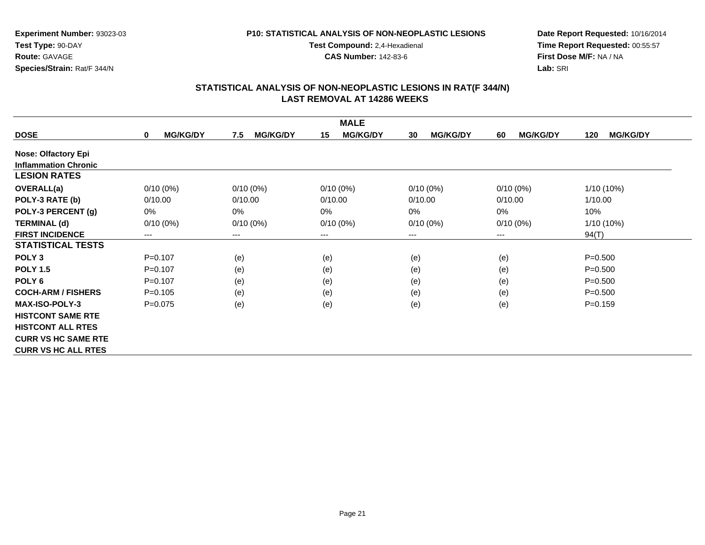### **P10: STATISTICAL ANALYSIS OF NON-NEOPLASTIC LESIONS**

**Test Compound:** 2,4-Hexadienal

**CAS Number:** 142-83-6

**Date Report Requested:** 10/16/2014 **Time Report Requested:** 00:55:57**First Dose M/F:** NA / NA**Lab:** SRI

|                             |                                 |                        | <b>MALE</b>            |                       |                       |                        |
|-----------------------------|---------------------------------|------------------------|------------------------|-----------------------|-----------------------|------------------------|
| <b>DOSE</b>                 | <b>MG/KG/DY</b><br>$\mathbf{0}$ | <b>MG/KG/DY</b><br>7.5 | <b>MG/KG/DY</b><br>15  | <b>MG/KG/DY</b><br>30 | <b>MG/KG/DY</b><br>60 | <b>MG/KG/DY</b><br>120 |
| <b>Nose: Olfactory Epi</b>  |                                 |                        |                        |                       |                       |                        |
| <b>Inflammation Chronic</b> |                                 |                        |                        |                       |                       |                        |
| <b>LESION RATES</b>         |                                 |                        |                        |                       |                       |                        |
| OVERALL(a)                  | $0/10(0\%)$                     | $0/10(0\%)$            | $0/10(0\%)$            | $0/10(0\%)$           | $0/10(0\%)$           | $1/10(10\%)$           |
| POLY-3 RATE (b)             | 0/10.00                         | 0/10.00                | 0/10.00                | 0/10.00               | 0/10.00               | 1/10.00                |
| POLY-3 PERCENT (g)          | 0%                              | $0\%$                  | 0%                     | 0%                    | 0%                    | 10%                    |
| <b>TERMINAL (d)</b>         | $0/10(0\%)$                     | $0/10(0\%)$            | $0/10(0\%)$            | $0/10(0\%)$           | $0/10(0\%)$           | 1/10 (10%)             |
| <b>FIRST INCIDENCE</b>      | ---                             | $\qquad \qquad \cdots$ | $\qquad \qquad \cdots$ | $---$                 | $---$                 | 94(T)                  |
| <b>STATISTICAL TESTS</b>    |                                 |                        |                        |                       |                       |                        |
| POLY <sub>3</sub>           | $P = 0.107$                     | (e)                    | (e)                    | (e)                   | (e)                   | $P = 0.500$            |
| <b>POLY 1.5</b>             | $P=0.107$                       | (e)                    | (e)                    | (e)                   | (e)                   | $P = 0.500$            |
| POLY <sub>6</sub>           | $P = 0.107$                     | (e)                    | (e)                    | (e)                   | (e)                   | $P = 0.500$            |
| <b>COCH-ARM / FISHERS</b>   | $P=0.105$                       | (e)                    | (e)                    | (e)                   | (e)                   | $P = 0.500$            |
| <b>MAX-ISO-POLY-3</b>       | $P = 0.075$                     | (e)                    | (e)                    | (e)                   | (e)                   | $P = 0.159$            |
| <b>HISTCONT SAME RTE</b>    |                                 |                        |                        |                       |                       |                        |
| <b>HISTCONT ALL RTES</b>    |                                 |                        |                        |                       |                       |                        |
| <b>CURR VS HC SAME RTE</b>  |                                 |                        |                        |                       |                       |                        |
| <b>CURR VS HC ALL RTES</b>  |                                 |                        |                        |                       |                       |                        |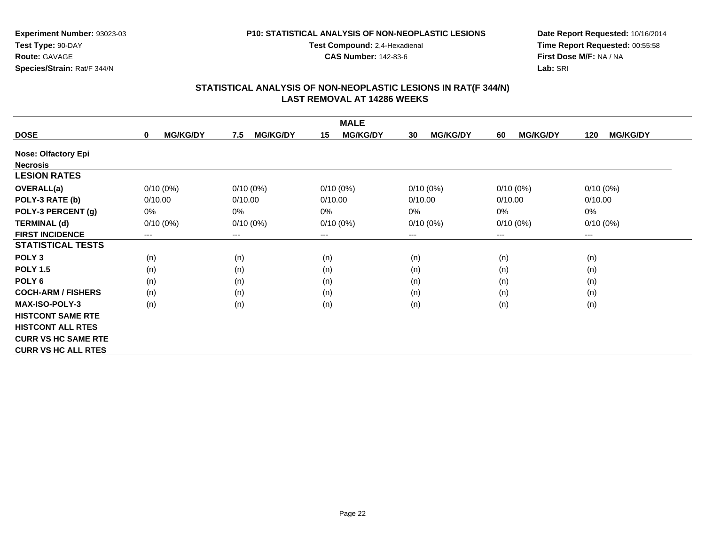### **P10: STATISTICAL ANALYSIS OF NON-NEOPLASTIC LESIONS**

**Test Compound:** 2,4-Hexadienal **CAS Number:** 142-83-6

**Date Report Requested:** 10/16/2014**Time Report Requested:** 00:55:58**First Dose M/F:** NA / NA**Lab:** SRI

| <b>MALE</b>                |                                |                        |                        |                       |                       |                        |  |
|----------------------------|--------------------------------|------------------------|------------------------|-----------------------|-----------------------|------------------------|--|
| <b>DOSE</b>                | <b>MG/KG/DY</b><br>$\mathbf 0$ | 7.5<br><b>MG/KG/DY</b> | <b>MG/KG/DY</b><br>15  | <b>MG/KG/DY</b><br>30 | <b>MG/KG/DY</b><br>60 | <b>MG/KG/DY</b><br>120 |  |
| <b>Nose: Olfactory Epi</b> |                                |                        |                        |                       |                       |                        |  |
| <b>Necrosis</b>            |                                |                        |                        |                       |                       |                        |  |
| <b>LESION RATES</b>        |                                |                        |                        |                       |                       |                        |  |
| <b>OVERALL(a)</b>          | $0/10(0\%)$                    | $0/10(0\%)$            | $0/10(0\%)$            | $0/10(0\%)$           | $0/10(0\%)$           | $0/10(0\%)$            |  |
| POLY-3 RATE (b)            | 0/10.00                        | 0/10.00                | 0/10.00                | 0/10.00               | 0/10.00               | 0/10.00                |  |
| POLY-3 PERCENT (g)         | 0%                             | 0%                     | 0%                     | $0\%$                 | 0%                    | $0\%$                  |  |
| <b>TERMINAL (d)</b>        | $0/10(0\%)$                    | $0/10(0\%)$            | $0/10(0\%)$            | $0/10(0\%)$           | $0/10(0\%)$           | $0/10(0\%)$            |  |
| <b>FIRST INCIDENCE</b>     | ---                            | ---                    | $\qquad \qquad \cdots$ | ---                   | ---                   | $\qquad \qquad \cdots$ |  |
| <b>STATISTICAL TESTS</b>   |                                |                        |                        |                       |                       |                        |  |
| POLY <sub>3</sub>          | (n)                            | (n)                    | (n)                    | (n)                   | (n)                   | (n)                    |  |
| <b>POLY 1.5</b>            | (n)                            | (n)                    | (n)                    | (n)                   | (n)                   | (n)                    |  |
| POLY <sub>6</sub>          | (n)                            | (n)                    | (n)                    | (n)                   | (n)                   | (n)                    |  |
| <b>COCH-ARM / FISHERS</b>  | (n)                            | (n)                    | (n)                    | (n)                   | (n)                   | (n)                    |  |
| <b>MAX-ISO-POLY-3</b>      | (n)                            | (n)                    | (n)                    | (n)                   | (n)                   | (n)                    |  |
| <b>HISTCONT SAME RTE</b>   |                                |                        |                        |                       |                       |                        |  |
| <b>HISTCONT ALL RTES</b>   |                                |                        |                        |                       |                       |                        |  |
| <b>CURR VS HC SAME RTE</b> |                                |                        |                        |                       |                       |                        |  |
| <b>CURR VS HC ALL RTES</b> |                                |                        |                        |                       |                       |                        |  |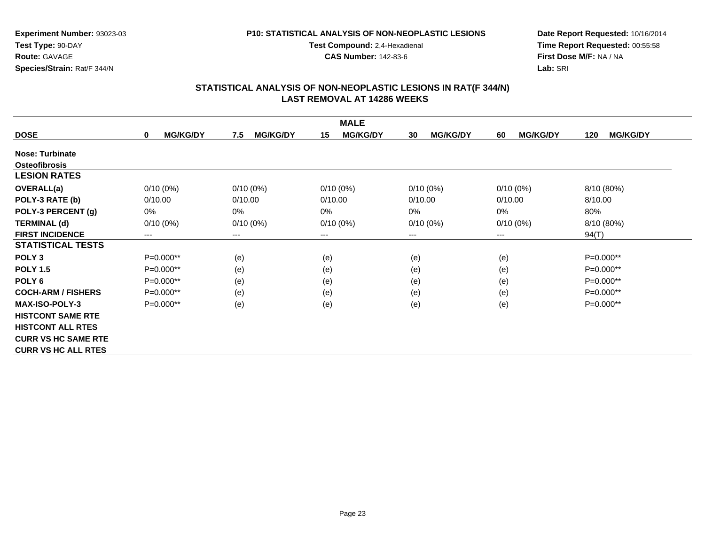### **P10: STATISTICAL ANALYSIS OF NON-NEOPLASTIC LESIONS**

**Test Compound:** 2,4-Hexadienal **CAS Number:** 142-83-6

**Date Report Requested:** 10/16/2014**Time Report Requested:** 00:55:58**First Dose M/F:** NA / NA**Lab:** SRI

| <b>MALE</b>                |                      |                        |                        |                       |                       |                        |  |
|----------------------------|----------------------|------------------------|------------------------|-----------------------|-----------------------|------------------------|--|
| <b>DOSE</b>                | <b>MG/KG/DY</b><br>0 | <b>MG/KG/DY</b><br>7.5 | <b>MG/KG/DY</b><br>15  | <b>MG/KG/DY</b><br>30 | <b>MG/KG/DY</b><br>60 | <b>MG/KG/DY</b><br>120 |  |
| Nose: Turbinate            |                      |                        |                        |                       |                       |                        |  |
| <b>Osteofibrosis</b>       |                      |                        |                        |                       |                       |                        |  |
| <b>LESION RATES</b>        |                      |                        |                        |                       |                       |                        |  |
| <b>OVERALL(a)</b>          | $0/10(0\%)$          | $0/10(0\%)$            | $0/10(0\%)$            | $0/10(0\%)$           | $0/10(0\%)$           | 8/10 (80%)             |  |
| POLY-3 RATE (b)            | 0/10.00              | 0/10.00                | 0/10.00                | 0/10.00               | 0/10.00               | 8/10.00                |  |
| POLY-3 PERCENT (g)         | $0\%$                | 0%                     | 0%                     | 0%                    | 0%                    | 80%                    |  |
| <b>TERMINAL (d)</b>        | $0/10(0\%)$          | $0/10(0\%)$            | $0/10(0\%)$            | $0/10(0\%)$           | $0/10(0\%)$           | 8/10 (80%)             |  |
| <b>FIRST INCIDENCE</b>     | ---                  | $---$                  | $\qquad \qquad \cdots$ | ---                   | $--$                  | 94(T)                  |  |
| <b>STATISTICAL TESTS</b>   |                      |                        |                        |                       |                       |                        |  |
| POLY <sub>3</sub>          | P=0.000**            | (e)                    | (e)                    | (e)                   | (e)                   | P=0.000**              |  |
| <b>POLY 1.5</b>            | $P=0.000**$          | (e)                    | (e)                    | (e)                   | (e)                   | P=0.000**              |  |
| POLY <sub>6</sub>          | $P=0.000**$          | (e)                    | (e)                    | (e)                   | (e)                   | P=0.000**              |  |
| <b>COCH-ARM / FISHERS</b>  | $P=0.000**$          | (e)                    | (e)                    | (e)                   | (e)                   | $P=0.000**$            |  |
| <b>MAX-ISO-POLY-3</b>      | P=0.000**            | (e)                    | (e)                    | (e)                   | (e)                   | $P=0.000**$            |  |
| <b>HISTCONT SAME RTE</b>   |                      |                        |                        |                       |                       |                        |  |
| <b>HISTCONT ALL RTES</b>   |                      |                        |                        |                       |                       |                        |  |
| <b>CURR VS HC SAME RTE</b> |                      |                        |                        |                       |                       |                        |  |
| <b>CURR VS HC ALL RTES</b> |                      |                        |                        |                       |                       |                        |  |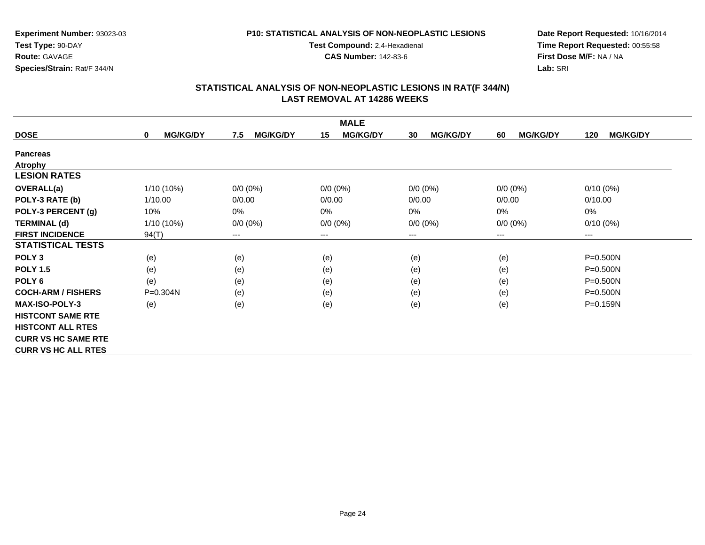### **P10: STATISTICAL ANALYSIS OF NON-NEOPLASTIC LESIONS**

**Test Compound:** 2,4-Hexadienal

**CAS Number:** 142-83-6

**Date Report Requested:** 10/16/2014**Time Report Requested:** 00:55:58**First Dose M/F:** NA / NA**Lab:** SRI

| <b>MALE</b>                |                                 |                        |                       |                       |                       |                        |  |
|----------------------------|---------------------------------|------------------------|-----------------------|-----------------------|-----------------------|------------------------|--|
| <b>DOSE</b>                | <b>MG/KG/DY</b><br>$\mathbf{0}$ | <b>MG/KG/DY</b><br>7.5 | <b>MG/KG/DY</b><br>15 | <b>MG/KG/DY</b><br>30 | <b>MG/KG/DY</b><br>60 | <b>MG/KG/DY</b><br>120 |  |
| <b>Pancreas</b>            |                                 |                        |                       |                       |                       |                        |  |
| <b>Atrophy</b>             |                                 |                        |                       |                       |                       |                        |  |
| <b>LESION RATES</b>        |                                 |                        |                       |                       |                       |                        |  |
| OVERALL(a)                 | 1/10 (10%)                      | $0/0 (0\%)$            | $0/0(0\%)$            | $0/0 (0\%)$           | $0/0 (0\%)$           | $0/10(0\%)$            |  |
| POLY-3 RATE (b)            | 1/10.00                         | 0/0.00                 | 0/0.00                | 0/0.00                | 0/0.00                | 0/10.00                |  |
| POLY-3 PERCENT (g)         | 10%                             | 0%                     | 0%                    | 0%                    | 0%                    | 0%                     |  |
| <b>TERMINAL (d)</b>        | $1/10(10\%)$                    | $0/0 (0\%)$            | $0/0 (0\%)$           | $0/0 (0\%)$           | $0/0 (0\%)$           | $0/10(0\%)$            |  |
| <b>FIRST INCIDENCE</b>     | 94(T)                           | ---                    | ---                   | ---                   | $--$                  | ---                    |  |
| <b>STATISTICAL TESTS</b>   |                                 |                        |                       |                       |                       |                        |  |
| POLY <sub>3</sub>          | (e)                             | (e)                    | (e)                   | (e)                   | (e)                   | P=0.500N               |  |
| <b>POLY 1.5</b>            | (e)                             | (e)                    | (e)                   | (e)                   | (e)                   | $P = 0.500N$           |  |
| POLY 6                     | (e)                             | (e)                    | (e)                   | (e)                   | (e)                   | P=0.500N               |  |
| <b>COCH-ARM / FISHERS</b>  | $P = 0.304N$                    | (e)                    | (e)                   | (e)                   | (e)                   | P=0.500N               |  |
| <b>MAX-ISO-POLY-3</b>      | (e)                             | (e)                    | (e)                   | (e)                   | (e)                   | P=0.159N               |  |
| <b>HISTCONT SAME RTE</b>   |                                 |                        |                       |                       |                       |                        |  |
| <b>HISTCONT ALL RTES</b>   |                                 |                        |                       |                       |                       |                        |  |
| <b>CURR VS HC SAME RTE</b> |                                 |                        |                       |                       |                       |                        |  |
| <b>CURR VS HC ALL RTES</b> |                                 |                        |                       |                       |                       |                        |  |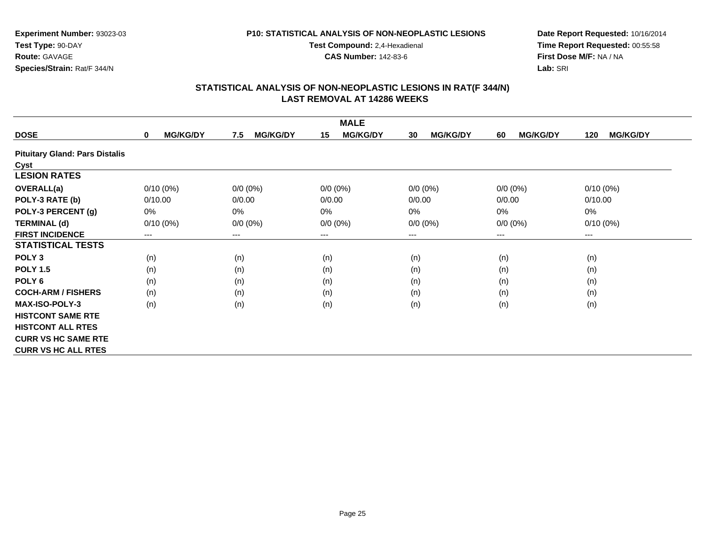### **P10: STATISTICAL ANALYSIS OF NON-NEOPLASTIC LESIONS**

**Test Compound:** 2,4-Hexadienal

**CAS Number:** 142-83-6

**Date Report Requested:** 10/16/2014**Time Report Requested:** 00:55:58**First Dose M/F:** NA / NA**Lab:** SRI

|                                       | <b>MALE</b>                 |                        |                       |                       |                       |                        |  |  |  |
|---------------------------------------|-----------------------------|------------------------|-----------------------|-----------------------|-----------------------|------------------------|--|--|--|
| <b>DOSE</b>                           | <b>MG/KG/DY</b><br>$\bf{0}$ | <b>MG/KG/DY</b><br>7.5 | <b>MG/KG/DY</b><br>15 | <b>MG/KG/DY</b><br>30 | <b>MG/KG/DY</b><br>60 | <b>MG/KG/DY</b><br>120 |  |  |  |
| <b>Pituitary Gland: Pars Distalis</b> |                             |                        |                       |                       |                       |                        |  |  |  |
| Cyst                                  |                             |                        |                       |                       |                       |                        |  |  |  |
| <b>LESION RATES</b>                   |                             |                        |                       |                       |                       |                        |  |  |  |
| <b>OVERALL(a)</b>                     | $0/10(0\%)$                 | $0/0 (0\%)$            | $0/0 (0\%)$           | $0/0 (0\%)$           | $0/0 (0\%)$           | $0/10(0\%)$            |  |  |  |
| POLY-3 RATE (b)                       | 0/10.00                     | 0/0.00                 | 0/0.00                | 0/0.00                | 0/0.00                | 0/10.00                |  |  |  |
| POLY-3 PERCENT (g)                    | 0%                          | $0\%$                  | 0%                    | 0%                    | $0\%$                 | 0%                     |  |  |  |
| <b>TERMINAL (d)</b>                   | $0/10(0\%)$                 | $0/0 (0\%)$            | $0/0 (0\%)$           | $0/0 (0\%)$           | $0/0 (0\%)$           | $0/10(0\%)$            |  |  |  |
| <b>FIRST INCIDENCE</b>                | ---                         | $--$                   | $--$                  | ---                   | ---                   | ---                    |  |  |  |
| <b>STATISTICAL TESTS</b>              |                             |                        |                       |                       |                       |                        |  |  |  |
| POLY <sub>3</sub>                     | (n)                         | (n)                    | (n)                   | (n)                   | (n)                   | (n)                    |  |  |  |
| <b>POLY 1.5</b>                       | (n)                         | (n)                    | (n)                   | (n)                   | (n)                   | (n)                    |  |  |  |
| POLY <sub>6</sub>                     | (n)                         | (n)                    | (n)                   | (n)                   | (n)                   | (n)                    |  |  |  |
| <b>COCH-ARM / FISHERS</b>             | (n)                         | (n)                    | (n)                   | (n)                   | (n)                   | (n)                    |  |  |  |
| <b>MAX-ISO-POLY-3</b>                 | (n)                         | (n)                    | (n)                   | (n)                   | (n)                   | (n)                    |  |  |  |
| <b>HISTCONT SAME RTE</b>              |                             |                        |                       |                       |                       |                        |  |  |  |
| <b>HISTCONT ALL RTES</b>              |                             |                        |                       |                       |                       |                        |  |  |  |
| <b>CURR VS HC SAME RTE</b>            |                             |                        |                       |                       |                       |                        |  |  |  |
| <b>CURR VS HC ALL RTES</b>            |                             |                        |                       |                       |                       |                        |  |  |  |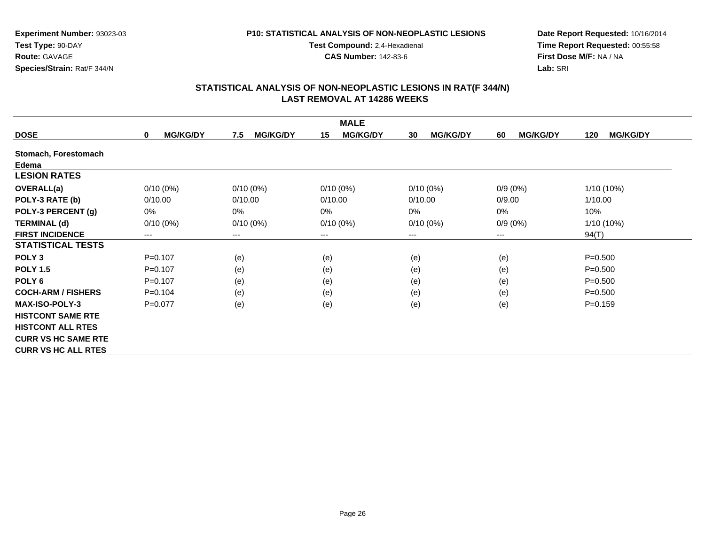### **P10: STATISTICAL ANALYSIS OF NON-NEOPLASTIC LESIONS**

**Test Compound:** 2,4-Hexadienal

**CAS Number:** 142-83-6

**Date Report Requested:** 10/16/2014**Time Report Requested:** 00:55:58**First Dose M/F:** NA / NA**Lab:** SRI

|                            |                                |                        | <b>MALE</b>           |                       |                       |                        |
|----------------------------|--------------------------------|------------------------|-----------------------|-----------------------|-----------------------|------------------------|
| <b>DOSE</b>                | <b>MG/KG/DY</b><br>$\mathbf 0$ | <b>MG/KG/DY</b><br>7.5 | <b>MG/KG/DY</b><br>15 | <b>MG/KG/DY</b><br>30 | <b>MG/KG/DY</b><br>60 | <b>MG/KG/DY</b><br>120 |
| Stomach, Forestomach       |                                |                        |                       |                       |                       |                        |
| Edema                      |                                |                        |                       |                       |                       |                        |
| <b>LESION RATES</b>        |                                |                        |                       |                       |                       |                        |
| OVERALL(a)                 | $0/10(0\%)$                    | $0/10(0\%)$            | $0/10(0\%)$           | $0/10(0\%)$           | $0/9(0\%)$            | 1/10 (10%)             |
| POLY-3 RATE (b)            | 0/10.00                        | 0/10.00                | 0/10.00               | 0/10.00               | 0/9.00                | 1/10.00                |
| POLY-3 PERCENT (g)         | 0%                             | $0\%$                  | 0%                    | 0%                    | 0%                    | 10%                    |
| <b>TERMINAL (d)</b>        | $0/10(0\%)$                    | $0/10(0\%)$            | $0/10(0\%)$           | $0/10(0\%)$           | $0/9(0\%)$            | 1/10 (10%)             |
| <b>FIRST INCIDENCE</b>     | ---                            | ---                    | $--$                  | ---                   | ---                   | 94(T)                  |
| <b>STATISTICAL TESTS</b>   |                                |                        |                       |                       |                       |                        |
| POLY <sub>3</sub>          | $P = 0.107$                    | (e)                    | (e)                   | (e)                   | (e)                   | $P = 0.500$            |
| <b>POLY 1.5</b>            | $P=0.107$                      | (e)                    | (e)                   | (e)                   | (e)                   | $P = 0.500$            |
| POLY <sub>6</sub>          | $P = 0.107$                    | (e)                    | (e)                   | (e)                   | (e)                   | $P = 0.500$            |
| <b>COCH-ARM / FISHERS</b>  | $P=0.104$                      | (e)                    | (e)                   | (e)                   | (e)                   | $P = 0.500$            |
| <b>MAX-ISO-POLY-3</b>      | $P=0.077$                      | (e)                    | (e)                   | (e)                   | (e)                   | $P = 0.159$            |
| <b>HISTCONT SAME RTE</b>   |                                |                        |                       |                       |                       |                        |
| <b>HISTCONT ALL RTES</b>   |                                |                        |                       |                       |                       |                        |
| <b>CURR VS HC SAME RTE</b> |                                |                        |                       |                       |                       |                        |
| <b>CURR VS HC ALL RTES</b> |                                |                        |                       |                       |                       |                        |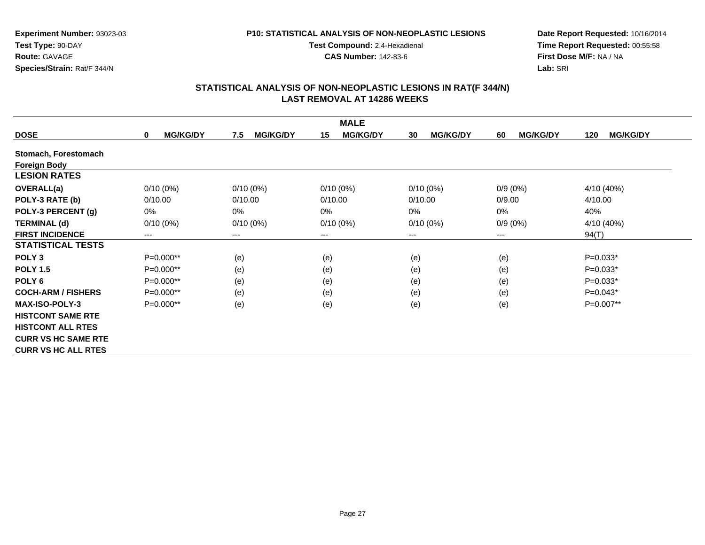### **P10: STATISTICAL ANALYSIS OF NON-NEOPLASTIC LESIONS**

**Test Compound:** 2,4-Hexadienal **CAS Number:** 142-83-6

**Date Report Requested:** 10/16/2014**Time Report Requested:** 00:55:58**First Dose M/F:** NA / NA**Lab:** SRI

|                            |                                |                        | <b>MALE</b>           |                       |                       |                        |
|----------------------------|--------------------------------|------------------------|-----------------------|-----------------------|-----------------------|------------------------|
| <b>DOSE</b>                | <b>MG/KG/DY</b><br>$\mathbf 0$ | <b>MG/KG/DY</b><br>7.5 | <b>MG/KG/DY</b><br>15 | <b>MG/KG/DY</b><br>30 | <b>MG/KG/DY</b><br>60 | <b>MG/KG/DY</b><br>120 |
| Stomach, Forestomach       |                                |                        |                       |                       |                       |                        |
| <b>Foreign Body</b>        |                                |                        |                       |                       |                       |                        |
| <b>LESION RATES</b>        |                                |                        |                       |                       |                       |                        |
| <b>OVERALL(a)</b>          | $0/10(0\%)$                    | $0/10(0\%)$            | $0/10(0\%)$           | $0/10(0\%)$           | $0/9(0\%)$            | 4/10 (40%)             |
| POLY-3 RATE (b)            | 0/10.00                        | 0/10.00                | 0/10.00               | 0/10.00               | 0/9.00                | 4/10.00                |
| POLY-3 PERCENT (g)         | $0\%$                          | $0\%$                  | 0%                    | 0%                    | 0%                    | 40%                    |
| <b>TERMINAL (d)</b>        | $0/10(0\%)$                    | $0/10(0\%)$            | $0/10(0\%)$           | $0/10(0\%)$           | $0/9(0\%)$            | 4/10 (40%)             |
| <b>FIRST INCIDENCE</b>     | ---                            | ---                    | $---$                 | $---$                 | $---$                 | 94(T)                  |
| <b>STATISTICAL TESTS</b>   |                                |                        |                       |                       |                       |                        |
| POLY <sub>3</sub>          | $P=0.000**$                    | (e)                    | (e)                   | (e)                   | (e)                   | $P=0.033*$             |
| <b>POLY 1.5</b>            | $P=0.000**$                    | (e)                    | (e)                   | (e)                   | (e)                   | $P=0.033*$             |
| POLY <sub>6</sub>          | $P=0.000**$                    | (e)                    | (e)                   | (e)                   | (e)                   | $P=0.033*$             |
| <b>COCH-ARM / FISHERS</b>  | $P=0.000**$                    | (e)                    | (e)                   | (e)                   | (e)                   | $P=0.043*$             |
| <b>MAX-ISO-POLY-3</b>      | P=0.000**                      | (e)                    | (e)                   | (e)                   | (e)                   | P=0.007**              |
| <b>HISTCONT SAME RTE</b>   |                                |                        |                       |                       |                       |                        |
| <b>HISTCONT ALL RTES</b>   |                                |                        |                       |                       |                       |                        |
| <b>CURR VS HC SAME RTE</b> |                                |                        |                       |                       |                       |                        |
| <b>CURR VS HC ALL RTES</b> |                                |                        |                       |                       |                       |                        |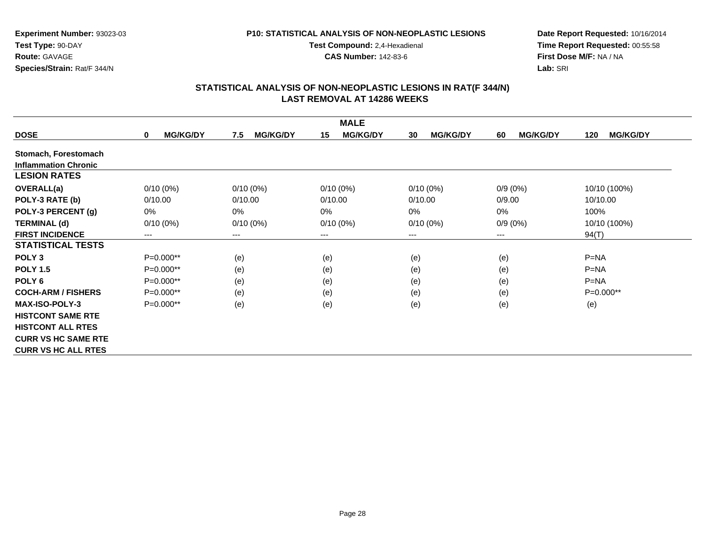### **P10: STATISTICAL ANALYSIS OF NON-NEOPLASTIC LESIONS**

**Test Compound:** 2,4-Hexadienal

**CAS Number:** 142-83-6

**Date Report Requested:** 10/16/2014**Time Report Requested:** 00:55:58**First Dose M/F:** NA / NA**Lab:** SRI

| <b>MALE</b>                 |                                |                        |                       |                       |                       |                        |  |
|-----------------------------|--------------------------------|------------------------|-----------------------|-----------------------|-----------------------|------------------------|--|
| <b>DOSE</b>                 | <b>MG/KG/DY</b><br>$\mathbf 0$ | <b>MG/KG/DY</b><br>7.5 | <b>MG/KG/DY</b><br>15 | <b>MG/KG/DY</b><br>30 | <b>MG/KG/DY</b><br>60 | <b>MG/KG/DY</b><br>120 |  |
| Stomach, Forestomach        |                                |                        |                       |                       |                       |                        |  |
| <b>Inflammation Chronic</b> |                                |                        |                       |                       |                       |                        |  |
| <b>LESION RATES</b>         |                                |                        |                       |                       |                       |                        |  |
| <b>OVERALL(a)</b>           | $0/10(0\%)$                    | $0/10(0\%)$            | $0/10(0\%)$           | $0/10(0\%)$           | $0/9(0\%)$            | 10/10 (100%)           |  |
| POLY-3 RATE (b)             | 0/10.00                        | 0/10.00                | 0/10.00               | 0/10.00               | 0/9.00                | 10/10.00               |  |
| POLY-3 PERCENT (g)          | $0\%$                          | $0\%$                  | 0%                    | 0%                    | 0%                    | 100%                   |  |
| <b>TERMINAL (d)</b>         | $0/10(0\%)$                    | $0/10(0\%)$            | $0/10(0\%)$           | $0/10(0\%)$           | $0/9(0\%)$            | 10/10 (100%)           |  |
| <b>FIRST INCIDENCE</b>      | ---                            | ---                    | $--$                  | ---                   | $--$                  | 94(T)                  |  |
| <b>STATISTICAL TESTS</b>    |                                |                        |                       |                       |                       |                        |  |
| POLY <sub>3</sub>           | $P=0.000**$                    | (e)                    | (e)                   | (e)                   | (e)                   | $P = NA$               |  |
| <b>POLY 1.5</b>             | $P=0.000**$                    | (e)                    | (e)                   | (e)                   | (e)                   | $P = NA$               |  |
| POLY <sub>6</sub>           | $P=0.000**$                    | (e)                    | (e)                   | (e)                   | (e)                   | $P = NA$               |  |
| <b>COCH-ARM / FISHERS</b>   | $P=0.000**$                    | (e)                    | (e)                   | (e)                   | (e)                   | $P=0.000**$            |  |
| <b>MAX-ISO-POLY-3</b>       | $P=0.000**$                    | (e)                    | (e)                   | (e)                   | (e)                   | (e)                    |  |
| <b>HISTCONT SAME RTE</b>    |                                |                        |                       |                       |                       |                        |  |
| <b>HISTCONT ALL RTES</b>    |                                |                        |                       |                       |                       |                        |  |
| <b>CURR VS HC SAME RTE</b>  |                                |                        |                       |                       |                       |                        |  |
| <b>CURR VS HC ALL RTES</b>  |                                |                        |                       |                       |                       |                        |  |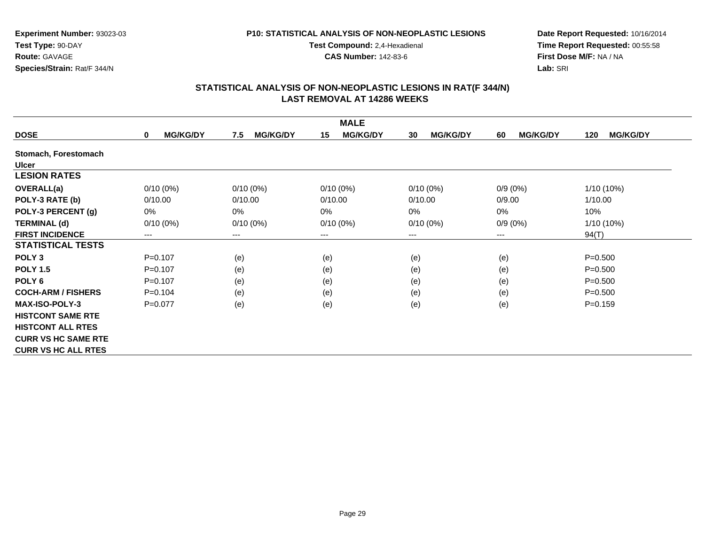### **P10: STATISTICAL ANALYSIS OF NON-NEOPLASTIC LESIONS**

**Test Compound:** 2,4-Hexadienal

**CAS Number:** 142-83-6

**Date Report Requested:** 10/16/2014**Time Report Requested:** 00:55:58**First Dose M/F:** NA / NA**Lab:** SRI

|                            |                                |                        | <b>MALE</b>           |                       |                       |                        |
|----------------------------|--------------------------------|------------------------|-----------------------|-----------------------|-----------------------|------------------------|
| <b>DOSE</b>                | <b>MG/KG/DY</b><br>$\mathbf 0$ | <b>MG/KG/DY</b><br>7.5 | <b>MG/KG/DY</b><br>15 | <b>MG/KG/DY</b><br>30 | <b>MG/KG/DY</b><br>60 | <b>MG/KG/DY</b><br>120 |
| Stomach, Forestomach       |                                |                        |                       |                       |                       |                        |
| <b>Ulcer</b>               |                                |                        |                       |                       |                       |                        |
| <b>LESION RATES</b>        |                                |                        |                       |                       |                       |                        |
| <b>OVERALL(a)</b>          | $0/10(0\%)$                    | $0/10(0\%)$            | $0/10(0\%)$           | $0/10(0\%)$           | $0/9(0\%)$            | 1/10 (10%)             |
| POLY-3 RATE (b)            | 0/10.00                        | 0/10.00                | 0/10.00               | 0/10.00               | 0/9.00                | 1/10.00                |
| POLY-3 PERCENT (g)         | $0\%$                          | $0\%$                  | 0%                    | 0%                    | 0%                    | 10%                    |
| <b>TERMINAL (d)</b>        | $0/10(0\%)$                    | $0/10(0\%)$            | $0/10(0\%)$           | $0/10(0\%)$           | $0/9(0\%)$            | 1/10 (10%)             |
| <b>FIRST INCIDENCE</b>     | ---                            | ---                    | $---$                 | ---                   | $--$                  | 94(T)                  |
| <b>STATISTICAL TESTS</b>   |                                |                        |                       |                       |                       |                        |
| POLY <sub>3</sub>          | $P = 0.107$                    | (e)                    | (e)                   | (e)                   | (e)                   | $P = 0.500$            |
| <b>POLY 1.5</b>            | $P=0.107$                      | (e)                    | (e)                   | (e)                   | (e)                   | $P = 0.500$            |
| POLY <sub>6</sub>          | $P = 0.107$                    | (e)                    | (e)                   | (e)                   | (e)                   | $P = 0.500$            |
| <b>COCH-ARM / FISHERS</b>  | $P=0.104$                      | (e)                    | (e)                   | (e)                   | (e)                   | $P = 0.500$            |
| <b>MAX-ISO-POLY-3</b>      | $P=0.077$                      | (e)                    | (e)                   | (e)                   | (e)                   | $P = 0.159$            |
| <b>HISTCONT SAME RTE</b>   |                                |                        |                       |                       |                       |                        |
| <b>HISTCONT ALL RTES</b>   |                                |                        |                       |                       |                       |                        |
| <b>CURR VS HC SAME RTE</b> |                                |                        |                       |                       |                       |                        |
| <b>CURR VS HC ALL RTES</b> |                                |                        |                       |                       |                       |                        |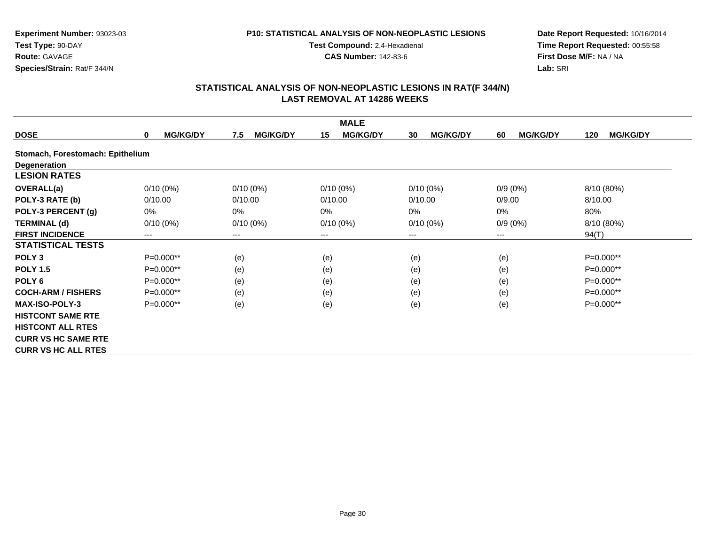### **P10: STATISTICAL ANALYSIS OF NON-NEOPLASTIC LESIONS**

**Test Compound:** 2,4-Hexadienal

**CAS Number:** 142-83-6

**Date Report Requested:** 10/16/2014**Time Report Requested:** 00:55:58**First Dose M/F:** NA / NA**Lab:** SRI

| <b>MALE</b>                      |                                |                        |                       |                       |                       |                        |  |  |
|----------------------------------|--------------------------------|------------------------|-----------------------|-----------------------|-----------------------|------------------------|--|--|
| <b>DOSE</b>                      | <b>MG/KG/DY</b><br>$\mathbf 0$ | <b>MG/KG/DY</b><br>7.5 | 15<br><b>MG/KG/DY</b> | <b>MG/KG/DY</b><br>30 | <b>MG/KG/DY</b><br>60 | <b>MG/KG/DY</b><br>120 |  |  |
| Stomach, Forestomach: Epithelium |                                |                        |                       |                       |                       |                        |  |  |
| <b>Degeneration</b>              |                                |                        |                       |                       |                       |                        |  |  |
| <b>LESION RATES</b>              |                                |                        |                       |                       |                       |                        |  |  |
| <b>OVERALL(a)</b>                | $0/10(0\%)$                    | $0/10(0\%)$            | $0/10(0\%)$           | $0/10(0\%)$           | $0/9(0\%)$            | 8/10 (80%)             |  |  |
| POLY-3 RATE (b)                  | 0/10.00                        | 0/10.00                | 0/10.00               | 0/10.00               | 0/9.00                | 8/10.00                |  |  |
| POLY-3 PERCENT (g)               | 0%                             | $0\%$                  | 0%                    | 0%                    | 0%                    | 80%                    |  |  |
| <b>TERMINAL (d)</b>              | $0/10(0\%)$                    | $0/10(0\%)$            | $0/10(0\%)$           | $0/10(0\%)$           | $0/9(0\%)$            | 8/10 (80%)             |  |  |
| <b>FIRST INCIDENCE</b>           | ---                            | ---                    | $---$                 | ---                   | $--$                  | 94(T)                  |  |  |
| <b>STATISTICAL TESTS</b>         |                                |                        |                       |                       |                       |                        |  |  |
| POLY <sub>3</sub>                | $P=0.000**$                    | (e)                    | (e)                   | (e)                   | (e)                   | $P=0.000**$            |  |  |
| <b>POLY 1.5</b>                  | $P=0.000**$                    | (e)                    | (e)                   | (e)                   | (e)                   | $P=0.000**$            |  |  |
| POLY <sub>6</sub>                | $P=0.000**$                    | (e)                    | (e)                   | (e)                   | (e)                   | $P=0.000**$            |  |  |
| <b>COCH-ARM / FISHERS</b>        | $P=0.000**$                    | (e)                    | (e)                   | (e)                   | (e)                   | $P=0.000**$            |  |  |
| <b>MAX-ISO-POLY-3</b>            | $P=0.000**$                    | (e)                    | (e)                   | (e)                   | (e)                   | $P=0.000**$            |  |  |
| <b>HISTCONT SAME RTE</b>         |                                |                        |                       |                       |                       |                        |  |  |
| <b>HISTCONT ALL RTES</b>         |                                |                        |                       |                       |                       |                        |  |  |
| <b>CURR VS HC SAME RTE</b>       |                                |                        |                       |                       |                       |                        |  |  |
| <b>CURR VS HC ALL RTES</b>       |                                |                        |                       |                       |                       |                        |  |  |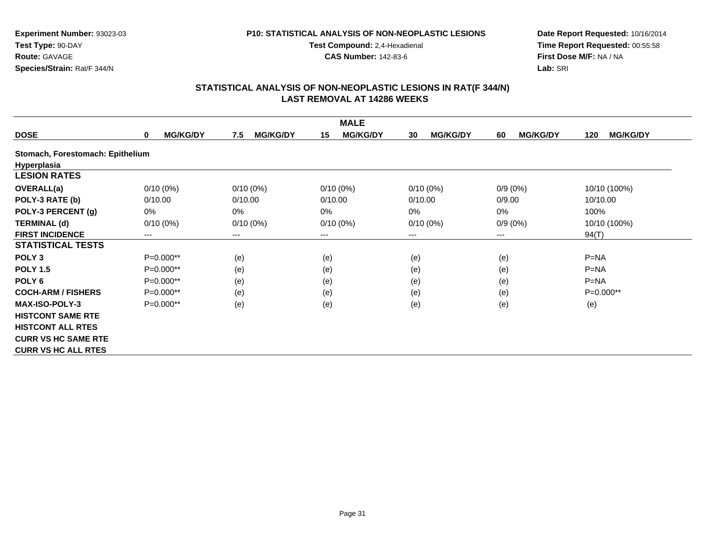### **P10: STATISTICAL ANALYSIS OF NON-NEOPLASTIC LESIONS**

**Test Compound:** 2,4-Hexadienal

**CAS Number:** 142-83-6

**Date Report Requested:** 10/16/2014**Time Report Requested:** 00:55:58**First Dose M/F:** NA / NA**Lab:** SRI

| <b>MALE</b>                      |                                |                        |                            |                       |                       |                        |  |  |
|----------------------------------|--------------------------------|------------------------|----------------------------|-----------------------|-----------------------|------------------------|--|--|
| <b>DOSE</b>                      | <b>MG/KG/DY</b><br>$\mathbf 0$ | <b>MG/KG/DY</b><br>7.5 | <b>MG/KG/DY</b><br>15      | <b>MG/KG/DY</b><br>30 | <b>MG/KG/DY</b><br>60 | <b>MG/KG/DY</b><br>120 |  |  |
| Stomach, Forestomach: Epithelium |                                |                        |                            |                       |                       |                        |  |  |
| Hyperplasia                      |                                |                        |                            |                       |                       |                        |  |  |
| <b>LESION RATES</b>              |                                |                        |                            |                       |                       |                        |  |  |
| <b>OVERALL(a)</b>                | $0/10(0\%)$                    | $0/10(0\%)$            | $0/10(0\%)$                | $0/10(0\%)$           | $0/9(0\%)$            | 10/10 (100%)           |  |  |
| POLY-3 RATE (b)                  | 0/10.00                        | 0/10.00                | 0/10.00                    | 0/10.00               | 0/9.00                | 10/10.00               |  |  |
| POLY-3 PERCENT (g)               | $0\%$                          | 0%                     | 0%                         | $0\%$                 | 0%                    | 100%                   |  |  |
| <b>TERMINAL (d)</b>              | $0/10(0\%)$                    | $0/10(0\%)$            | $0/10(0\%)$                | $0/10(0\%)$           | $0/9(0\%)$            | 10/10 (100%)           |  |  |
| <b>FIRST INCIDENCE</b>           | ---                            | ---                    | $\qquad \qquad - \qquad -$ | ---                   | ---                   | 94(T)                  |  |  |
| <b>STATISTICAL TESTS</b>         |                                |                        |                            |                       |                       |                        |  |  |
| POLY <sub>3</sub>                | $P=0.000**$                    | (e)                    | (e)                        | (e)                   | (e)                   | $P=NA$                 |  |  |
| <b>POLY 1.5</b>                  | $P=0.000**$                    | (e)                    | (e)                        | (e)                   | (e)                   | $P=NA$                 |  |  |
| POLY <sub>6</sub>                | $P=0.000**$                    | (e)                    | (e)                        | (e)                   | (e)                   | $P=NA$                 |  |  |
| <b>COCH-ARM / FISHERS</b>        | $P=0.000**$                    | (e)                    | (e)                        | (e)                   | (e)                   | $P=0.000**$            |  |  |
| <b>MAX-ISO-POLY-3</b>            | P=0.000**                      | (e)                    | (e)                        | (e)                   | (e)                   | (e)                    |  |  |
| <b>HISTCONT SAME RTE</b>         |                                |                        |                            |                       |                       |                        |  |  |
| <b>HISTCONT ALL RTES</b>         |                                |                        |                            |                       |                       |                        |  |  |
| <b>CURR VS HC SAME RTE</b>       |                                |                        |                            |                       |                       |                        |  |  |
| <b>CURR VS HC ALL RTES</b>       |                                |                        |                            |                       |                       |                        |  |  |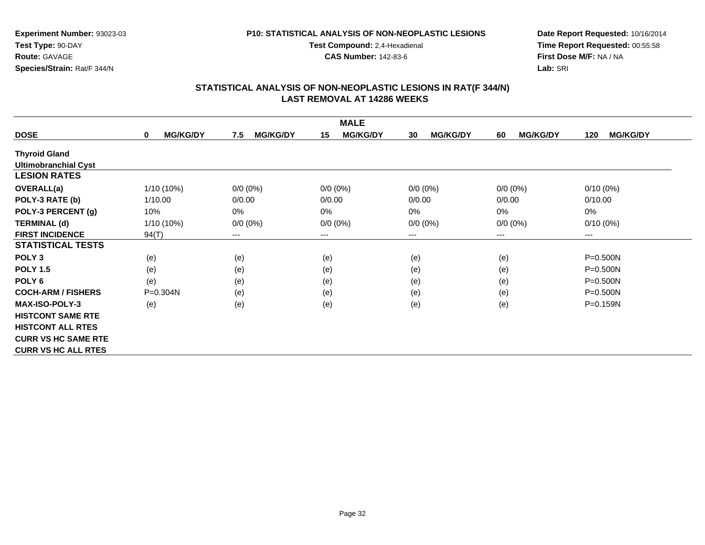### **P10: STATISTICAL ANALYSIS OF NON-NEOPLASTIC LESIONS**

**Test Compound:** 2,4-Hexadienal

**CAS Number:** 142-83-6

**Date Report Requested:** 10/16/2014**Time Report Requested:** 00:55:58**First Dose M/F:** NA / NA**Lab:** SRI

|                             |                                |                        | <b>MALE</b>                |                            |                       |                        |
|-----------------------------|--------------------------------|------------------------|----------------------------|----------------------------|-----------------------|------------------------|
| <b>DOSE</b>                 | <b>MG/KG/DY</b><br>$\mathbf 0$ | <b>MG/KG/DY</b><br>7.5 | <b>MG/KG/DY</b><br>15      | <b>MG/KG/DY</b><br>30      | <b>MG/KG/DY</b><br>60 | <b>MG/KG/DY</b><br>120 |
| <b>Thyroid Gland</b>        |                                |                        |                            |                            |                       |                        |
| <b>Ultimobranchial Cyst</b> |                                |                        |                            |                            |                       |                        |
| <b>LESION RATES</b>         |                                |                        |                            |                            |                       |                        |
| <b>OVERALL(a)</b>           | 1/10 (10%)                     | $0/0 (0\%)$            | $0/0 (0\%)$                | $0/0 (0\%)$                | $0/0 (0\%)$           | $0/10(0\%)$            |
| POLY-3 RATE (b)             | 1/10.00                        | 0/0.00                 | 0/0.00                     | 0/0.00                     | 0/0.00                | 0/10.00                |
| POLY-3 PERCENT (g)          | 10%                            | 0%                     | 0%                         | 0%                         | $0\%$                 | 0%                     |
| <b>TERMINAL (d)</b>         | $1/10(10\%)$                   | $0/0 (0\%)$            | $0/0 (0\%)$                | $0/0 (0\%)$                | $0/0 (0\%)$           | $0/10(0\%)$            |
| <b>FIRST INCIDENCE</b>      | 94(T)                          | ---                    | $\qquad \qquad - \qquad -$ | $\qquad \qquad - \qquad -$ | $---$                 | ---                    |
| <b>STATISTICAL TESTS</b>    |                                |                        |                            |                            |                       |                        |
| POLY <sub>3</sub>           | (e)                            | (e)                    | (e)                        | (e)                        | (e)                   | $P = 0.500N$           |
| <b>POLY 1.5</b>             | (e)                            | (e)                    | (e)                        | (e)                        | (e)                   | $P = 0.500N$           |
| POLY <sub>6</sub>           | (e)                            | (e)                    | (e)                        | (e)                        | (e)                   | $P = 0.500N$           |
| <b>COCH-ARM / FISHERS</b>   | $P = 0.304N$                   | (e)                    | (e)                        | (e)                        | (e)                   | $P = 0.500N$           |
| <b>MAX-ISO-POLY-3</b>       | (e)                            | (e)                    | (e)                        | (e)                        | (e)                   | $P = 0.159N$           |
| <b>HISTCONT SAME RTE</b>    |                                |                        |                            |                            |                       |                        |
| <b>HISTCONT ALL RTES</b>    |                                |                        |                            |                            |                       |                        |
| <b>CURR VS HC SAME RTE</b>  |                                |                        |                            |                            |                       |                        |
| <b>CURR VS HC ALL RTES</b>  |                                |                        |                            |                            |                       |                        |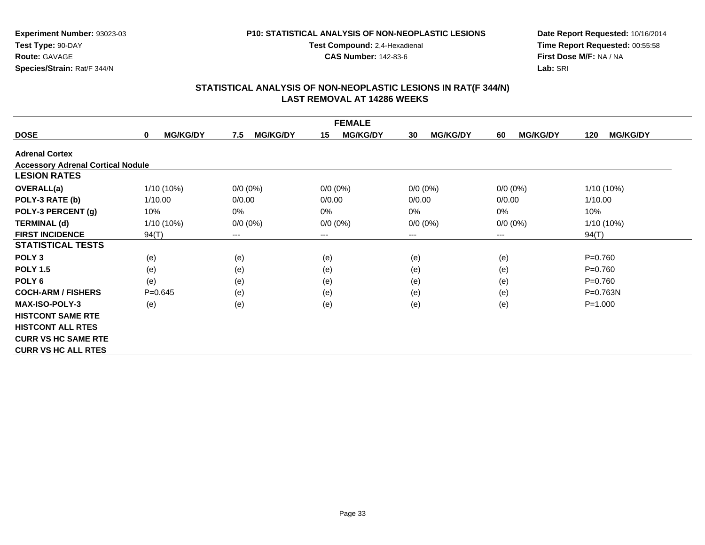### **P10: STATISTICAL ANALYSIS OF NON-NEOPLASTIC LESIONS**

**Test Compound:** 2,4-Hexadienal

**CAS Number:** 142-83-6

**Date Report Requested:** 10/16/2014**Time Report Requested:** 00:55:58**First Dose M/F:** NA / NA**Lab:** SRI

|                                          |                                |                            | <b>FEMALE</b>         |                       |                       |                        |
|------------------------------------------|--------------------------------|----------------------------|-----------------------|-----------------------|-----------------------|------------------------|
| <b>DOSE</b>                              | <b>MG/KG/DY</b><br>$\mathbf 0$ | <b>MG/KG/DY</b><br>7.5     | <b>MG/KG/DY</b><br>15 | <b>MG/KG/DY</b><br>30 | <b>MG/KG/DY</b><br>60 | <b>MG/KG/DY</b><br>120 |
| <b>Adrenal Cortex</b>                    |                                |                            |                       |                       |                       |                        |
| <b>Accessory Adrenal Cortical Nodule</b> |                                |                            |                       |                       |                       |                        |
| <b>LESION RATES</b>                      |                                |                            |                       |                       |                       |                        |
| <b>OVERALL(a)</b>                        | 1/10 (10%)                     | $0/0 (0\%)$                | $0/0 (0\%)$           | $0/0 (0\%)$           | $0/0 (0\%)$           | 1/10 (10%)             |
| POLY-3 RATE (b)                          | 1/10.00                        | 0/0.00                     | 0/0.00                | 0/0.00                | 0/0.00                | 1/10.00                |
| POLY-3 PERCENT (g)                       | 10%                            | 0%                         | 0%                    | 0%                    | 0%                    | 10%                    |
| <b>TERMINAL (d)</b>                      | 1/10 (10%)                     | $0/0 (0\%)$                | $0/0 (0\%)$           | $0/0 (0\%)$           | $0/0 (0\%)$           | $1/10(10\%)$           |
| <b>FIRST INCIDENCE</b>                   | 94(T)                          | $\qquad \qquad - \qquad -$ | $---$                 | $---$                 | ---                   | 94(T)                  |
| <b>STATISTICAL TESTS</b>                 |                                |                            |                       |                       |                       |                        |
| POLY <sub>3</sub>                        | (e)                            | (e)                        | (e)                   | (e)                   | (e)                   | $P = 0.760$            |
| <b>POLY 1.5</b>                          | (e)                            | (e)                        | (e)                   | (e)                   | (e)                   | $P = 0.760$            |
| POLY <sub>6</sub>                        | (e)                            | (e)                        | (e)                   | (e)                   | (e)                   | $P = 0.760$            |
| <b>COCH-ARM / FISHERS</b>                | $P = 0.645$                    | (e)                        | (e)                   | (e)                   | (e)                   | $P = 0.763N$           |
| <b>MAX-ISO-POLY-3</b>                    | (e)                            | (e)                        | (e)                   | (e)                   | (e)                   | $P = 1.000$            |
| <b>HISTCONT SAME RTE</b>                 |                                |                            |                       |                       |                       |                        |
| <b>HISTCONT ALL RTES</b>                 |                                |                            |                       |                       |                       |                        |
| <b>CURR VS HC SAME RTE</b>               |                                |                            |                       |                       |                       |                        |
| <b>CURR VS HC ALL RTES</b>               |                                |                            |                       |                       |                       |                        |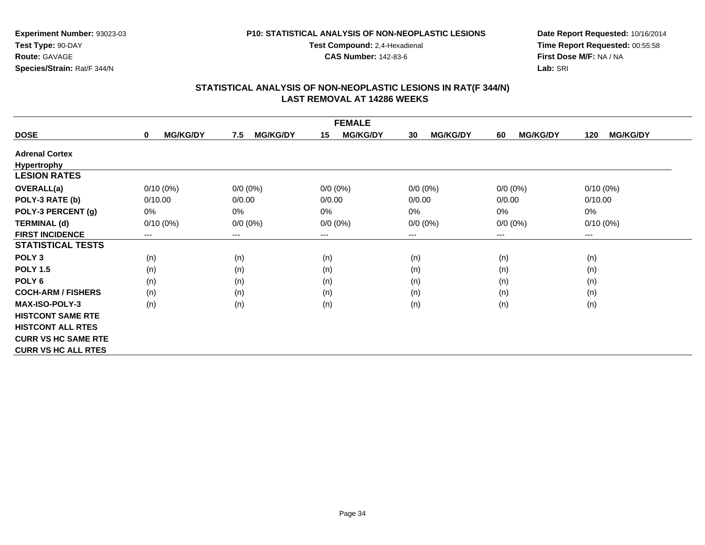### **P10: STATISTICAL ANALYSIS OF NON-NEOPLASTIC LESIONS**

**Test Compound:** 2,4-Hexadienal

**CAS Number:** 142-83-6

**Date Report Requested:** 10/16/2014**Time Report Requested:** 00:55:58**First Dose M/F:** NA / NA**Lab:** SRI

| <b>FEMALE</b>              |                                |                        |                       |                       |                       |                        |  |
|----------------------------|--------------------------------|------------------------|-----------------------|-----------------------|-----------------------|------------------------|--|
| <b>DOSE</b>                | <b>MG/KG/DY</b><br>$\mathbf 0$ | <b>MG/KG/DY</b><br>7.5 | <b>MG/KG/DY</b><br>15 | <b>MG/KG/DY</b><br>30 | <b>MG/KG/DY</b><br>60 | <b>MG/KG/DY</b><br>120 |  |
| <b>Adrenal Cortex</b>      |                                |                        |                       |                       |                       |                        |  |
| Hypertrophy                |                                |                        |                       |                       |                       |                        |  |
| <b>LESION RATES</b>        |                                |                        |                       |                       |                       |                        |  |
| <b>OVERALL(a)</b>          | $0/10(0\%)$                    | $0/0 (0\%)$            | $0/0 (0\%)$           | $0/0 (0\%)$           | $0/0 (0\%)$           | $0/10(0\%)$            |  |
| POLY-3 RATE (b)            | 0/10.00                        | 0/0.00                 | 0/0.00                | 0/0.00                | 0/0.00                | 0/10.00                |  |
| POLY-3 PERCENT (g)         | 0%                             | 0%                     | 0%                    | 0%                    | 0%                    | $0\%$                  |  |
| <b>TERMINAL (d)</b>        | $0/10(0\%)$                    | $0/0 (0\%)$            | $0/0 (0\%)$           | $0/0 (0\%)$           | $0/0 (0\%)$           | $0/10(0\%)$            |  |
| <b>FIRST INCIDENCE</b>     | ---                            | $---$                  | $--$                  | ---                   | $--$                  | $--$                   |  |
| <b>STATISTICAL TESTS</b>   |                                |                        |                       |                       |                       |                        |  |
| POLY <sub>3</sub>          | (n)                            | (n)                    | (n)                   | (n)                   | (n)                   | (n)                    |  |
| <b>POLY 1.5</b>            | (n)                            | (n)                    | (n)                   | (n)                   | (n)                   | (n)                    |  |
| POLY <sub>6</sub>          | (n)                            | (n)                    | (n)                   | (n)                   | (n)                   | (n)                    |  |
| <b>COCH-ARM / FISHERS</b>  | (n)                            | (n)                    | (n)                   | (n)                   | (n)                   | (n)                    |  |
| <b>MAX-ISO-POLY-3</b>      | (n)                            | (n)                    | (n)                   | (n)                   | (n)                   | (n)                    |  |
| <b>HISTCONT SAME RTE</b>   |                                |                        |                       |                       |                       |                        |  |
| <b>HISTCONT ALL RTES</b>   |                                |                        |                       |                       |                       |                        |  |
| <b>CURR VS HC SAME RTE</b> |                                |                        |                       |                       |                       |                        |  |
| <b>CURR VS HC ALL RTES</b> |                                |                        |                       |                       |                       |                        |  |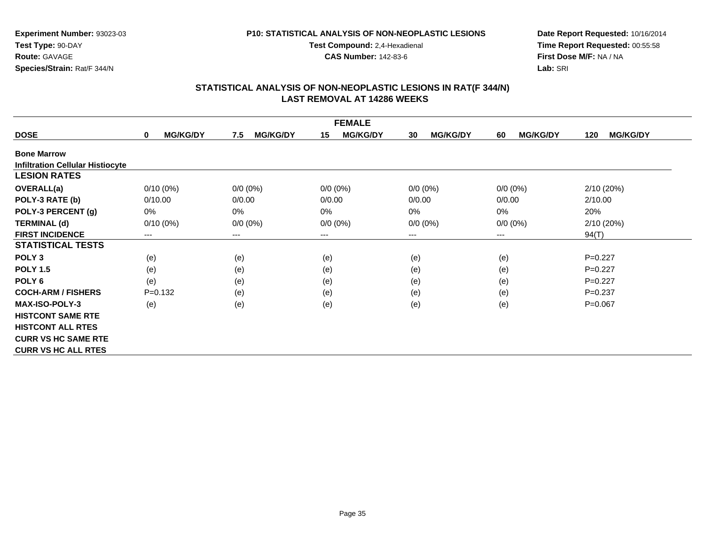### **P10: STATISTICAL ANALYSIS OF NON-NEOPLASTIC LESIONS**

**Test Compound:** 2,4-Hexadienal

**CAS Number:** 142-83-6

**Date Report Requested:** 10/16/2014**Time Report Requested:** 00:55:58**First Dose M/F:** NA / NA**Lab:** SRI

|                                         | <b>FEMALE</b>                  |                        |                       |                       |                       |                        |  |  |  |
|-----------------------------------------|--------------------------------|------------------------|-----------------------|-----------------------|-----------------------|------------------------|--|--|--|
| <b>DOSE</b>                             | <b>MG/KG/DY</b><br>$\mathbf 0$ | <b>MG/KG/DY</b><br>7.5 | <b>MG/KG/DY</b><br>15 | <b>MG/KG/DY</b><br>30 | <b>MG/KG/DY</b><br>60 | <b>MG/KG/DY</b><br>120 |  |  |  |
| <b>Bone Marrow</b>                      |                                |                        |                       |                       |                       |                        |  |  |  |
| <b>Infiltration Cellular Histiocyte</b> |                                |                        |                       |                       |                       |                        |  |  |  |
| <b>LESION RATES</b>                     |                                |                        |                       |                       |                       |                        |  |  |  |
| <b>OVERALL(a)</b>                       | $0/10(0\%)$                    | $0/0 (0\%)$            | $0/0 (0\%)$           | $0/0 (0\%)$           | $0/0 (0\%)$           | 2/10(20%)              |  |  |  |
| POLY-3 RATE (b)                         | 0/10.00                        | 0/0.00                 | 0/0.00                | 0/0.00                | 0/0.00                | 2/10.00                |  |  |  |
| POLY-3 PERCENT (g)                      | $0\%$                          | 0%                     | 0%                    | $0\%$                 | 0%                    | 20%                    |  |  |  |
| <b>TERMINAL (d)</b>                     | $0/10(0\%)$                    | $0/0 (0\%)$            | $0/0 (0\%)$           | $0/0 (0\%)$           | $0/0 (0\%)$           | 2/10(20%)              |  |  |  |
| <b>FIRST INCIDENCE</b>                  | ---                            | ---                    | $--$                  | ---                   | ---                   | 94(T)                  |  |  |  |
| <b>STATISTICAL TESTS</b>                |                                |                        |                       |                       |                       |                        |  |  |  |
| POLY <sub>3</sub>                       | (e)                            | (e)                    | (e)                   | (e)                   | (e)                   | $P=0.227$              |  |  |  |
| <b>POLY 1.5</b>                         | (e)                            | (e)                    | (e)                   | (e)                   | (e)                   | $P=0.227$              |  |  |  |
| POLY <sub>6</sub>                       | (e)                            | (e)                    | (e)                   | (e)                   | (e)                   | $P=0.227$              |  |  |  |
| <b>COCH-ARM / FISHERS</b>               | $P = 0.132$                    | (e)                    | (e)                   | (e)                   | (e)                   | $P = 0.237$            |  |  |  |
| <b>MAX-ISO-POLY-3</b>                   | (e)                            | (e)                    | (e)                   | (e)                   | (e)                   | $P=0.067$              |  |  |  |
| <b>HISTCONT SAME RTE</b>                |                                |                        |                       |                       |                       |                        |  |  |  |
| <b>HISTCONT ALL RTES</b>                |                                |                        |                       |                       |                       |                        |  |  |  |
| <b>CURR VS HC SAME RTE</b>              |                                |                        |                       |                       |                       |                        |  |  |  |
| <b>CURR VS HC ALL RTES</b>              |                                |                        |                       |                       |                       |                        |  |  |  |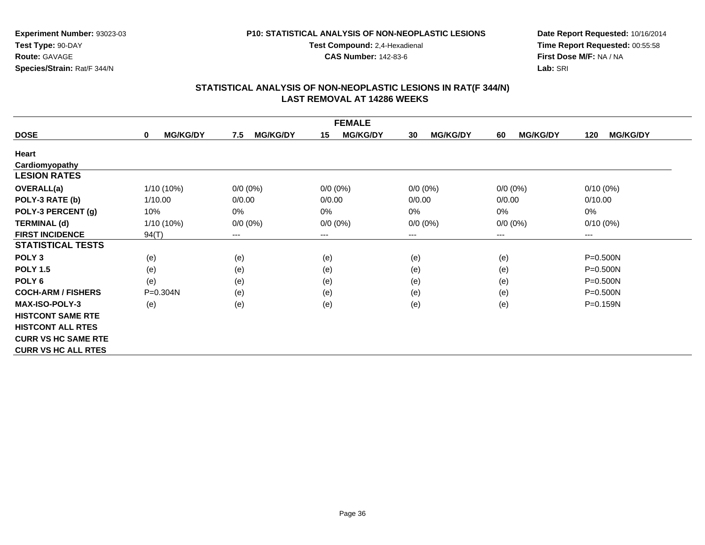### **P10: STATISTICAL ANALYSIS OF NON-NEOPLASTIC LESIONS**

**Test Compound:** 2,4-Hexadienal

**CAS Number:** 142-83-6

**Date Report Requested:** 10/16/2014**Time Report Requested:** 00:55:58**First Dose M/F:** NA / NA**Lab:** SRI

| <b>FEMALE</b>              |                                |                        |                       |                       |                       |                        |  |
|----------------------------|--------------------------------|------------------------|-----------------------|-----------------------|-----------------------|------------------------|--|
| <b>DOSE</b>                | <b>MG/KG/DY</b><br>$\mathbf 0$ | <b>MG/KG/DY</b><br>7.5 | <b>MG/KG/DY</b><br>15 | <b>MG/KG/DY</b><br>30 | <b>MG/KG/DY</b><br>60 | <b>MG/KG/DY</b><br>120 |  |
| Heart                      |                                |                        |                       |                       |                       |                        |  |
| Cardiomyopathy             |                                |                        |                       |                       |                       |                        |  |
| <b>LESION RATES</b>        |                                |                        |                       |                       |                       |                        |  |
| <b>OVERALL(a)</b>          | 1/10 (10%)                     | $0/0$ (0%)             | $0/0 (0\%)$           | $0/0 (0\%)$           | $0/0 (0\%)$           | $0/10(0\%)$            |  |
| POLY-3 RATE (b)            | 1/10.00                        | 0/0.00                 | 0/0.00                | 0/0.00                | 0/0.00                | 0/10.00                |  |
| POLY-3 PERCENT (g)         | 10%                            | 0%                     | 0%                    | 0%                    | 0%                    | 0%                     |  |
| <b>TERMINAL (d)</b>        | $1/10(10\%)$                   | $0/0 (0\%)$            | $0/0 (0\%)$           | $0/0 (0\%)$           | $0/0 (0\%)$           | $0/10(0\%)$            |  |
| <b>FIRST INCIDENCE</b>     | 94(T)                          | ---                    | $--$                  | ---                   | ---                   | ---                    |  |
| <b>STATISTICAL TESTS</b>   |                                |                        |                       |                       |                       |                        |  |
| POLY <sub>3</sub>          | (e)                            | (e)                    | (e)                   | (e)                   | (e)                   | $P = 0.500N$           |  |
| <b>POLY 1.5</b>            | (e)                            | (e)                    | (e)                   | (e)                   | (e)                   | $P = 0.500N$           |  |
| POLY 6                     | (e)                            | (e)                    | (e)                   | (e)                   | (e)                   | $P = 0.500N$           |  |
| <b>COCH-ARM / FISHERS</b>  | $P = 0.304N$                   | (e)                    | (e)                   | (e)                   | (e)                   | $P = 0.500N$           |  |
| MAX-ISO-POLY-3             | (e)                            | (e)                    | (e)                   | (e)                   | (e)                   | P=0.159N               |  |
| <b>HISTCONT SAME RTE</b>   |                                |                        |                       |                       |                       |                        |  |
| <b>HISTCONT ALL RTES</b>   |                                |                        |                       |                       |                       |                        |  |
| <b>CURR VS HC SAME RTE</b> |                                |                        |                       |                       |                       |                        |  |
| <b>CURR VS HC ALL RTES</b> |                                |                        |                       |                       |                       |                        |  |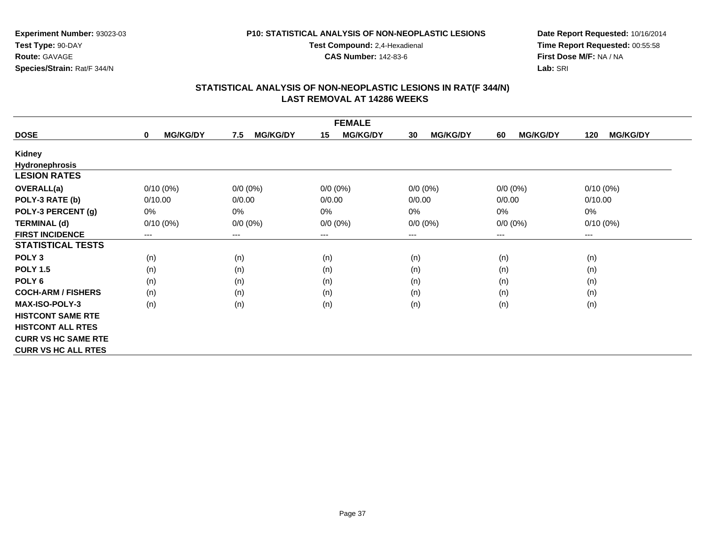### **P10: STATISTICAL ANALYSIS OF NON-NEOPLASTIC LESIONS**

**Test Compound:** 2,4-Hexadienal

**CAS Number:** 142-83-6

**Date Report Requested:** 10/16/2014**Time Report Requested:** 00:55:58**First Dose M/F:** NA / NA**Lab:** SRI

| <b>FEMALE</b>              |                                |                        |                       |                       |                       |                        |  |
|----------------------------|--------------------------------|------------------------|-----------------------|-----------------------|-----------------------|------------------------|--|
| <b>DOSE</b>                | <b>MG/KG/DY</b><br>$\mathbf 0$ | <b>MG/KG/DY</b><br>7.5 | <b>MG/KG/DY</b><br>15 | <b>MG/KG/DY</b><br>30 | <b>MG/KG/DY</b><br>60 | <b>MG/KG/DY</b><br>120 |  |
| Kidney                     |                                |                        |                       |                       |                       |                        |  |
| <b>Hydronephrosis</b>      |                                |                        |                       |                       |                       |                        |  |
| <b>LESION RATES</b>        |                                |                        |                       |                       |                       |                        |  |
| <b>OVERALL(a)</b>          | $0/10(0\%)$                    | $0/0 (0\%)$            | $0/0 (0\%)$           | $0/0 (0\%)$           | $0/0 (0\%)$           | $0/10(0\%)$            |  |
| POLY-3 RATE (b)            | 0/10.00                        | 0/0.00                 | 0/0.00                | 0/0.00                | 0/0.00                | 0/10.00                |  |
| POLY-3 PERCENT (g)         | 0%                             | 0%                     | 0%                    | $0\%$                 | 0%                    | $0\%$                  |  |
| <b>TERMINAL (d)</b>        | $0/10(0\%)$                    | $0/0 (0\%)$            | $0/0 (0\%)$           | $0/0 (0\%)$           | $0/0 (0\%)$           | $0/10(0\%)$            |  |
| <b>FIRST INCIDENCE</b>     | $\qquad \qquad \cdots$         | ---                    | $--$                  | ---                   | ---                   | $--$                   |  |
| <b>STATISTICAL TESTS</b>   |                                |                        |                       |                       |                       |                        |  |
| POLY <sub>3</sub>          | (n)                            | (n)                    | (n)                   | (n)                   | (n)                   | (n)                    |  |
| <b>POLY 1.5</b>            | (n)                            | (n)                    | (n)                   | (n)                   | (n)                   | (n)                    |  |
| POLY 6                     | (n)                            | (n)                    | (n)                   | (n)                   | (n)                   | (n)                    |  |
| <b>COCH-ARM / FISHERS</b>  | (n)                            | (n)                    | (n)                   | (n)                   | (n)                   | (n)                    |  |
| <b>MAX-ISO-POLY-3</b>      | (n)                            | (n)                    | (n)                   | (n)                   | (n)                   | (n)                    |  |
| <b>HISTCONT SAME RTE</b>   |                                |                        |                       |                       |                       |                        |  |
| <b>HISTCONT ALL RTES</b>   |                                |                        |                       |                       |                       |                        |  |
| <b>CURR VS HC SAME RTE</b> |                                |                        |                       |                       |                       |                        |  |
| <b>CURR VS HC ALL RTES</b> |                                |                        |                       |                       |                       |                        |  |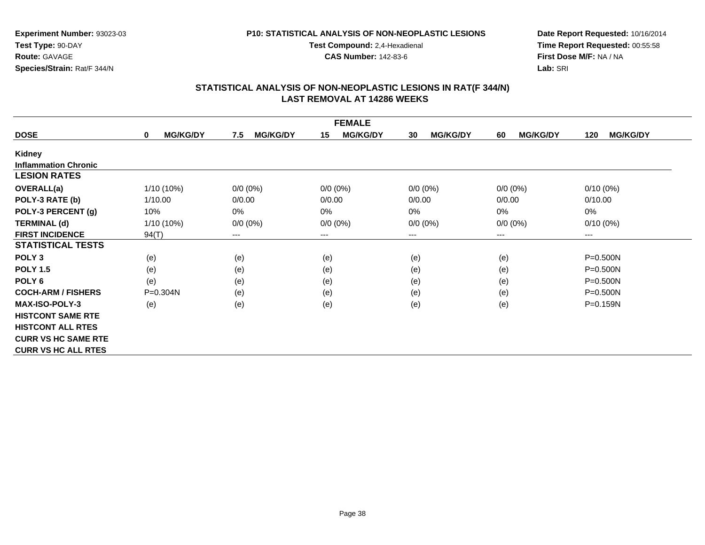### **P10: STATISTICAL ANALYSIS OF NON-NEOPLASTIC LESIONS**

**Test Compound:** 2,4-Hexadienal

**CAS Number:** 142-83-6

**Date Report Requested:** 10/16/2014**Time Report Requested:** 00:55:58**First Dose M/F:** NA / NA**Lab:** SRI

|                             | <b>FEMALE</b>                  |                        |                       |                       |                       |                        |  |  |
|-----------------------------|--------------------------------|------------------------|-----------------------|-----------------------|-----------------------|------------------------|--|--|
| <b>DOSE</b>                 | <b>MG/KG/DY</b><br>$\mathbf 0$ | 7.5<br><b>MG/KG/DY</b> | 15<br><b>MG/KG/DY</b> | <b>MG/KG/DY</b><br>30 | <b>MG/KG/DY</b><br>60 | <b>MG/KG/DY</b><br>120 |  |  |
| Kidney                      |                                |                        |                       |                       |                       |                        |  |  |
| <b>Inflammation Chronic</b> |                                |                        |                       |                       |                       |                        |  |  |
| <b>LESION RATES</b>         |                                |                        |                       |                       |                       |                        |  |  |
| <b>OVERALL(a)</b>           | $1/10(10\%)$                   | $0/0 (0\%)$            | $0/0 (0\%)$           | $0/0 (0\%)$           | $0/0 (0\%)$           | $0/10(0\%)$            |  |  |
| POLY-3 RATE (b)             | 1/10.00                        | 0/0.00                 | 0/0.00                | 0/0.00                | 0/0.00                | 0/10.00                |  |  |
| POLY-3 PERCENT (g)          | 10%                            | $0\%$                  | 0%                    | 0%                    | 0%                    | 0%                     |  |  |
| <b>TERMINAL (d)</b>         | $1/10(10\%)$                   | $0/0 (0\%)$            | $0/0 (0\%)$           | $0/0 (0\%)$           | $0/0 (0\%)$           | $0/10(0\%)$            |  |  |
| <b>FIRST INCIDENCE</b>      | 94(T)                          | ---                    | $---$                 | ---                   | $--$                  | ---                    |  |  |
| <b>STATISTICAL TESTS</b>    |                                |                        |                       |                       |                       |                        |  |  |
| POLY <sub>3</sub>           | (e)                            | (e)                    | (e)                   | (e)                   | (e)                   | $P = 0.500N$           |  |  |
| <b>POLY 1.5</b>             | (e)                            | (e)                    | (e)                   | (e)                   | (e)                   | $P = 0.500N$           |  |  |
| POLY <sub>6</sub>           | (e)                            | (e)                    | (e)                   | (e)                   | (e)                   | $P = 0.500N$           |  |  |
| <b>COCH-ARM / FISHERS</b>   | $P = 0.304N$                   | (e)                    | (e)                   | (e)                   | (e)                   | $P = 0.500N$           |  |  |
| <b>MAX-ISO-POLY-3</b>       | (e)                            | (e)                    | (e)                   | (e)                   | (e)                   | P=0.159N               |  |  |
| <b>HISTCONT SAME RTE</b>    |                                |                        |                       |                       |                       |                        |  |  |
| <b>HISTCONT ALL RTES</b>    |                                |                        |                       |                       |                       |                        |  |  |
| <b>CURR VS HC SAME RTE</b>  |                                |                        |                       |                       |                       |                        |  |  |
| <b>CURR VS HC ALL RTES</b>  |                                |                        |                       |                       |                       |                        |  |  |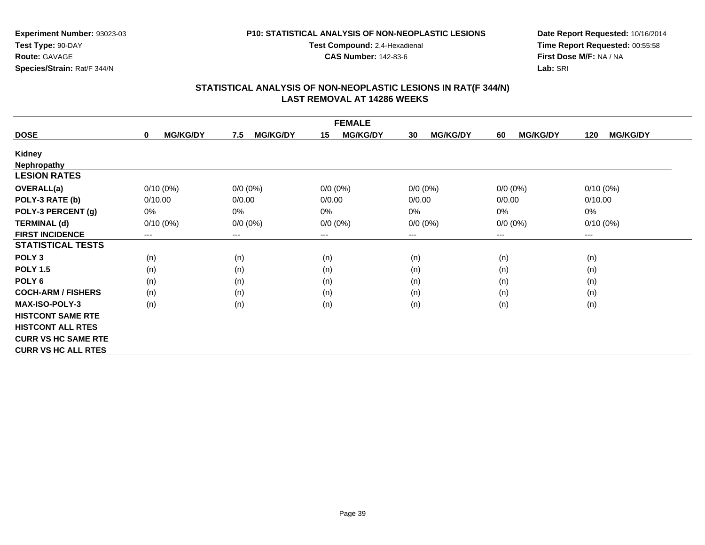### **P10: STATISTICAL ANALYSIS OF NON-NEOPLASTIC LESIONS**

**Test Compound:** 2,4-Hexadienal

**CAS Number:** 142-83-6

**Date Report Requested:** 10/16/2014**Time Report Requested:** 00:55:58**First Dose M/F:** NA / NA**Lab:** SRI

| <b>FEMALE</b>              |                                |                        |                       |                       |                       |                        |  |
|----------------------------|--------------------------------|------------------------|-----------------------|-----------------------|-----------------------|------------------------|--|
| <b>DOSE</b>                | <b>MG/KG/DY</b><br>$\mathbf 0$ | <b>MG/KG/DY</b><br>7.5 | <b>MG/KG/DY</b><br>15 | <b>MG/KG/DY</b><br>30 | <b>MG/KG/DY</b><br>60 | <b>MG/KG/DY</b><br>120 |  |
| Kidney                     |                                |                        |                       |                       |                       |                        |  |
| <b>Nephropathy</b>         |                                |                        |                       |                       |                       |                        |  |
| <b>LESION RATES</b>        |                                |                        |                       |                       |                       |                        |  |
| <b>OVERALL(a)</b>          | $0/10(0\%)$                    | $0/0 (0\%)$            | $0/0 (0\%)$           | $0/0 (0\%)$           | $0/0 (0\%)$           | $0/10(0\%)$            |  |
| POLY-3 RATE (b)            | 0/10.00                        | 0/0.00                 | 0/0.00                | 0/0.00                | 0/0.00                | 0/10.00                |  |
| POLY-3 PERCENT (g)         | 0%                             | 0%                     | 0%                    | 0%                    | 0%                    | 0%                     |  |
| <b>TERMINAL (d)</b>        | $0/10(0\%)$                    | $0/0 (0\%)$            | $0/0 (0\%)$           | $0/0 (0\%)$           | $0/0 (0\%)$           | $0/10(0\%)$            |  |
| <b>FIRST INCIDENCE</b>     | ---                            | ---                    | $---$                 | ---                   | $---$                 | ---                    |  |
| <b>STATISTICAL TESTS</b>   |                                |                        |                       |                       |                       |                        |  |
| POLY <sub>3</sub>          | (n)                            | (n)                    | (n)                   | (n)                   | (n)                   | (n)                    |  |
| <b>POLY 1.5</b>            | (n)                            | (n)                    | (n)                   | (n)                   | (n)                   | (n)                    |  |
| POLY <sub>6</sub>          | (n)                            | (n)                    | (n)                   | (n)                   | (n)                   | (n)                    |  |
| <b>COCH-ARM / FISHERS</b>  | (n)                            | (n)                    | (n)                   | (n)                   | (n)                   | (n)                    |  |
| <b>MAX-ISO-POLY-3</b>      | (n)                            | (n)                    | (n)                   | (n)                   | (n)                   | (n)                    |  |
| <b>HISTCONT SAME RTE</b>   |                                |                        |                       |                       |                       |                        |  |
| <b>HISTCONT ALL RTES</b>   |                                |                        |                       |                       |                       |                        |  |
| <b>CURR VS HC SAME RTE</b> |                                |                        |                       |                       |                       |                        |  |
| <b>CURR VS HC ALL RTES</b> |                                |                        |                       |                       |                       |                        |  |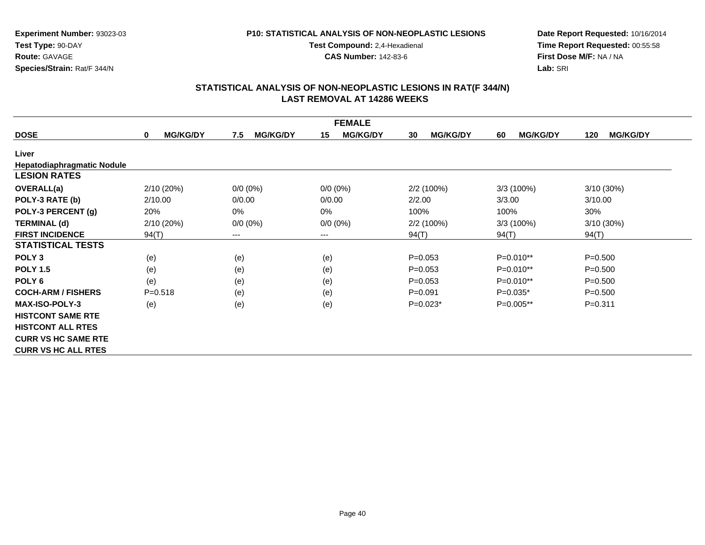### **P10: STATISTICAL ANALYSIS OF NON-NEOPLASTIC LESIONS**

**Test Compound:** 2,4-Hexadienal

**CAS Number:** 142-83-6

**Date Report Requested:** 10/16/2014**Time Report Requested:** 00:55:58**First Dose M/F:** NA / NA**Lab:** SRI

|                                   |                                |                        | <b>FEMALE</b>          |                       |                       |                        |
|-----------------------------------|--------------------------------|------------------------|------------------------|-----------------------|-----------------------|------------------------|
| <b>DOSE</b>                       | <b>MG/KG/DY</b><br>$\mathbf 0$ | <b>MG/KG/DY</b><br>7.5 | <b>MG/KG/DY</b><br>15  | <b>MG/KG/DY</b><br>30 | <b>MG/KG/DY</b><br>60 | <b>MG/KG/DY</b><br>120 |
| Liver                             |                                |                        |                        |                       |                       |                        |
| <b>Hepatodiaphragmatic Nodule</b> |                                |                        |                        |                       |                       |                        |
| <b>LESION RATES</b>               |                                |                        |                        |                       |                       |                        |
| OVERALL(a)                        | 2/10 (20%)                     | $0/0 (0\%)$            | $0/0 (0\%)$            | 2/2(100%)             | 3/3(100%)             | 3/10 (30%)             |
| POLY-3 RATE (b)                   | 2/10.00                        | 0/0.00                 | 0/0.00                 | 2/2.00                | 3/3.00                | 3/10.00                |
| POLY-3 PERCENT (g)                | 20%                            | $0\%$                  | 0%                     | 100%                  | 100%                  | 30%                    |
| <b>TERMINAL (d)</b>               | 2/10(20%)                      | $0/0 (0\%)$            | $0/0 (0\%)$            | $2/2(100\%)$          | $3/3(100\%)$          | $3/10(30\%)$           |
| <b>FIRST INCIDENCE</b>            | 94(T)                          | $--$                   | $\qquad \qquad \cdots$ | 94(T)                 | 94(T)                 | 94(T)                  |
| <b>STATISTICAL TESTS</b>          |                                |                        |                        |                       |                       |                        |
| POLY <sub>3</sub>                 | (e)                            | (e)                    | (e)                    | $P=0.053$             | P=0.010**             | $P = 0.500$            |
| <b>POLY 1.5</b>                   | (e)                            | (e)                    | (e)                    | $P=0.053$             | $P=0.010**$           | $P = 0.500$            |
| POLY <sub>6</sub>                 | (e)                            | (e)                    | (e)                    | $P = 0.053$           | $P=0.010**$           | $P = 0.500$            |
| <b>COCH-ARM / FISHERS</b>         | $P = 0.518$                    | (e)                    | (e)                    | $P = 0.091$           | $P=0.035*$            | $P = 0.500$            |
| <b>MAX-ISO-POLY-3</b>             | (e)                            | (e)                    | (e)                    | $P=0.023*$            | P=0.005**             | $P = 0.311$            |
| <b>HISTCONT SAME RTE</b>          |                                |                        |                        |                       |                       |                        |
| <b>HISTCONT ALL RTES</b>          |                                |                        |                        |                       |                       |                        |
| <b>CURR VS HC SAME RTE</b>        |                                |                        |                        |                       |                       |                        |
| <b>CURR VS HC ALL RTES</b>        |                                |                        |                        |                       |                       |                        |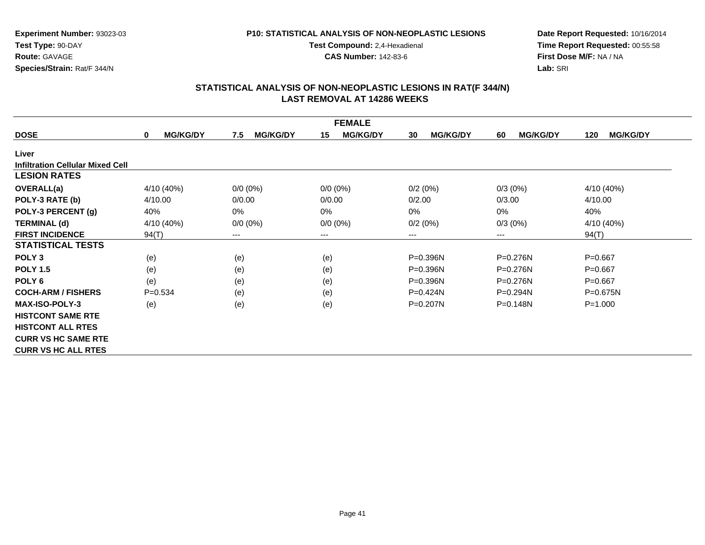### **P10: STATISTICAL ANALYSIS OF NON-NEOPLASTIC LESIONS**

**Test Compound:** 2,4-Hexadienal

**CAS Number:** 142-83-6

**Date Report Requested:** 10/16/2014**Time Report Requested:** 00:55:58**First Dose M/F:** NA / NA**Lab:** SRI

|                                         |                      |                        | <b>FEMALE</b>         |                       |                       |                        |
|-----------------------------------------|----------------------|------------------------|-----------------------|-----------------------|-----------------------|------------------------|
| <b>DOSE</b>                             | <b>MG/KG/DY</b><br>0 | <b>MG/KG/DY</b><br>7.5 | <b>MG/KG/DY</b><br>15 | <b>MG/KG/DY</b><br>30 | <b>MG/KG/DY</b><br>60 | <b>MG/KG/DY</b><br>120 |
| Liver                                   |                      |                        |                       |                       |                       |                        |
| <b>Infiltration Cellular Mixed Cell</b> |                      |                        |                       |                       |                       |                        |
| <b>LESION RATES</b>                     |                      |                        |                       |                       |                       |                        |
| <b>OVERALL(a)</b>                       | 4/10 (40%)           | $0/0 (0\%)$            | $0/0 (0\%)$           | 0/2(0%)               | $0/3(0\%)$            | 4/10 (40%)             |
| POLY-3 RATE (b)                         | 4/10.00              | 0/0.00                 | 0/0.00                | 0/2.00                | 0/3.00                | 4/10.00                |
| POLY-3 PERCENT (g)                      | 40%                  | $0\%$                  | 0%                    | $0\%$                 | 0%                    | 40%                    |
| <b>TERMINAL (d)</b>                     | 4/10 (40%)           | $0/0 (0\%)$            | $0/0 (0\%)$           | 0/2(0%)               | $0/3(0\%)$            | 4/10 (40%)             |
| <b>FIRST INCIDENCE</b>                  | 94(T)                | $\qquad \qquad \cdots$ | $--$                  | ---                   | ---                   | 94(T)                  |
| <b>STATISTICAL TESTS</b>                |                      |                        |                       |                       |                       |                        |
| POLY <sub>3</sub>                       | (e)                  | (e)                    | (e)                   | P=0.396N              | P=0.276N              | $P=0.667$              |
| <b>POLY 1.5</b>                         | (e)                  | (e)                    | (e)                   | $P = 0.396N$          | P=0.276N              | $P=0.667$              |
| POLY <sub>6</sub>                       | (e)                  | (e)                    | (e)                   | $P = 0.396N$          | $P = 0.276N$          | $P=0.667$              |
| <b>COCH-ARM / FISHERS</b>               | $P = 0.534$          | (e)                    | (e)                   | $P=0.424N$            | $P=0.294N$            | $P = 0.675N$           |
| <b>MAX-ISO-POLY-3</b>                   | (e)                  | (e)                    | (e)                   | $P = 0.207N$          | $P = 0.148N$          | $P = 1.000$            |
| <b>HISTCONT SAME RTE</b>                |                      |                        |                       |                       |                       |                        |
| <b>HISTCONT ALL RTES</b>                |                      |                        |                       |                       |                       |                        |
| <b>CURR VS HC SAME RTE</b>              |                      |                        |                       |                       |                       |                        |
| <b>CURR VS HC ALL RTES</b>              |                      |                        |                       |                       |                       |                        |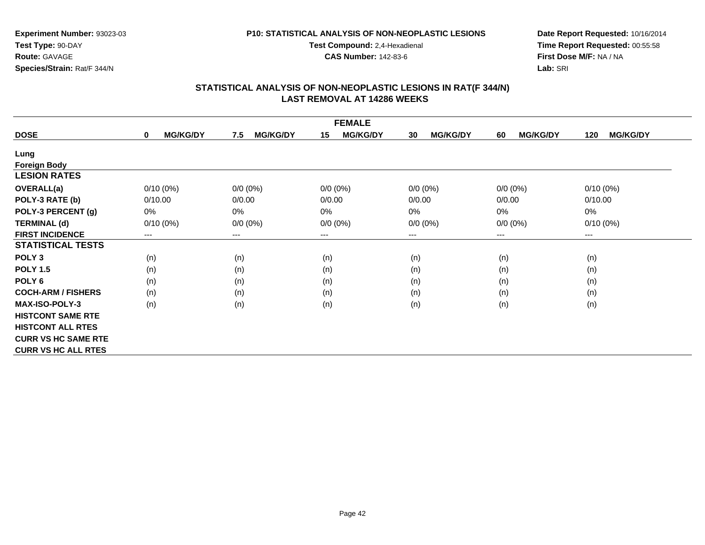### **P10: STATISTICAL ANALYSIS OF NON-NEOPLASTIC LESIONS**

**Test Compound:** 2,4-Hexadienal

**CAS Number:** 142-83-6

**Date Report Requested:** 10/16/2014**Time Report Requested:** 00:55:58**First Dose M/F:** NA / NA**Lab:** SRI

| <b>FEMALE</b>              |                                |                        |                       |                       |                       |                        |  |
|----------------------------|--------------------------------|------------------------|-----------------------|-----------------------|-----------------------|------------------------|--|
| <b>DOSE</b>                | <b>MG/KG/DY</b><br>$\mathbf 0$ | <b>MG/KG/DY</b><br>7.5 | <b>MG/KG/DY</b><br>15 | <b>MG/KG/DY</b><br>30 | <b>MG/KG/DY</b><br>60 | <b>MG/KG/DY</b><br>120 |  |
| Lung                       |                                |                        |                       |                       |                       |                        |  |
| <b>Foreign Body</b>        |                                |                        |                       |                       |                       |                        |  |
| <b>LESION RATES</b>        |                                |                        |                       |                       |                       |                        |  |
| <b>OVERALL(a)</b>          | $0/10(0\%)$                    | $0/0 (0\%)$            | $0/0 (0\%)$           | $0/0 (0\%)$           | $0/0 (0\%)$           | $0/10(0\%)$            |  |
| POLY-3 RATE (b)            | 0/10.00                        | 0/0.00                 | 0/0.00                | 0/0.00                | 0/0.00                | 0/10.00                |  |
| POLY-3 PERCENT (g)         | 0%                             | 0%                     | 0%                    | 0%                    | 0%                    | $0\%$                  |  |
| <b>TERMINAL (d)</b>        | $0/10(0\%)$                    | $0/0 (0\%)$            | $0/0 (0\%)$           | $0/0 (0\%)$           | $0/0 (0\%)$           | $0/10(0\%)$            |  |
| <b>FIRST INCIDENCE</b>     | ---                            | ---                    | $--$                  | ---                   | $--$                  | $--$                   |  |
| <b>STATISTICAL TESTS</b>   |                                |                        |                       |                       |                       |                        |  |
| POLY <sub>3</sub>          | (n)                            | (n)                    | (n)                   | (n)                   | (n)                   | (n)                    |  |
| <b>POLY 1.5</b>            | (n)                            | (n)                    | (n)                   | (n)                   | (n)                   | (n)                    |  |
| POLY <sub>6</sub>          | (n)                            | (n)                    | (n)                   | (n)                   | (n)                   | (n)                    |  |
| <b>COCH-ARM / FISHERS</b>  | (n)                            | (n)                    | (n)                   | (n)                   | (n)                   | (n)                    |  |
| <b>MAX-ISO-POLY-3</b>      | (n)                            | (n)                    | (n)                   | (n)                   | (n)                   | (n)                    |  |
| <b>HISTCONT SAME RTE</b>   |                                |                        |                       |                       |                       |                        |  |
| <b>HISTCONT ALL RTES</b>   |                                |                        |                       |                       |                       |                        |  |
| <b>CURR VS HC SAME RTE</b> |                                |                        |                       |                       |                       |                        |  |
| <b>CURR VS HC ALL RTES</b> |                                |                        |                       |                       |                       |                        |  |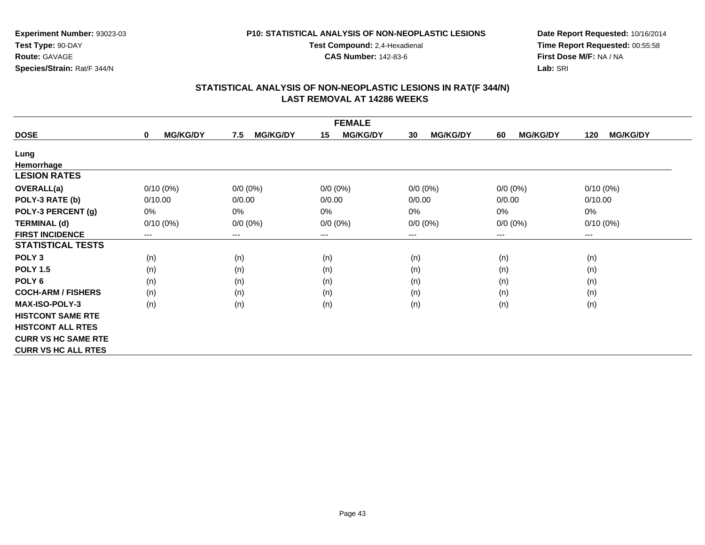### **P10: STATISTICAL ANALYSIS OF NON-NEOPLASTIC LESIONS**

**Test Compound:** 2,4-Hexadienal

**CAS Number:** 142-83-6

**Date Report Requested:** 10/16/2014**Time Report Requested:** 00:55:58**First Dose M/F:** NA / NA**Lab:** SRI

| <b>FEMALE</b>              |                                |                        |                       |                       |                       |                        |  |
|----------------------------|--------------------------------|------------------------|-----------------------|-----------------------|-----------------------|------------------------|--|
| <b>DOSE</b>                | <b>MG/KG/DY</b><br>$\mathbf 0$ | <b>MG/KG/DY</b><br>7.5 | <b>MG/KG/DY</b><br>15 | <b>MG/KG/DY</b><br>30 | <b>MG/KG/DY</b><br>60 | <b>MG/KG/DY</b><br>120 |  |
| Lung                       |                                |                        |                       |                       |                       |                        |  |
| Hemorrhage                 |                                |                        |                       |                       |                       |                        |  |
| <b>LESION RATES</b>        |                                |                        |                       |                       |                       |                        |  |
| <b>OVERALL(a)</b>          | $0/10(0\%)$                    | $0/0 (0\%)$            | $0/0 (0\%)$           | $0/0 (0\%)$           | $0/0 (0\%)$           | $0/10(0\%)$            |  |
| POLY-3 RATE (b)            | 0/10.00                        | 0/0.00                 | 0/0.00                | 0/0.00                | 0/0.00                | 0/10.00                |  |
| POLY-3 PERCENT (g)         | 0%                             | 0%                     | 0%                    | 0%                    | 0%                    | $0\%$                  |  |
| <b>TERMINAL (d)</b>        | $0/10(0\%)$                    | $0/0 (0\%)$            | $0/0 (0\%)$           | $0/0 (0\%)$           | $0/0 (0\%)$           | $0/10(0\%)$            |  |
| <b>FIRST INCIDENCE</b>     | ---                            | ---                    | $--$                  | ---                   | $--$                  | $--$                   |  |
| <b>STATISTICAL TESTS</b>   |                                |                        |                       |                       |                       |                        |  |
| POLY <sub>3</sub>          | (n)                            | (n)                    | (n)                   | (n)                   | (n)                   | (n)                    |  |
| <b>POLY 1.5</b>            | (n)                            | (n)                    | (n)                   | (n)                   | (n)                   | (n)                    |  |
| POLY <sub>6</sub>          | (n)                            | (n)                    | (n)                   | (n)                   | (n)                   | (n)                    |  |
| <b>COCH-ARM / FISHERS</b>  | (n)                            | (n)                    | (n)                   | (n)                   | (n)                   | (n)                    |  |
| <b>MAX-ISO-POLY-3</b>      | (n)                            | (n)                    | (n)                   | (n)                   | (n)                   | (n)                    |  |
| <b>HISTCONT SAME RTE</b>   |                                |                        |                       |                       |                       |                        |  |
| <b>HISTCONT ALL RTES</b>   |                                |                        |                       |                       |                       |                        |  |
| <b>CURR VS HC SAME RTE</b> |                                |                        |                       |                       |                       |                        |  |
| <b>CURR VS HC ALL RTES</b> |                                |                        |                       |                       |                       |                        |  |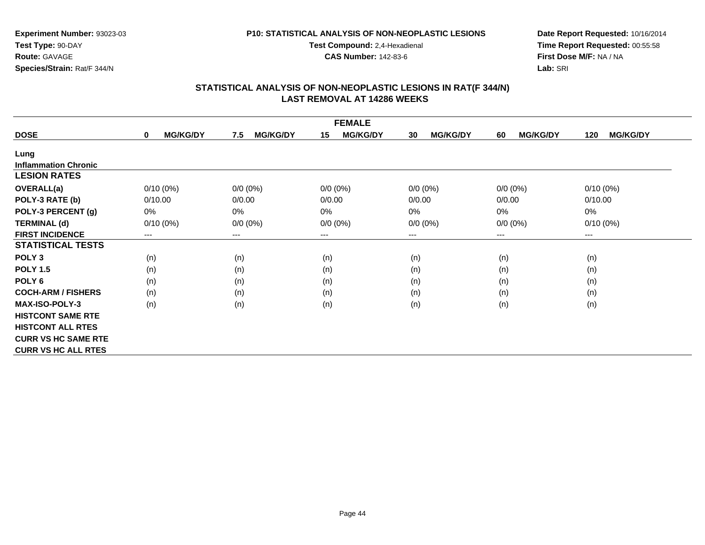### **P10: STATISTICAL ANALYSIS OF NON-NEOPLASTIC LESIONS**

**Test Compound:** 2,4-Hexadienal

**CAS Number:** 142-83-6

**Date Report Requested:** 10/16/2014**Time Report Requested:** 00:55:58**First Dose M/F:** NA / NA**Lab:** SRI

| <b>FEMALE</b>               |                                |                        |                       |                       |                       |                        |  |
|-----------------------------|--------------------------------|------------------------|-----------------------|-----------------------|-----------------------|------------------------|--|
| <b>DOSE</b>                 | <b>MG/KG/DY</b><br>$\mathbf 0$ | <b>MG/KG/DY</b><br>7.5 | <b>MG/KG/DY</b><br>15 | <b>MG/KG/DY</b><br>30 | <b>MG/KG/DY</b><br>60 | <b>MG/KG/DY</b><br>120 |  |
| Lung                        |                                |                        |                       |                       |                       |                        |  |
| <b>Inflammation Chronic</b> |                                |                        |                       |                       |                       |                        |  |
| <b>LESION RATES</b>         |                                |                        |                       |                       |                       |                        |  |
| <b>OVERALL(a)</b>           | $0/10(0\%)$                    | $0/0 (0\%)$            | $0/0 (0\%)$           | $0/0 (0\%)$           | $0/0 (0\%)$           | $0/10(0\%)$            |  |
| POLY-3 RATE (b)             | 0/10.00                        | 0/0.00                 | 0/0.00                | 0/0.00                | 0/0.00                | 0/10.00                |  |
| POLY-3 PERCENT (g)          | 0%                             | 0%                     | 0%                    | 0%                    | 0%                    | 0%                     |  |
| <b>TERMINAL (d)</b>         | $0/10(0\%)$                    | $0/0 (0\%)$            | $0/0 (0\%)$           | $0/0 (0\%)$           | $0/0 (0\%)$           | $0/10(0\%)$            |  |
| <b>FIRST INCIDENCE</b>      | ---                            | ---                    | $---$                 | ---                   | $---$                 | ---                    |  |
| <b>STATISTICAL TESTS</b>    |                                |                        |                       |                       |                       |                        |  |
| POLY <sub>3</sub>           | (n)                            | (n)                    | (n)                   | (n)                   | (n)                   | (n)                    |  |
| <b>POLY 1.5</b>             | (n)                            | (n)                    | (n)                   | (n)                   | (n)                   | (n)                    |  |
| POLY 6                      | (n)                            | (n)                    | (n)                   | (n)                   | (n)                   | (n)                    |  |
| <b>COCH-ARM / FISHERS</b>   | (n)                            | (n)                    | (n)                   | (n)                   | (n)                   | (n)                    |  |
| <b>MAX-ISO-POLY-3</b>       | (n)                            | (n)                    | (n)                   | (n)                   | (n)                   | (n)                    |  |
| <b>HISTCONT SAME RTE</b>    |                                |                        |                       |                       |                       |                        |  |
| <b>HISTCONT ALL RTES</b>    |                                |                        |                       |                       |                       |                        |  |
| <b>CURR VS HC SAME RTE</b>  |                                |                        |                       |                       |                       |                        |  |
| <b>CURR VS HC ALL RTES</b>  |                                |                        |                       |                       |                       |                        |  |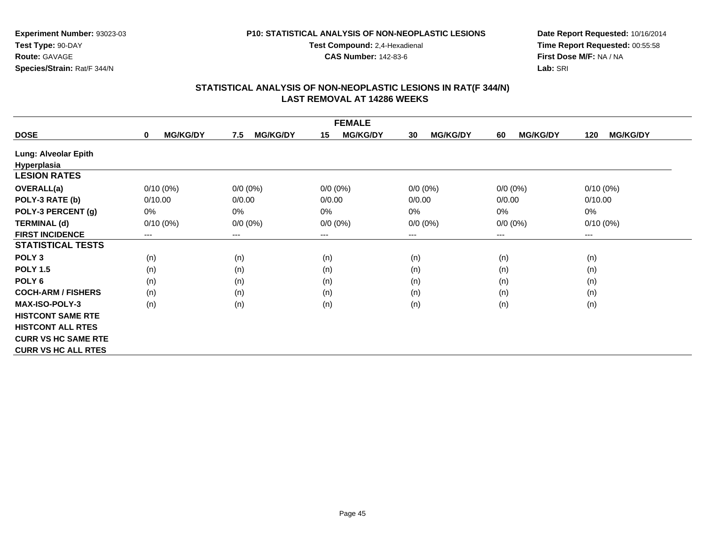### **P10: STATISTICAL ANALYSIS OF NON-NEOPLASTIC LESIONS**

**Test Compound:** 2,4-Hexadienal

**CAS Number:** 142-83-6

**Date Report Requested:** 10/16/2014**Time Report Requested:** 00:55:58**First Dose M/F:** NA / NA**Lab:** SRI

|                             | <b>FEMALE</b>                  |                        |                       |                        |                       |                        |  |  |
|-----------------------------|--------------------------------|------------------------|-----------------------|------------------------|-----------------------|------------------------|--|--|
| <b>DOSE</b>                 | <b>MG/KG/DY</b><br>$\mathbf 0$ | <b>MG/KG/DY</b><br>7.5 | 15<br><b>MG/KG/DY</b> | 30<br><b>MG/KG/DY</b>  | <b>MG/KG/DY</b><br>60 | <b>MG/KG/DY</b><br>120 |  |  |
| <b>Lung: Alveolar Epith</b> |                                |                        |                       |                        |                       |                        |  |  |
| Hyperplasia                 |                                |                        |                       |                        |                       |                        |  |  |
| <b>LESION RATES</b>         |                                |                        |                       |                        |                       |                        |  |  |
| <b>OVERALL(a)</b>           | $0/10(0\%)$                    | $0/0 (0\%)$            | $0/0 (0\%)$           | $0/0 (0\%)$            | $0/0 (0\%)$           | $0/10(0\%)$            |  |  |
| POLY-3 RATE (b)             | 0/10.00                        | 0/0.00                 | 0/0.00                | 0/0.00                 | 0/0.00                | 0/10.00                |  |  |
| POLY-3 PERCENT (g)          | $0\%$                          | 0%                     | 0%                    | 0%                     | $0\%$                 | 0%                     |  |  |
| <b>TERMINAL (d)</b>         | $0/10(0\%)$                    | $0/0 (0\%)$            | $0/0 (0\%)$           | $0/0 (0\%)$            | $0/0 (0\%)$           | $0/10(0\%)$            |  |  |
| <b>FIRST INCIDENCE</b>      | ---                            | ---                    | ---                   | $\qquad \qquad \cdots$ | $--$                  | ---                    |  |  |
| <b>STATISTICAL TESTS</b>    |                                |                        |                       |                        |                       |                        |  |  |
| POLY <sub>3</sub>           | (n)                            | (n)                    | (n)                   | (n)                    | (n)                   | (n)                    |  |  |
| <b>POLY 1.5</b>             | (n)                            | (n)                    | (n)                   | (n)                    | (n)                   | (n)                    |  |  |
| POLY <sub>6</sub>           | (n)                            | (n)                    | (n)                   | (n)                    | (n)                   | (n)                    |  |  |
| <b>COCH-ARM / FISHERS</b>   | (n)                            | (n)                    | (n)                   | (n)                    | (n)                   | (n)                    |  |  |
| <b>MAX-ISO-POLY-3</b>       | (n)                            | (n)                    | (n)                   | (n)                    | (n)                   | (n)                    |  |  |
| <b>HISTCONT SAME RTE</b>    |                                |                        |                       |                        |                       |                        |  |  |
| <b>HISTCONT ALL RTES</b>    |                                |                        |                       |                        |                       |                        |  |  |
| <b>CURR VS HC SAME RTE</b>  |                                |                        |                       |                        |                       |                        |  |  |
| <b>CURR VS HC ALL RTES</b>  |                                |                        |                       |                        |                       |                        |  |  |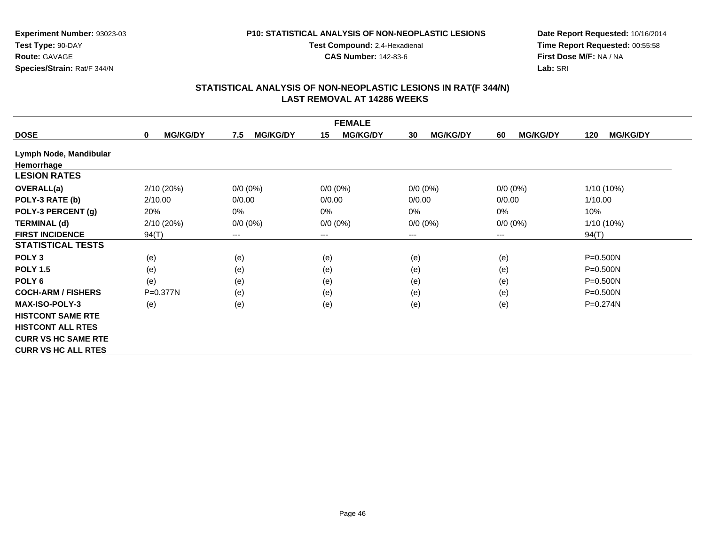### **P10: STATISTICAL ANALYSIS OF NON-NEOPLASTIC LESIONS**

**Test Compound:** 2,4-Hexadienal

**CAS Number:** 142-83-6

**Date Report Requested:** 10/16/2014**Time Report Requested:** 00:55:58**First Dose M/F:** NA / NA**Lab:** SRI

|                            | <b>FEMALE</b>               |                        |                       |                        |                       |                        |  |  |
|----------------------------|-----------------------------|------------------------|-----------------------|------------------------|-----------------------|------------------------|--|--|
| <b>DOSE</b>                | <b>MG/KG/DY</b><br>$\bf{0}$ | <b>MG/KG/DY</b><br>7.5 | 15<br><b>MG/KG/DY</b> | <b>MG/KG/DY</b><br>30  | <b>MG/KG/DY</b><br>60 | <b>MG/KG/DY</b><br>120 |  |  |
| Lymph Node, Mandibular     |                             |                        |                       |                        |                       |                        |  |  |
| Hemorrhage                 |                             |                        |                       |                        |                       |                        |  |  |
| <b>LESION RATES</b>        |                             |                        |                       |                        |                       |                        |  |  |
| <b>OVERALL(a)</b>          | 2/10 (20%)                  | $0/0 (0\%)$            | $0/0 (0\%)$           | $0/0 (0\%)$            | $0/0 (0\%)$           | 1/10 (10%)             |  |  |
| POLY-3 RATE (b)            | 2/10.00                     | 0/0.00                 | 0/0.00                | 0/0.00                 | 0/0.00                | 1/10.00                |  |  |
| POLY-3 PERCENT (g)         | 20%                         | 0%                     | 0%                    | 0%                     | $0\%$                 | 10%                    |  |  |
| <b>TERMINAL (d)</b>        | 2/10 (20%)                  | $0/0 (0\%)$            | $0/0 (0\%)$           | $0/0 (0\%)$            | $0/0 (0\%)$           | 1/10 (10%)             |  |  |
| <b>FIRST INCIDENCE</b>     | 94(T)                       | ---                    | ---                   | $\qquad \qquad \cdots$ | $--$                  | 94(T)                  |  |  |
| <b>STATISTICAL TESTS</b>   |                             |                        |                       |                        |                       |                        |  |  |
| POLY <sub>3</sub>          | (e)                         | (e)                    | (e)                   | (e)                    | (e)                   | $P = 0.500N$           |  |  |
| <b>POLY 1.5</b>            | (e)                         | (e)                    | (e)                   | (e)                    | (e)                   | $P = 0.500N$           |  |  |
| POLY <sub>6</sub>          | (e)                         | (e)                    | (e)                   | (e)                    | (e)                   | $P = 0.500N$           |  |  |
| <b>COCH-ARM / FISHERS</b>  | P=0.377N                    | (e)                    | (e)                   | (e)                    | (e)                   | $P = 0.500N$           |  |  |
| <b>MAX-ISO-POLY-3</b>      | (e)                         | (e)                    | (e)                   | (e)                    | (e)                   | P=0.274N               |  |  |
| <b>HISTCONT SAME RTE</b>   |                             |                        |                       |                        |                       |                        |  |  |
| <b>HISTCONT ALL RTES</b>   |                             |                        |                       |                        |                       |                        |  |  |
| <b>CURR VS HC SAME RTE</b> |                             |                        |                       |                        |                       |                        |  |  |
| <b>CURR VS HC ALL RTES</b> |                             |                        |                       |                        |                       |                        |  |  |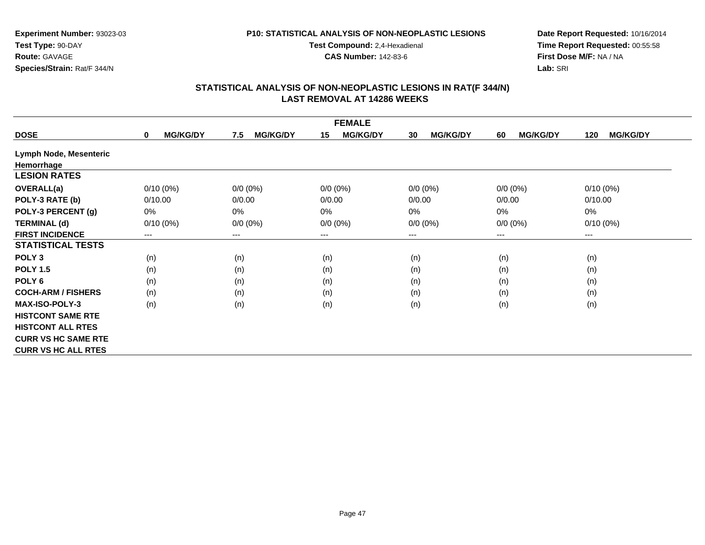### **P10: STATISTICAL ANALYSIS OF NON-NEOPLASTIC LESIONS**

**Test Compound:** 2,4-Hexadienal

**CAS Number:** 142-83-6

**Date Report Requested:** 10/16/2014**Time Report Requested:** 00:55:58**First Dose M/F:** NA / NA**Lab:** SRI

|                            | <b>FEMALE</b>                  |                        |                       |                       |                       |                        |  |  |
|----------------------------|--------------------------------|------------------------|-----------------------|-----------------------|-----------------------|------------------------|--|--|
| <b>DOSE</b>                | <b>MG/KG/DY</b><br>$\mathbf 0$ | <b>MG/KG/DY</b><br>7.5 | <b>MG/KG/DY</b><br>15 | <b>MG/KG/DY</b><br>30 | <b>MG/KG/DY</b><br>60 | <b>MG/KG/DY</b><br>120 |  |  |
| Lymph Node, Mesenteric     |                                |                        |                       |                       |                       |                        |  |  |
| Hemorrhage                 |                                |                        |                       |                       |                       |                        |  |  |
| <b>LESION RATES</b>        |                                |                        |                       |                       |                       |                        |  |  |
| <b>OVERALL(a)</b>          | $0/10(0\%)$                    | $0/0 (0\%)$            | $0/0 (0\%)$           | $0/0 (0\%)$           | $0/0 (0\%)$           | $0/10(0\%)$            |  |  |
| POLY-3 RATE (b)            | 0/10.00                        | 0/0.00                 | 0/0.00                | 0/0.00                | 0/0.00                | 0/10.00                |  |  |
| POLY-3 PERCENT (g)         | 0%                             | 0%                     | 0%                    | 0%                    | $0\%$                 | $0\%$                  |  |  |
| <b>TERMINAL (d)</b>        | $0/10(0\%)$                    | $0/0 (0\%)$            | $0/0 (0\%)$           | $0/0 (0\%)$           | $0/0 (0\%)$           | $0/10(0\%)$            |  |  |
| <b>FIRST INCIDENCE</b>     | ---                            | $---$                  | $--$                  | ---                   | $--$                  | $--$                   |  |  |
| <b>STATISTICAL TESTS</b>   |                                |                        |                       |                       |                       |                        |  |  |
| POLY <sub>3</sub>          | (n)                            | (n)                    | (n)                   | (n)                   | (n)                   | (n)                    |  |  |
| <b>POLY 1.5</b>            | (n)                            | (n)                    | (n)                   | (n)                   | (n)                   | (n)                    |  |  |
| POLY <sub>6</sub>          | (n)                            | (n)                    | (n)                   | (n)                   | (n)                   | (n)                    |  |  |
| <b>COCH-ARM / FISHERS</b>  | (n)                            | (n)                    | (n)                   | (n)                   | (n)                   | (n)                    |  |  |
| <b>MAX-ISO-POLY-3</b>      | (n)                            | (n)                    | (n)                   | (n)                   | (n)                   | (n)                    |  |  |
| <b>HISTCONT SAME RTE</b>   |                                |                        |                       |                       |                       |                        |  |  |
| <b>HISTCONT ALL RTES</b>   |                                |                        |                       |                       |                       |                        |  |  |
| <b>CURR VS HC SAME RTE</b> |                                |                        |                       |                       |                       |                        |  |  |
| <b>CURR VS HC ALL RTES</b> |                                |                        |                       |                       |                       |                        |  |  |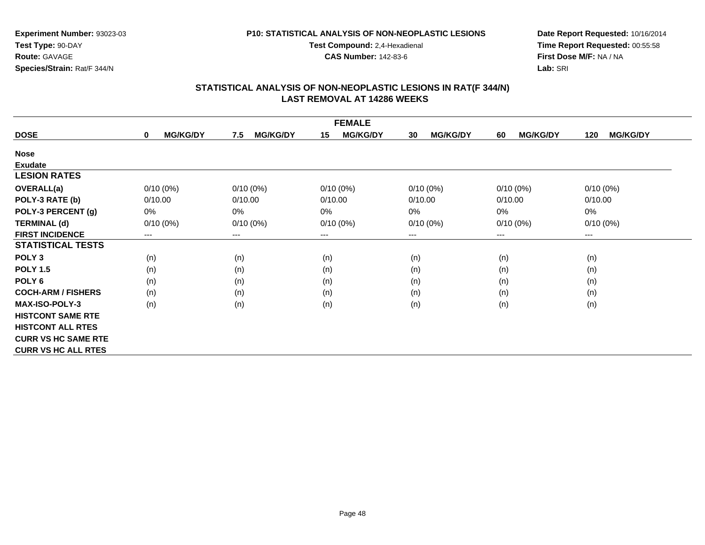### **P10: STATISTICAL ANALYSIS OF NON-NEOPLASTIC LESIONS**

**Test Compound:** 2,4-Hexadienal

**CAS Number:** 142-83-6

**Date Report Requested:** 10/16/2014**Time Report Requested:** 00:55:58**First Dose M/F:** NA / NA**Lab:** SRI

| <b>FEMALE</b>              |                                |                        |                       |                       |                       |                        |  |
|----------------------------|--------------------------------|------------------------|-----------------------|-----------------------|-----------------------|------------------------|--|
| <b>DOSE</b>                | <b>MG/KG/DY</b><br>$\mathbf 0$ | <b>MG/KG/DY</b><br>7.5 | <b>MG/KG/DY</b><br>15 | <b>MG/KG/DY</b><br>30 | <b>MG/KG/DY</b><br>60 | <b>MG/KG/DY</b><br>120 |  |
| <b>Nose</b>                |                                |                        |                       |                       |                       |                        |  |
| <b>Exudate</b>             |                                |                        |                       |                       |                       |                        |  |
| <b>LESION RATES</b>        |                                |                        |                       |                       |                       |                        |  |
| <b>OVERALL(a)</b>          | $0/10(0\%)$                    | $0/10(0\%)$            | $0/10(0\%)$           | $0/10(0\%)$           | $0/10(0\%)$           | $0/10(0\%)$            |  |
| POLY-3 RATE (b)            | 0/10.00                        | 0/10.00                | 0/10.00               | 0/10.00               | 0/10.00               | 0/10.00                |  |
| POLY-3 PERCENT (g)         | 0%                             | 0%                     | 0%                    | 0%                    | 0%                    | $0\%$                  |  |
| <b>TERMINAL (d)</b>        | $0/10(0\%)$                    | $0/10(0\%)$            | $0/10(0\%)$           | $0/10(0\%)$           | $0/10(0\%)$           | $0/10(0\%)$            |  |
| <b>FIRST INCIDENCE</b>     | ---                            | ---                    | $--$                  | ---                   | $--$                  | $--$                   |  |
| <b>STATISTICAL TESTS</b>   |                                |                        |                       |                       |                       |                        |  |
| POLY <sub>3</sub>          | (n)                            | (n)                    | (n)                   | (n)                   | (n)                   | (n)                    |  |
| <b>POLY 1.5</b>            | (n)                            | (n)                    | (n)                   | (n)                   | (n)                   | (n)                    |  |
| POLY <sub>6</sub>          | (n)                            | (n)                    | (n)                   | (n)                   | (n)                   | (n)                    |  |
| <b>COCH-ARM / FISHERS</b>  | (n)                            | (n)                    | (n)                   | (n)                   | (n)                   | (n)                    |  |
| <b>MAX-ISO-POLY-3</b>      | (n)                            | (n)                    | (n)                   | (n)                   | (n)                   | (n)                    |  |
| <b>HISTCONT SAME RTE</b>   |                                |                        |                       |                       |                       |                        |  |
| <b>HISTCONT ALL RTES</b>   |                                |                        |                       |                       |                       |                        |  |
| <b>CURR VS HC SAME RTE</b> |                                |                        |                       |                       |                       |                        |  |
| <b>CURR VS HC ALL RTES</b> |                                |                        |                       |                       |                       |                        |  |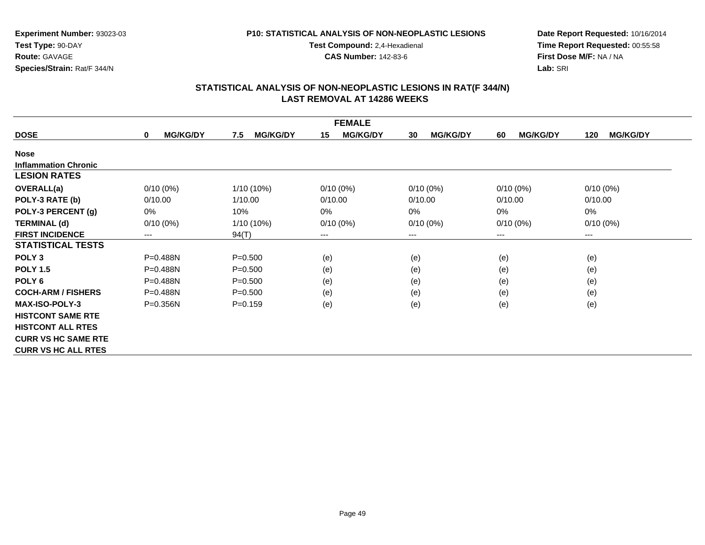### **P10: STATISTICAL ANALYSIS OF NON-NEOPLASTIC LESIONS**

**Test Compound:** 2,4-Hexadienal

**CAS Number:** 142-83-6

**Date Report Requested:** 10/16/2014**Time Report Requested:** 00:55:58**First Dose M/F:** NA / NA**Lab:** SRI

| <b>FEMALE</b>               |                                |                        |                            |                       |                       |                            |  |
|-----------------------------|--------------------------------|------------------------|----------------------------|-----------------------|-----------------------|----------------------------|--|
| <b>DOSE</b>                 | <b>MG/KG/DY</b><br>$\mathbf 0$ | <b>MG/KG/DY</b><br>7.5 | <b>MG/KG/DY</b><br>15      | <b>MG/KG/DY</b><br>30 | <b>MG/KG/DY</b><br>60 | <b>MG/KG/DY</b><br>120     |  |
| <b>Nose</b>                 |                                |                        |                            |                       |                       |                            |  |
| <b>Inflammation Chronic</b> |                                |                        |                            |                       |                       |                            |  |
| <b>LESION RATES</b>         |                                |                        |                            |                       |                       |                            |  |
| <b>OVERALL(a)</b>           | $0/10(0\%)$                    | 1/10 (10%)             | $0/10(0\%)$                | $0/10(0\%)$           | $0/10(0\%)$           | $0/10(0\%)$                |  |
| POLY-3 RATE (b)             | 0/10.00                        | 1/10.00                | 0/10.00                    | 0/10.00               | 0/10.00               | 0/10.00                    |  |
| POLY-3 PERCENT (g)          | 0%                             | 10%                    | 0%                         | 0%                    | 0%                    | 0%                         |  |
| <b>TERMINAL (d)</b>         | $0/10(0\%)$                    | 1/10 (10%)             | $0/10(0\%)$                | $0/10(0\%)$           | $0/10(0\%)$           | $0/10(0\%)$                |  |
| <b>FIRST INCIDENCE</b>      | ---                            | 94(T)                  | $\qquad \qquad - \qquad -$ | ---                   | ---                   | $\qquad \qquad - \qquad -$ |  |
| <b>STATISTICAL TESTS</b>    |                                |                        |                            |                       |                       |                            |  |
| POLY <sub>3</sub>           | $P = 0.488N$                   | $P = 0.500$            | (e)                        | (e)                   | (e)                   | (e)                        |  |
| <b>POLY 1.5</b>             | P=0.488N                       | $P = 0.500$            | (e)                        | (e)                   | (e)                   | (e)                        |  |
| POLY <sub>6</sub>           | $P = 0.488N$                   | $P = 0.500$            | (e)                        | (e)                   | (e)                   | (e)                        |  |
| <b>COCH-ARM / FISHERS</b>   | $P = 0.488N$                   | $P = 0.500$            | (e)                        | (e)                   | (e)                   | (e)                        |  |
| <b>MAX-ISO-POLY-3</b>       | P=0.356N                       | $P=0.159$              | (e)                        | (e)                   | (e)                   | (e)                        |  |
| <b>HISTCONT SAME RTE</b>    |                                |                        |                            |                       |                       |                            |  |
| <b>HISTCONT ALL RTES</b>    |                                |                        |                            |                       |                       |                            |  |
| <b>CURR VS HC SAME RTE</b>  |                                |                        |                            |                       |                       |                            |  |
| <b>CURR VS HC ALL RTES</b>  |                                |                        |                            |                       |                       |                            |  |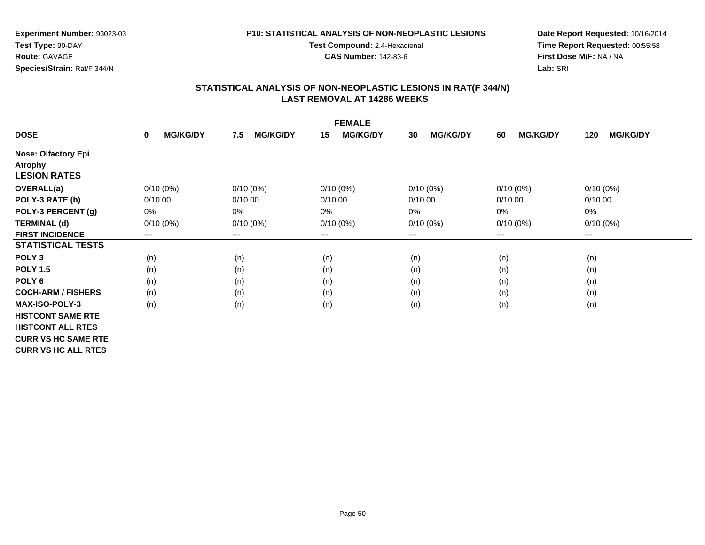### **P10: STATISTICAL ANALYSIS OF NON-NEOPLASTIC LESIONS**

**Test Compound:** 2,4-Hexadienal

**CAS Number:** 142-83-6

**Date Report Requested:** 10/16/2014**Time Report Requested:** 00:55:58**First Dose M/F:** NA / NA**Lab:** SRI

| <b>FEMALE</b>              |                                |                        |                       |                       |                       |                        |  |
|----------------------------|--------------------------------|------------------------|-----------------------|-----------------------|-----------------------|------------------------|--|
| <b>DOSE</b>                | <b>MG/KG/DY</b><br>$\mathbf 0$ | <b>MG/KG/DY</b><br>7.5 | <b>MG/KG/DY</b><br>15 | <b>MG/KG/DY</b><br>30 | <b>MG/KG/DY</b><br>60 | <b>MG/KG/DY</b><br>120 |  |
| <b>Nose: Olfactory Epi</b> |                                |                        |                       |                       |                       |                        |  |
| <b>Atrophy</b>             |                                |                        |                       |                       |                       |                        |  |
| <b>LESION RATES</b>        |                                |                        |                       |                       |                       |                        |  |
| <b>OVERALL(a)</b>          | $0/10(0\%)$                    | $0/10(0\%)$            | $0/10(0\%)$           | $0/10(0\%)$           | $0/10(0\%)$           | $0/10(0\%)$            |  |
| POLY-3 RATE (b)            | 0/10.00                        | 0/10.00                | 0/10.00               | 0/10.00               | 0/10.00               | 0/10.00                |  |
| POLY-3 PERCENT (g)         | 0%                             | 0%                     | 0%                    | $0\%$                 | 0%                    | $0\%$                  |  |
| <b>TERMINAL (d)</b>        | $0/10(0\%)$                    | $0/10(0\%)$            | $0/10(0\%)$           | $0/10(0\%)$           | $0/10(0\%)$           | $0/10(0\%)$            |  |
| <b>FIRST INCIDENCE</b>     | $\qquad \qquad \cdots$         | ---                    | $--$                  | ---                   | ---                   | $--$                   |  |
| <b>STATISTICAL TESTS</b>   |                                |                        |                       |                       |                       |                        |  |
| POLY <sub>3</sub>          | (n)                            | (n)                    | (n)                   | (n)                   | (n)                   | (n)                    |  |
| <b>POLY 1.5</b>            | (n)                            | (n)                    | (n)                   | (n)                   | (n)                   | (n)                    |  |
| POLY 6                     | (n)                            | (n)                    | (n)                   | (n)                   | (n)                   | (n)                    |  |
| <b>COCH-ARM / FISHERS</b>  | (n)                            | (n)                    | (n)                   | (n)                   | (n)                   | (n)                    |  |
| <b>MAX-ISO-POLY-3</b>      | (n)                            | (n)                    | (n)                   | (n)                   | (n)                   | (n)                    |  |
| <b>HISTCONT SAME RTE</b>   |                                |                        |                       |                       |                       |                        |  |
| <b>HISTCONT ALL RTES</b>   |                                |                        |                       |                       |                       |                        |  |
| <b>CURR VS HC SAME RTE</b> |                                |                        |                       |                       |                       |                        |  |
| <b>CURR VS HC ALL RTES</b> |                                |                        |                       |                       |                       |                        |  |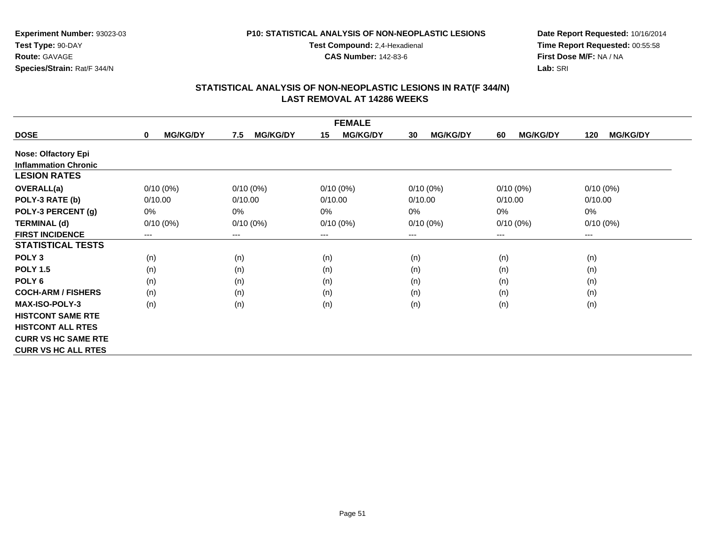### **P10: STATISTICAL ANALYSIS OF NON-NEOPLASTIC LESIONS**

**Test Compound:** 2,4-Hexadienal

**CAS Number:** 142-83-6

**Date Report Requested:** 10/16/2014**Time Report Requested:** 00:55:58**First Dose M/F:** NA / NA**Lab:** SRI

|                             | <b>FEMALE</b>               |                            |                       |                       |                       |                        |  |  |
|-----------------------------|-----------------------------|----------------------------|-----------------------|-----------------------|-----------------------|------------------------|--|--|
| <b>DOSE</b>                 | <b>MG/KG/DY</b><br>$\bf{0}$ | <b>MG/KG/DY</b><br>7.5     | 15<br><b>MG/KG/DY</b> | <b>MG/KG/DY</b><br>30 | <b>MG/KG/DY</b><br>60 | <b>MG/KG/DY</b><br>120 |  |  |
| <b>Nose: Olfactory Epi</b>  |                             |                            |                       |                       |                       |                        |  |  |
| <b>Inflammation Chronic</b> |                             |                            |                       |                       |                       |                        |  |  |
| <b>LESION RATES</b>         |                             |                            |                       |                       |                       |                        |  |  |
| <b>OVERALL(a)</b>           | $0/10(0\%)$                 | $0/10(0\%)$                | $0/10(0\%)$           | $0/10(0\%)$           | $0/10(0\%)$           | $0/10(0\%)$            |  |  |
| POLY-3 RATE (b)             | 0/10.00                     | 0/10.00                    | 0/10.00               | 0/10.00               | 0/10.00               | 0/10.00                |  |  |
| POLY-3 PERCENT (g)          | 0%                          | 0%                         | 0%                    | $0\%$                 | 0%                    | 0%                     |  |  |
| <b>TERMINAL (d)</b>         | $0/10(0\%)$                 | $0/10(0\%)$                | $0/10(0\%)$           | $0/10(0\%)$           | $0/10(0\%)$           | $0/10(0\%)$            |  |  |
| <b>FIRST INCIDENCE</b>      | $--$                        | $\qquad \qquad - \qquad -$ | ---                   | ---                   | $--$                  | ---                    |  |  |
| <b>STATISTICAL TESTS</b>    |                             |                            |                       |                       |                       |                        |  |  |
| POLY <sub>3</sub>           | (n)                         | (n)                        | (n)                   | (n)                   | (n)                   | (n)                    |  |  |
| <b>POLY 1.5</b>             | (n)                         | (n)                        | (n)                   | (n)                   | (n)                   | (n)                    |  |  |
| POLY <sub>6</sub>           | (n)                         | (n)                        | (n)                   | (n)                   | (n)                   | (n)                    |  |  |
| <b>COCH-ARM / FISHERS</b>   | (n)                         | (n)                        | (n)                   | (n)                   | (n)                   | (n)                    |  |  |
| <b>MAX-ISO-POLY-3</b>       | (n)                         | (n)                        | (n)                   | (n)                   | (n)                   | (n)                    |  |  |
| <b>HISTCONT SAME RTE</b>    |                             |                            |                       |                       |                       |                        |  |  |
| <b>HISTCONT ALL RTES</b>    |                             |                            |                       |                       |                       |                        |  |  |
| <b>CURR VS HC SAME RTE</b>  |                             |                            |                       |                       |                       |                        |  |  |
| <b>CURR VS HC ALL RTES</b>  |                             |                            |                       |                       |                       |                        |  |  |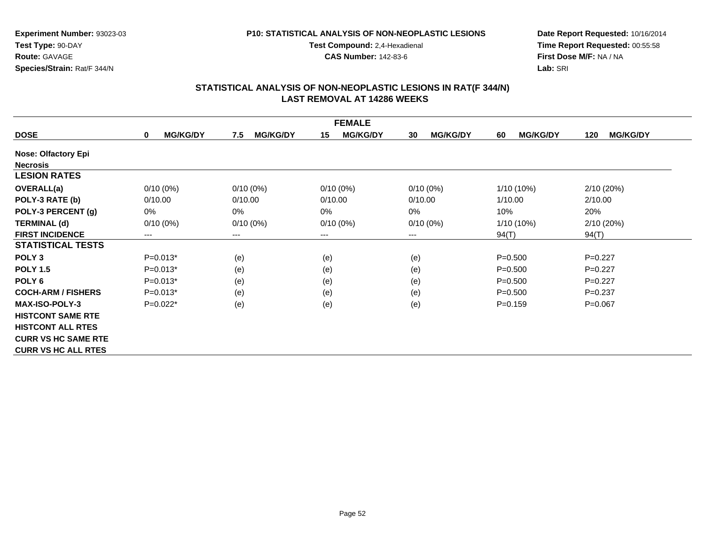### **P10: STATISTICAL ANALYSIS OF NON-NEOPLASTIC LESIONS**

**Test Compound:** 2,4-Hexadienal

**CAS Number:** 142-83-6

**Date Report Requested:** 10/16/2014**Time Report Requested:** 00:55:58**First Dose M/F:** NA / NA**Lab:** SRI

| <b>FEMALE</b>              |                                |                        |                       |                       |                       |                        |  |
|----------------------------|--------------------------------|------------------------|-----------------------|-----------------------|-----------------------|------------------------|--|
| <b>DOSE</b>                | <b>MG/KG/DY</b><br>$\mathbf 0$ | <b>MG/KG/DY</b><br>7.5 | 15<br><b>MG/KG/DY</b> | <b>MG/KG/DY</b><br>30 | <b>MG/KG/DY</b><br>60 | <b>MG/KG/DY</b><br>120 |  |
| <b>Nose: Olfactory Epi</b> |                                |                        |                       |                       |                       |                        |  |
| <b>Necrosis</b>            |                                |                        |                       |                       |                       |                        |  |
| <b>LESION RATES</b>        |                                |                        |                       |                       |                       |                        |  |
| <b>OVERALL(a)</b>          | $0/10(0\%)$                    | $0/10(0\%)$            | $0/10(0\%)$           | $0/10(0\%)$           | $1/10(10\%)$          | 2/10(20%)              |  |
| POLY-3 RATE (b)            | 0/10.00                        | 0/10.00                | 0/10.00               | 0/10.00               | 1/10.00               | 2/10.00                |  |
| POLY-3 PERCENT (g)         | $0\%$                          | $0\%$                  | 0%                    | 0%                    | 10%                   | 20%                    |  |
| <b>TERMINAL (d)</b>        | $0/10(0\%)$                    | $0/10(0\%)$            | $0/10(0\%)$           | $0/10(0\%)$           | 1/10 (10%)            | 2/10(20%)              |  |
| <b>FIRST INCIDENCE</b>     | ---                            | ---                    | $--$                  | ---                   | 94(T)                 | 94(T)                  |  |
| <b>STATISTICAL TESTS</b>   |                                |                        |                       |                       |                       |                        |  |
| POLY <sub>3</sub>          | $P=0.013*$                     | (e)                    | (e)                   | (e)                   | $P = 0.500$           | $P=0.227$              |  |
| <b>POLY 1.5</b>            | $P=0.013*$                     | (e)                    | (e)                   | (e)                   | $P = 0.500$           | $P=0.227$              |  |
| POLY <sub>6</sub>          | $P=0.013*$                     | (e)                    | (e)                   | (e)                   | $P = 0.500$           | $P=0.227$              |  |
| <b>COCH-ARM / FISHERS</b>  | $P=0.013*$                     | (e)                    | (e)                   | (e)                   | $P = 0.500$           | $P=0.237$              |  |
| <b>MAX-ISO-POLY-3</b>      | $P=0.022*$                     | (e)                    | (e)                   | (e)                   | $P=0.159$             | $P = 0.067$            |  |
| <b>HISTCONT SAME RTE</b>   |                                |                        |                       |                       |                       |                        |  |
| <b>HISTCONT ALL RTES</b>   |                                |                        |                       |                       |                       |                        |  |
| <b>CURR VS HC SAME RTE</b> |                                |                        |                       |                       |                       |                        |  |
| <b>CURR VS HC ALL RTES</b> |                                |                        |                       |                       |                       |                        |  |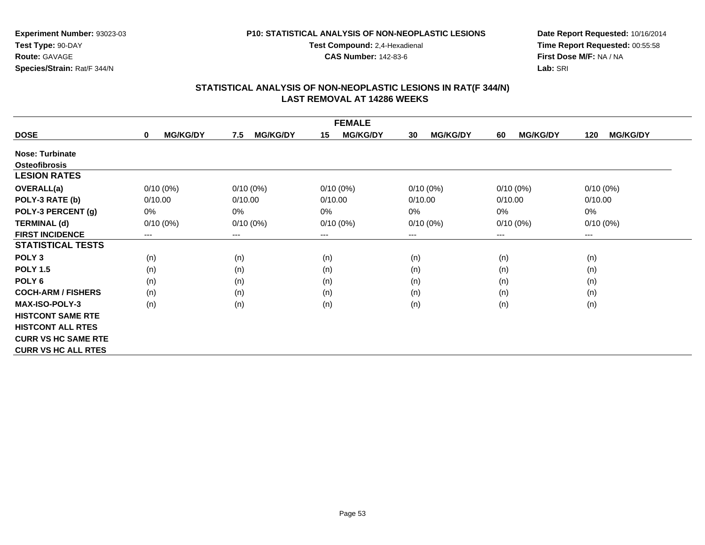### **P10: STATISTICAL ANALYSIS OF NON-NEOPLASTIC LESIONS**

**Test Compound:** 2,4-Hexadienal

**CAS Number:** 142-83-6

**Date Report Requested:** 10/16/2014**Time Report Requested:** 00:55:58**First Dose M/F:** NA / NA**Lab:** SRI

| <b>FEMALE</b>              |                                |                        |                       |                       |                       |                        |  |
|----------------------------|--------------------------------|------------------------|-----------------------|-----------------------|-----------------------|------------------------|--|
| <b>DOSE</b>                | <b>MG/KG/DY</b><br>$\mathbf 0$ | <b>MG/KG/DY</b><br>7.5 | <b>MG/KG/DY</b><br>15 | <b>MG/KG/DY</b><br>30 | <b>MG/KG/DY</b><br>60 | <b>MG/KG/DY</b><br>120 |  |
| <b>Nose: Turbinate</b>     |                                |                        |                       |                       |                       |                        |  |
| <b>Osteofibrosis</b>       |                                |                        |                       |                       |                       |                        |  |
| <b>LESION RATES</b>        |                                |                        |                       |                       |                       |                        |  |
| <b>OVERALL(a)</b>          | $0/10(0\%)$                    | $0/10(0\%)$            | $0/10(0\%)$           | $0/10(0\%)$           | $0/10(0\%)$           | $0/10(0\%)$            |  |
| POLY-3 RATE (b)            | 0/10.00                        | 0/10.00                | 0/10.00               | 0/10.00               | 0/10.00               | 0/10.00                |  |
| POLY-3 PERCENT (g)         | 0%                             | 0%                     | 0%                    | 0%                    | 0%                    | $0\%$                  |  |
| <b>TERMINAL (d)</b>        | $0/10(0\%)$                    | $0/10(0\%)$            | $0/10(0\%)$           | $0/10(0\%)$           | $0/10(0\%)$           | $0/10(0\%)$            |  |
| <b>FIRST INCIDENCE</b>     | ---                            | $---$                  | $--$                  | ---                   | $--$                  | $--$                   |  |
| <b>STATISTICAL TESTS</b>   |                                |                        |                       |                       |                       |                        |  |
| POLY <sub>3</sub>          | (n)                            | (n)                    | (n)                   | (n)                   | (n)                   | (n)                    |  |
| <b>POLY 1.5</b>            | (n)                            | (n)                    | (n)                   | (n)                   | (n)                   | (n)                    |  |
| POLY <sub>6</sub>          | (n)                            | (n)                    | (n)                   | (n)                   | (n)                   | (n)                    |  |
| <b>COCH-ARM / FISHERS</b>  | (n)                            | (n)                    | (n)                   | (n)                   | (n)                   | (n)                    |  |
| <b>MAX-ISO-POLY-3</b>      | (n)                            | (n)                    | (n)                   | (n)                   | (n)                   | (n)                    |  |
| <b>HISTCONT SAME RTE</b>   |                                |                        |                       |                       |                       |                        |  |
| <b>HISTCONT ALL RTES</b>   |                                |                        |                       |                       |                       |                        |  |
| <b>CURR VS HC SAME RTE</b> |                                |                        |                       |                       |                       |                        |  |
| <b>CURR VS HC ALL RTES</b> |                                |                        |                       |                       |                       |                        |  |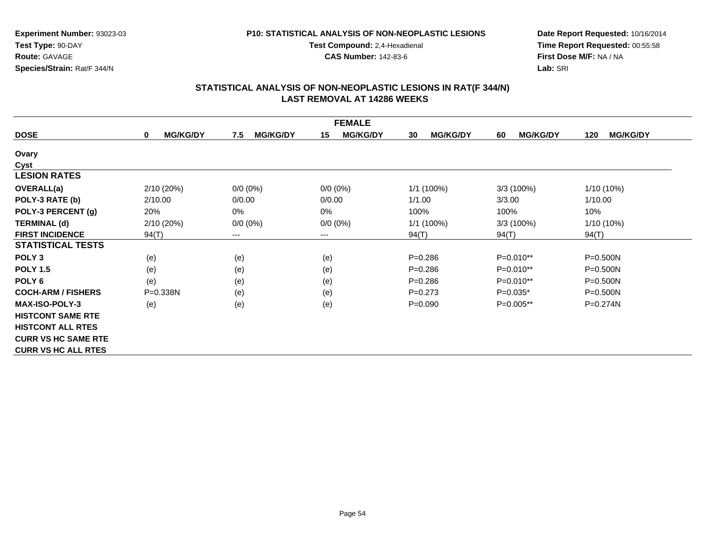### **P10: STATISTICAL ANALYSIS OF NON-NEOPLASTIC LESIONS**

**Test Compound:** 2,4-Hexadienal

**CAS Number:** 142-83-6

**Date Report Requested:** 10/16/2014**Time Report Requested:** 00:55:58**First Dose M/F:** NA / NA**Lab:** SRI

| <b>FEMALE</b>              |                      |                        |                        |                       |                       |                        |  |
|----------------------------|----------------------|------------------------|------------------------|-----------------------|-----------------------|------------------------|--|
| <b>DOSE</b>                | <b>MG/KG/DY</b><br>0 | <b>MG/KG/DY</b><br>7.5 | <b>MG/KG/DY</b><br>15  | <b>MG/KG/DY</b><br>30 | <b>MG/KG/DY</b><br>60 | <b>MG/KG/DY</b><br>120 |  |
| Ovary                      |                      |                        |                        |                       |                       |                        |  |
| Cyst                       |                      |                        |                        |                       |                       |                        |  |
| <b>LESION RATES</b>        |                      |                        |                        |                       |                       |                        |  |
| <b>OVERALL(a)</b>          | 2/10 (20%)           | $0/0 (0\%)$            | $0/0(0\%)$             | $1/1(100\%)$          | $3/3(100\%)$          | 1/10 (10%)             |  |
| POLY-3 RATE (b)            | 2/10.00              | 0/0.00                 | 0/0.00                 | 1/1.00                | 3/3.00                | 1/10.00                |  |
| POLY-3 PERCENT (g)         | 20%                  | 0%                     | 0%                     | 100%                  | 100%                  | 10%                    |  |
| <b>TERMINAL (d)</b>        | 2/10 (20%)           | $0/0 (0\%)$            | $0/0 (0\%)$            | $1/1(100\%)$          | $3/3(100\%)$          | $1/10(10\%)$           |  |
| <b>FIRST INCIDENCE</b>     | 94(T)                | ---                    | $\qquad \qquad \cdots$ | 94(T)                 | 94(T)                 | 94(T)                  |  |
| <b>STATISTICAL TESTS</b>   |                      |                        |                        |                       |                       |                        |  |
| POLY <sub>3</sub>          | (e)                  | (e)                    | (e)                    | $P = 0.286$           | $P=0.010**$           | $P = 0.500N$           |  |
| <b>POLY 1.5</b>            | (e)                  | (e)                    | (e)                    | $P=0.286$             | $P=0.010**$           | $P = 0.500N$           |  |
| POLY <sub>6</sub>          | (e)                  | (e)                    | (e)                    | $P = 0.286$           | P=0.010**             | $P = 0.500N$           |  |
| <b>COCH-ARM / FISHERS</b>  | P=0.338N             | (e)                    | (e)                    | $P = 0.273$           | $P=0.035*$            | $P = 0.500N$           |  |
| <b>MAX-ISO-POLY-3</b>      | (e)                  | (e)                    | (e)                    | $P = 0.090$           | P=0.005**             | P=0.274N               |  |
| <b>HISTCONT SAME RTE</b>   |                      |                        |                        |                       |                       |                        |  |
| <b>HISTCONT ALL RTES</b>   |                      |                        |                        |                       |                       |                        |  |
| <b>CURR VS HC SAME RTE</b> |                      |                        |                        |                       |                       |                        |  |
| <b>CURR VS HC ALL RTES</b> |                      |                        |                        |                       |                       |                        |  |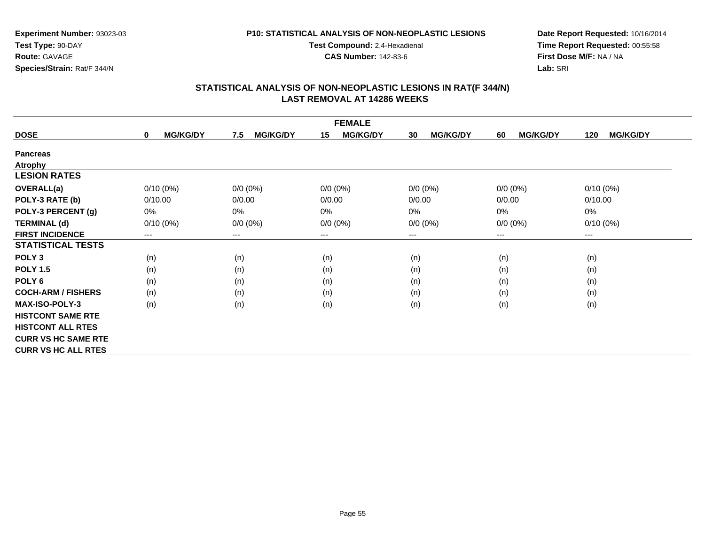### **P10: STATISTICAL ANALYSIS OF NON-NEOPLASTIC LESIONS**

**Test Compound:** 2,4-Hexadienal

**CAS Number:** 142-83-6

**Date Report Requested:** 10/16/2014**Time Report Requested:** 00:55:58**First Dose M/F:** NA / NA**Lab:** SRI

| <b>FEMALE</b>              |                                |                        |                        |                       |                       |                        |  |
|----------------------------|--------------------------------|------------------------|------------------------|-----------------------|-----------------------|------------------------|--|
| <b>DOSE</b>                | <b>MG/KG/DY</b><br>$\mathbf 0$ | <b>MG/KG/DY</b><br>7.5 | <b>MG/KG/DY</b><br>15  | <b>MG/KG/DY</b><br>30 | <b>MG/KG/DY</b><br>60 | <b>MG/KG/DY</b><br>120 |  |
| <b>Pancreas</b>            |                                |                        |                        |                       |                       |                        |  |
| <b>Atrophy</b>             |                                |                        |                        |                       |                       |                        |  |
| <b>LESION RATES</b>        |                                |                        |                        |                       |                       |                        |  |
| <b>OVERALL(a)</b>          | $0/10(0\%)$                    | $0/0 (0\%)$            | $0/0 (0\%)$            | $0/0 (0\%)$           | $0/0 (0\%)$           | $0/10(0\%)$            |  |
| POLY-3 RATE (b)            | 0/10.00                        | 0/0.00                 | 0/0.00                 | 0/0.00                | 0/0.00                | 0/10.00                |  |
| POLY-3 PERCENT (g)         | 0%                             | 0%                     | 0%                     | 0%                    | 0%                    | 0%                     |  |
| <b>TERMINAL (d)</b>        | $0/10(0\%)$                    | $0/0 (0\%)$            | $0/0 (0\%)$            | $0/0 (0\%)$           | $0/0 (0\%)$           | $0/10(0\%)$            |  |
| <b>FIRST INCIDENCE</b>     | ---                            | ---                    | $\qquad \qquad \cdots$ | ---                   | $---$                 | ---                    |  |
| <b>STATISTICAL TESTS</b>   |                                |                        |                        |                       |                       |                        |  |
| POLY <sub>3</sub>          | (n)                            | (n)                    | (n)                    | (n)                   | (n)                   | (n)                    |  |
| <b>POLY 1.5</b>            | (n)                            | (n)                    | (n)                    | (n)                   | (n)                   | (n)                    |  |
| POLY 6                     | (n)                            | (n)                    | (n)                    | (n)                   | (n)                   | (n)                    |  |
| <b>COCH-ARM / FISHERS</b>  | (n)                            | (n)                    | (n)                    | (n)                   | (n)                   | (n)                    |  |
| <b>MAX-ISO-POLY-3</b>      | (n)                            | (n)                    | (n)                    | (n)                   | (n)                   | (n)                    |  |
| <b>HISTCONT SAME RTE</b>   |                                |                        |                        |                       |                       |                        |  |
| <b>HISTCONT ALL RTES</b>   |                                |                        |                        |                       |                       |                        |  |
| <b>CURR VS HC SAME RTE</b> |                                |                        |                        |                       |                       |                        |  |
| <b>CURR VS HC ALL RTES</b> |                                |                        |                        |                       |                       |                        |  |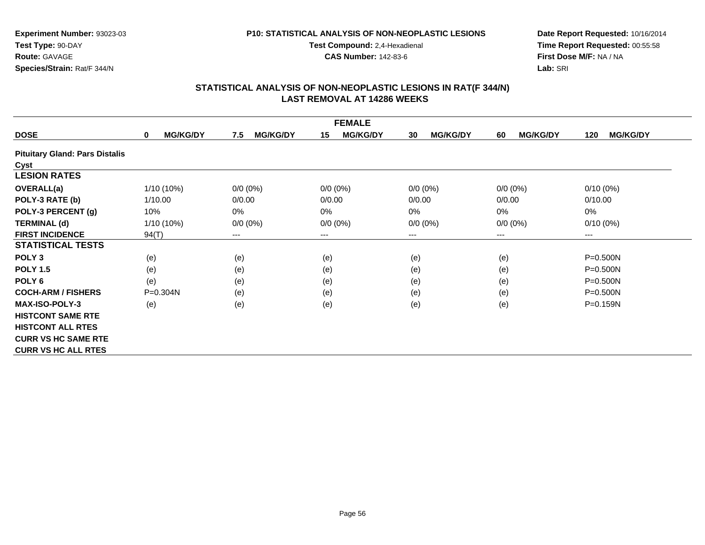### **P10: STATISTICAL ANALYSIS OF NON-NEOPLASTIC LESIONS**

**Test Compound:** 2,4-Hexadienal

**CAS Number:** 142-83-6

**Date Report Requested:** 10/16/2014**Time Report Requested:** 00:55:58**First Dose M/F:** NA / NA**Lab:** SRI

|                                       |                                |                        | <b>FEMALE</b>         |                       |                       |                        |
|---------------------------------------|--------------------------------|------------------------|-----------------------|-----------------------|-----------------------|------------------------|
| <b>DOSE</b>                           | <b>MG/KG/DY</b><br>$\mathbf 0$ | <b>MG/KG/DY</b><br>7.5 | <b>MG/KG/DY</b><br>15 | <b>MG/KG/DY</b><br>30 | <b>MG/KG/DY</b><br>60 | <b>MG/KG/DY</b><br>120 |
| <b>Pituitary Gland: Pars Distalis</b> |                                |                        |                       |                       |                       |                        |
| Cyst                                  |                                |                        |                       |                       |                       |                        |
| <b>LESION RATES</b>                   |                                |                        |                       |                       |                       |                        |
| <b>OVERALL(a)</b>                     | 1/10 (10%)                     | $0/0 (0\%)$            | $0/0 (0\%)$           | $0/0 (0\%)$           | $0/0 (0\%)$           | $0/10(0\%)$            |
| POLY-3 RATE (b)                       | 1/10.00                        | 0/0.00                 | 0/0.00                | 0/0.00                | 0/0.00                | 0/10.00                |
| POLY-3 PERCENT (g)                    | 10%                            | 0%                     | 0%                    | $0\%$                 | 0%                    | $0\%$                  |
| <b>TERMINAL (d)</b>                   | $1/10(10\%)$                   | $0/0 (0\%)$            | $0/0 (0\%)$           | $0/0 (0\%)$           | $0/0 (0\%)$           | $0/10(0\%)$            |
| <b>FIRST INCIDENCE</b>                | 94(T)                          | ---                    | $--$                  | ---                   | ---                   | ---                    |
| <b>STATISTICAL TESTS</b>              |                                |                        |                       |                       |                       |                        |
| POLY <sub>3</sub>                     | (e)                            | (e)                    | (e)                   | (e)                   | (e)                   | $P = 0.500N$           |
| <b>POLY 1.5</b>                       | (e)                            | (e)                    | (e)                   | (e)                   | (e)                   | $P = 0.500N$           |
| POLY 6                                | (e)                            | (e)                    | (e)                   | (e)                   | (e)                   | $P = 0.500N$           |
| <b>COCH-ARM / FISHERS</b>             | $P = 0.304N$                   | (e)                    | (e)                   | (e)                   | (e)                   | $P = 0.500N$           |
| <b>MAX-ISO-POLY-3</b>                 | (e)                            | (e)                    | (e)                   | (e)                   | (e)                   | $P = 0.159N$           |
| <b>HISTCONT SAME RTE</b>              |                                |                        |                       |                       |                       |                        |
| <b>HISTCONT ALL RTES</b>              |                                |                        |                       |                       |                       |                        |
| <b>CURR VS HC SAME RTE</b>            |                                |                        |                       |                       |                       |                        |
| <b>CURR VS HC ALL RTES</b>            |                                |                        |                       |                       |                       |                        |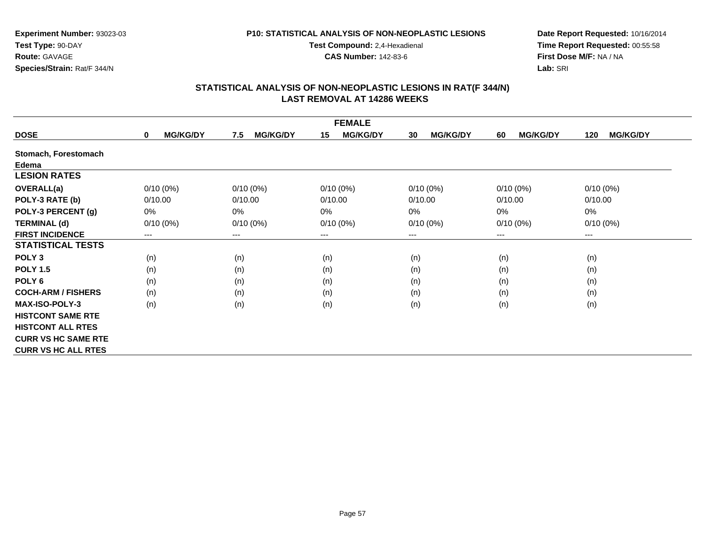### **P10: STATISTICAL ANALYSIS OF NON-NEOPLASTIC LESIONS**

**Test Compound:** 2,4-Hexadienal

**CAS Number:** 142-83-6

**Date Report Requested:** 10/16/2014**Time Report Requested:** 00:55:58**First Dose M/F:** NA / NA**Lab:** SRI

|                            |                                |                        | <b>FEMALE</b>         |                       |                       |                        |
|----------------------------|--------------------------------|------------------------|-----------------------|-----------------------|-----------------------|------------------------|
| <b>DOSE</b>                | <b>MG/KG/DY</b><br>$\mathbf 0$ | <b>MG/KG/DY</b><br>7.5 | <b>MG/KG/DY</b><br>15 | <b>MG/KG/DY</b><br>30 | <b>MG/KG/DY</b><br>60 | <b>MG/KG/DY</b><br>120 |
| Stomach, Forestomach       |                                |                        |                       |                       |                       |                        |
| Edema                      |                                |                        |                       |                       |                       |                        |
| <b>LESION RATES</b>        |                                |                        |                       |                       |                       |                        |
| <b>OVERALL(a)</b>          | $0/10(0\%)$                    | $0/10(0\%)$            | $0/10(0\%)$           | $0/10(0\%)$           | $0/10(0\%)$           | $0/10(0\%)$            |
| POLY-3 RATE (b)            | 0/10.00                        | 0/10.00                | 0/10.00               | 0/10.00               | 0/10.00               | 0/10.00                |
| POLY-3 PERCENT (g)         | $0\%$                          | 0%                     | 0%                    | $0\%$                 | 0%                    | $0\%$                  |
| <b>TERMINAL (d)</b>        | $0/10(0\%)$                    | $0/10(0\%)$            | $0/10(0\%)$           | $0/10(0\%)$           | $0/10(0\%)$           | $0/10(0\%)$            |
| <b>FIRST INCIDENCE</b>     | ---                            | ---                    | $--$                  | $---$                 | ---                   | $--$                   |
| <b>STATISTICAL TESTS</b>   |                                |                        |                       |                       |                       |                        |
| POLY <sub>3</sub>          | (n)                            | (n)                    | (n)                   | (n)                   | (n)                   | (n)                    |
| <b>POLY 1.5</b>            | (n)                            | (n)                    | (n)                   | (n)                   | (n)                   | (n)                    |
| POLY 6                     | (n)                            | (n)                    | (n)                   | (n)                   | (n)                   | (n)                    |
| <b>COCH-ARM / FISHERS</b>  | (n)                            | (n)                    | (n)                   | (n)                   | (n)                   | (n)                    |
| <b>MAX-ISO-POLY-3</b>      | (n)                            | (n)                    | (n)                   | (n)                   | (n)                   | (n)                    |
| <b>HISTCONT SAME RTE</b>   |                                |                        |                       |                       |                       |                        |
| <b>HISTCONT ALL RTES</b>   |                                |                        |                       |                       |                       |                        |
| <b>CURR VS HC SAME RTE</b> |                                |                        |                       |                       |                       |                        |
| <b>CURR VS HC ALL RTES</b> |                                |                        |                       |                       |                       |                        |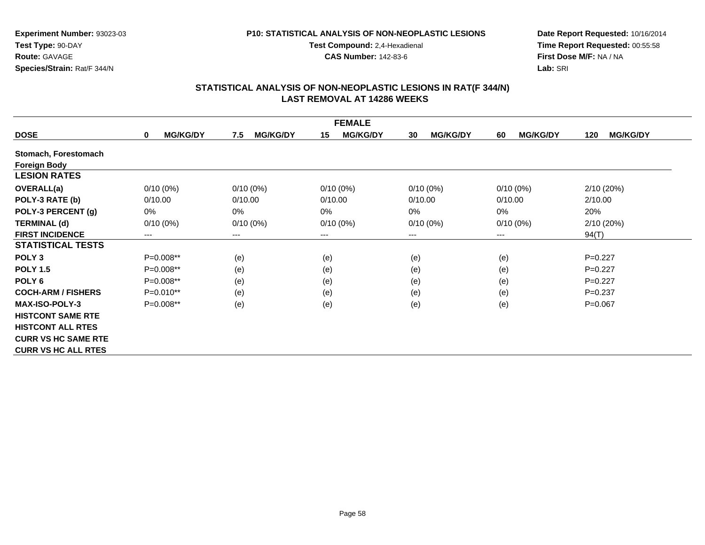#### **P10: STATISTICAL ANALYSIS OF NON-NEOPLASTIC LESIONS**

**Test Compound:** 2,4-Hexadienal

**CAS Number:** 142-83-6

**Date Report Requested:** 10/16/2014**Time Report Requested:** 00:55:58**First Dose M/F:** NA / NA**Lab:** SRI

|                            | <b>FEMALE</b>                  |                        |                       |                       |                       |                        |  |  |
|----------------------------|--------------------------------|------------------------|-----------------------|-----------------------|-----------------------|------------------------|--|--|
| <b>DOSE</b>                | <b>MG/KG/DY</b><br>$\mathbf 0$ | 7.5<br><b>MG/KG/DY</b> | 15<br><b>MG/KG/DY</b> | <b>MG/KG/DY</b><br>30 | <b>MG/KG/DY</b><br>60 | 120<br><b>MG/KG/DY</b> |  |  |
| Stomach, Forestomach       |                                |                        |                       |                       |                       |                        |  |  |
| <b>Foreign Body</b>        |                                |                        |                       |                       |                       |                        |  |  |
| <b>LESION RATES</b>        |                                |                        |                       |                       |                       |                        |  |  |
| <b>OVERALL(a)</b>          | $0/10(0\%)$                    | $0/10(0\%)$            | $0/10(0\%)$           | $0/10(0\%)$           | $0/10(0\%)$           | 2/10(20%)              |  |  |
| POLY-3 RATE (b)            | 0/10.00                        | 0/10.00                | 0/10.00               | 0/10.00               | 0/10.00               | 2/10.00                |  |  |
| POLY-3 PERCENT (g)         | $0\%$                          | 0%                     | 0%                    | $0\%$                 | 0%                    | 20%                    |  |  |
| <b>TERMINAL (d)</b>        | $0/10(0\%)$                    | $0/10(0\%)$            | $0/10(0\%)$           | $0/10(0\%)$           | $0/10(0\%)$           | 2/10(20%)              |  |  |
| <b>FIRST INCIDENCE</b>     | ---                            | ---                    | $---$                 | ---                   | ---                   | 94(T)                  |  |  |
| <b>STATISTICAL TESTS</b>   |                                |                        |                       |                       |                       |                        |  |  |
| POLY <sub>3</sub>          | $P=0.008**$                    | (e)                    | (e)                   | (e)                   | (e)                   | $P=0.227$              |  |  |
| <b>POLY 1.5</b>            | P=0.008**                      | (e)                    | (e)                   | (e)                   | (e)                   | $P=0.227$              |  |  |
| POLY <sub>6</sub>          | $P=0.008**$                    | (e)                    | (e)                   | (e)                   | (e)                   | $P=0.227$              |  |  |
| <b>COCH-ARM / FISHERS</b>  | $P=0.010**$                    | (e)                    | (e)                   | (e)                   | (e)                   | $P=0.237$              |  |  |
| <b>MAX-ISO-POLY-3</b>      | $P=0.008**$                    | (e)                    | (e)                   | (e)                   | (e)                   | $P=0.067$              |  |  |
| <b>HISTCONT SAME RTE</b>   |                                |                        |                       |                       |                       |                        |  |  |
| <b>HISTCONT ALL RTES</b>   |                                |                        |                       |                       |                       |                        |  |  |
| <b>CURR VS HC SAME RTE</b> |                                |                        |                       |                       |                       |                        |  |  |
| <b>CURR VS HC ALL RTES</b> |                                |                        |                       |                       |                       |                        |  |  |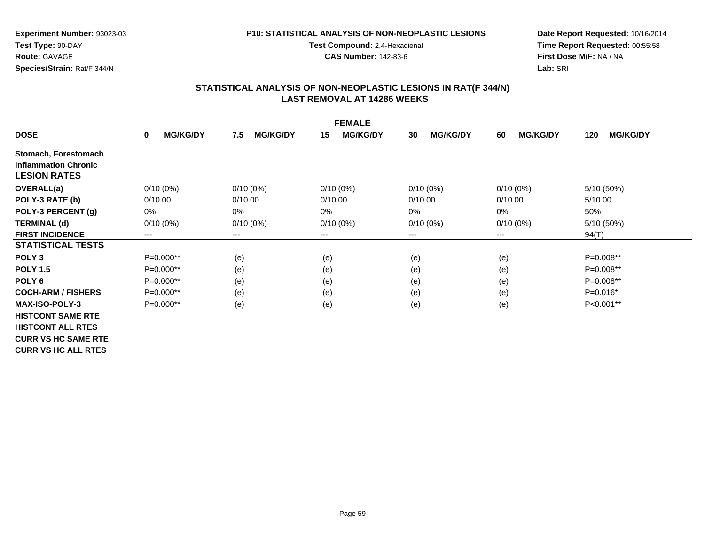#### **P10: STATISTICAL ANALYSIS OF NON-NEOPLASTIC LESIONS**

**Test Compound:** 2,4-Hexadienal

**CAS Number:** 142-83-6

**Date Report Requested:** 10/16/2014**Time Report Requested:** 00:55:58**First Dose M/F:** NA / NA**Lab:** SRI

|                             | <b>FEMALE</b>                  |                        |                       |                       |                       |                        |  |  |
|-----------------------------|--------------------------------|------------------------|-----------------------|-----------------------|-----------------------|------------------------|--|--|
| <b>DOSE</b>                 | <b>MG/KG/DY</b><br>$\mathbf 0$ | <b>MG/KG/DY</b><br>7.5 | 15<br><b>MG/KG/DY</b> | <b>MG/KG/DY</b><br>30 | <b>MG/KG/DY</b><br>60 | <b>MG/KG/DY</b><br>120 |  |  |
| Stomach, Forestomach        |                                |                        |                       |                       |                       |                        |  |  |
| <b>Inflammation Chronic</b> |                                |                        |                       |                       |                       |                        |  |  |
| <b>LESION RATES</b>         |                                |                        |                       |                       |                       |                        |  |  |
| <b>OVERALL(a)</b>           | $0/10(0\%)$                    | $0/10(0\%)$            | $0/10(0\%)$           | $0/10(0\%)$           | $0/10(0\%)$           | 5/10 (50%)             |  |  |
| POLY-3 RATE (b)             | 0/10.00                        | 0/10.00                | 0/10.00               | 0/10.00               | 0/10.00               | 5/10.00                |  |  |
| POLY-3 PERCENT (g)          | $0\%$                          | $0\%$                  | 0%                    | 0%                    | 0%                    | 50%                    |  |  |
| <b>TERMINAL (d)</b>         | $0/10(0\%)$                    | $0/10(0\%)$            | $0/10(0\%)$           | $0/10(0\%)$           | $0/10(0\%)$           | 5/10 (50%)             |  |  |
| <b>FIRST INCIDENCE</b>      | ---                            | ---                    | $--$                  | ---                   | $--$                  | 94(T)                  |  |  |
| <b>STATISTICAL TESTS</b>    |                                |                        |                       |                       |                       |                        |  |  |
| POLY <sub>3</sub>           | $P=0.000**$                    | (e)                    | (e)                   | (e)                   | (e)                   | $P=0.008**$            |  |  |
| <b>POLY 1.5</b>             | $P=0.000**$                    | (e)                    | (e)                   | (e)                   | (e)                   | $P=0.008**$            |  |  |
| POLY <sub>6</sub>           | $P=0.000**$                    | (e)                    | (e)                   | (e)                   | (e)                   | P=0.008**              |  |  |
| <b>COCH-ARM / FISHERS</b>   | $P=0.000**$                    | (e)                    | (e)                   | (e)                   | (e)                   | $P=0.016*$             |  |  |
| <b>MAX-ISO-POLY-3</b>       | $P=0.000**$                    | (e)                    | (e)                   | (e)                   | (e)                   | P<0.001**              |  |  |
| <b>HISTCONT SAME RTE</b>    |                                |                        |                       |                       |                       |                        |  |  |
| <b>HISTCONT ALL RTES</b>    |                                |                        |                       |                       |                       |                        |  |  |
| <b>CURR VS HC SAME RTE</b>  |                                |                        |                       |                       |                       |                        |  |  |
| <b>CURR VS HC ALL RTES</b>  |                                |                        |                       |                       |                       |                        |  |  |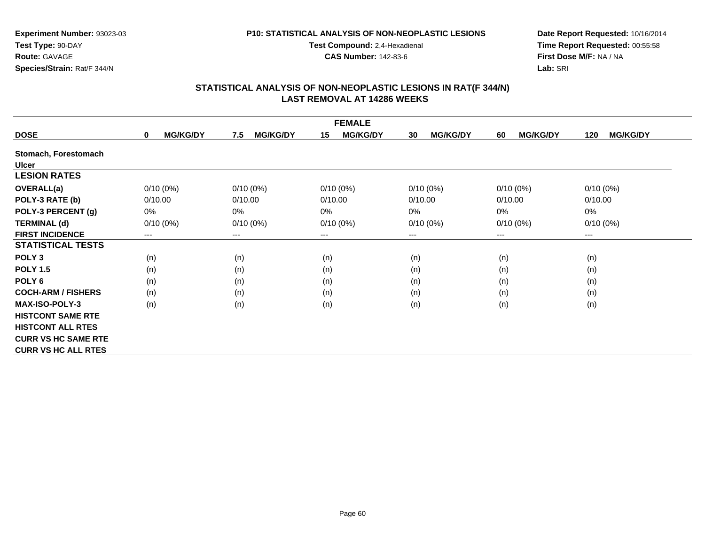### **P10: STATISTICAL ANALYSIS OF NON-NEOPLASTIC LESIONS**

**Test Compound:** 2,4-Hexadienal

**CAS Number:** 142-83-6

**Date Report Requested:** 10/16/2014**Time Report Requested:** 00:55:58**First Dose M/F:** NA / NA**Lab:** SRI

|                            |                                |                        | <b>FEMALE</b>         |                       |                       |                        |
|----------------------------|--------------------------------|------------------------|-----------------------|-----------------------|-----------------------|------------------------|
| <b>DOSE</b>                | <b>MG/KG/DY</b><br>$\mathbf 0$ | <b>MG/KG/DY</b><br>7.5 | <b>MG/KG/DY</b><br>15 | <b>MG/KG/DY</b><br>30 | <b>MG/KG/DY</b><br>60 | <b>MG/KG/DY</b><br>120 |
| Stomach, Forestomach       |                                |                        |                       |                       |                       |                        |
| <b>Ulcer</b>               |                                |                        |                       |                       |                       |                        |
| <b>LESION RATES</b>        |                                |                        |                       |                       |                       |                        |
| <b>OVERALL(a)</b>          | $0/10(0\%)$                    | $0/10(0\%)$            | $0/10(0\%)$           | $0/10(0\%)$           | $0/10(0\%)$           | $0/10(0\%)$            |
| POLY-3 RATE (b)            | 0/10.00                        | 0/10.00                | 0/10.00               | 0/10.00               | 0/10.00               | 0/10.00                |
| POLY-3 PERCENT (g)         | $0\%$                          | 0%                     | 0%                    | $0\%$                 | 0%                    | $0\%$                  |
| <b>TERMINAL (d)</b>        | $0/10(0\%)$                    | $0/10(0\%)$            | $0/10(0\%)$           | $0/10(0\%)$           | $0/10(0\%)$           | $0/10(0\%)$            |
| <b>FIRST INCIDENCE</b>     | ---                            | ---                    | $--$                  | $---$                 | ---                   | $--$                   |
| <b>STATISTICAL TESTS</b>   |                                |                        |                       |                       |                       |                        |
| POLY <sub>3</sub>          | (n)                            | (n)                    | (n)                   | (n)                   | (n)                   | (n)                    |
| <b>POLY 1.5</b>            | (n)                            | (n)                    | (n)                   | (n)                   | (n)                   | (n)                    |
| POLY 6                     | (n)                            | (n)                    | (n)                   | (n)                   | (n)                   | (n)                    |
| <b>COCH-ARM / FISHERS</b>  | (n)                            | (n)                    | (n)                   | (n)                   | (n)                   | (n)                    |
| <b>MAX-ISO-POLY-3</b>      | (n)                            | (n)                    | (n)                   | (n)                   | (n)                   | (n)                    |
| <b>HISTCONT SAME RTE</b>   |                                |                        |                       |                       |                       |                        |
| <b>HISTCONT ALL RTES</b>   |                                |                        |                       |                       |                       |                        |
| <b>CURR VS HC SAME RTE</b> |                                |                        |                       |                       |                       |                        |
| <b>CURR VS HC ALL RTES</b> |                                |                        |                       |                       |                       |                        |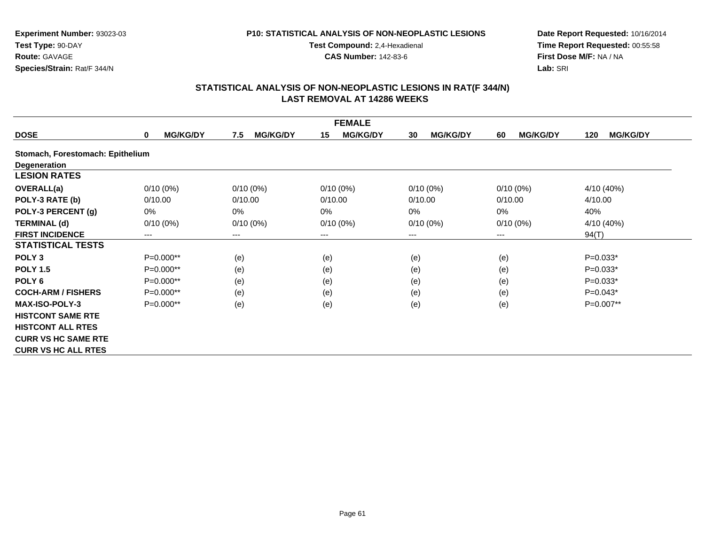#### **P10: STATISTICAL ANALYSIS OF NON-NEOPLASTIC LESIONS**

**Test Compound:** 2,4-Hexadienal

**CAS Number:** 142-83-6

**Date Report Requested:** 10/16/2014**Time Report Requested:** 00:55:58**First Dose M/F:** NA / NA**Lab:** SRI

|                                  |                                |                        | <b>FEMALE</b>         |                       |                       |                        |
|----------------------------------|--------------------------------|------------------------|-----------------------|-----------------------|-----------------------|------------------------|
| <b>DOSE</b>                      | <b>MG/KG/DY</b><br>$\mathbf 0$ | <b>MG/KG/DY</b><br>7.5 | <b>MG/KG/DY</b><br>15 | <b>MG/KG/DY</b><br>30 | <b>MG/KG/DY</b><br>60 | <b>MG/KG/DY</b><br>120 |
| Stomach, Forestomach: Epithelium |                                |                        |                       |                       |                       |                        |
| Degeneration                     |                                |                        |                       |                       |                       |                        |
| <b>LESION RATES</b>              |                                |                        |                       |                       |                       |                        |
| <b>OVERALL(a)</b>                | $0/10(0\%)$                    | $0/10(0\%)$            | $0/10(0\%)$           | $0/10(0\%)$           | $0/10(0\%)$           | 4/10 (40%)             |
| POLY-3 RATE (b)                  | 0/10.00                        | 0/10.00                | 0/10.00               | 0/10.00               | 0/10.00               | 4/10.00                |
| POLY-3 PERCENT (g)               | $0\%$                          | $0\%$                  | 0%                    | 0%                    | 0%                    | 40%                    |
| <b>TERMINAL (d)</b>              | $0/10(0\%)$                    | $0/10(0\%)$            | $0/10(0\%)$           | $0/10(0\%)$           | $0/10(0\%)$           | 4/10 (40%)             |
| <b>FIRST INCIDENCE</b>           | ---                            | ---                    | $---$                 | ---                   | $--$                  | 94(T)                  |
| <b>STATISTICAL TESTS</b>         |                                |                        |                       |                       |                       |                        |
| POLY <sub>3</sub>                | $P=0.000**$                    | (e)                    | (e)                   | (e)                   | (e)                   | $P=0.033*$             |
| <b>POLY 1.5</b>                  | P=0.000**                      | (e)                    | (e)                   | (e)                   | (e)                   | $P=0.033*$             |
| POLY <sub>6</sub>                | $P=0.000**$                    | (e)                    | (e)                   | (e)                   | (e)                   | $P=0.033*$             |
| <b>COCH-ARM / FISHERS</b>        | $P=0.000**$                    | (e)                    | (e)                   | (e)                   | (e)                   | $P=0.043*$             |
| <b>MAX-ISO-POLY-3</b>            | $P=0.000**$                    | (e)                    | (e)                   | (e)                   | (e)                   | P=0.007**              |
| <b>HISTCONT SAME RTE</b>         |                                |                        |                       |                       |                       |                        |
| <b>HISTCONT ALL RTES</b>         |                                |                        |                       |                       |                       |                        |
| <b>CURR VS HC SAME RTE</b>       |                                |                        |                       |                       |                       |                        |
| <b>CURR VS HC ALL RTES</b>       |                                |                        |                       |                       |                       |                        |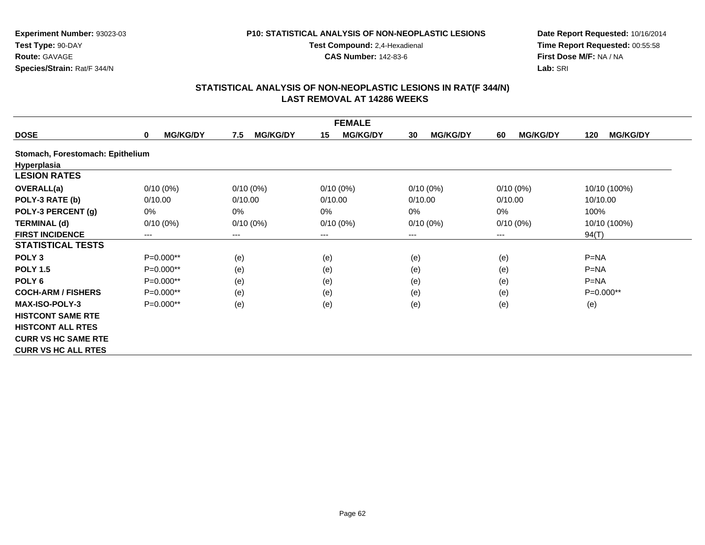#### **P10: STATISTICAL ANALYSIS OF NON-NEOPLASTIC LESIONS**

**Test Compound:** 2,4-Hexadienal

**CAS Number:** 142-83-6

**Date Report Requested:** 10/16/2014**Time Report Requested:** 00:55:58**First Dose M/F:** NA / NA**Lab:** SRI

|                                  |                                 |                        | <b>FEMALE</b>         |                       |                       |                        |
|----------------------------------|---------------------------------|------------------------|-----------------------|-----------------------|-----------------------|------------------------|
| <b>DOSE</b>                      | <b>MG/KG/DY</b><br>$\mathbf{0}$ | <b>MG/KG/DY</b><br>7.5 | 15<br><b>MG/KG/DY</b> | <b>MG/KG/DY</b><br>30 | <b>MG/KG/DY</b><br>60 | <b>MG/KG/DY</b><br>120 |
| Stomach, Forestomach: Epithelium |                                 |                        |                       |                       |                       |                        |
| <b>Hyperplasia</b>               |                                 |                        |                       |                       |                       |                        |
| <b>LESION RATES</b>              |                                 |                        |                       |                       |                       |                        |
| <b>OVERALL(a)</b>                | $0/10(0\%)$                     | $0/10(0\%)$            | $0/10(0\%)$           | $0/10(0\%)$           | $0/10(0\%)$           | 10/10 (100%)           |
| POLY-3 RATE (b)                  | 0/10.00                         | 0/10.00                | 0/10.00               | 0/10.00               | 0/10.00               | 10/10.00               |
| POLY-3 PERCENT (g)               | 0%                              | $0\%$                  | 0%                    | 0%                    | 0%                    | 100%                   |
| <b>TERMINAL (d)</b>              | $0/10(0\%)$                     | $0/10(0\%)$            | $0/10(0\%)$           | $0/10(0\%)$           | $0/10(0\%)$           | 10/10 (100%)           |
| <b>FIRST INCIDENCE</b>           | ---                             | ---                    | ---                   | ---                   | $---$                 | 94(T)                  |
| <b>STATISTICAL TESTS</b>         |                                 |                        |                       |                       |                       |                        |
| POLY <sub>3</sub>                | $P=0.000**$                     | (e)                    | (e)                   | (e)                   | (e)                   | $P=NA$                 |
| <b>POLY 1.5</b>                  | $P=0.000**$                     | (e)                    | (e)                   | (e)                   | (e)                   | $P=NA$                 |
| POLY <sub>6</sub>                | $P=0.000**$                     | (e)                    | (e)                   | (e)                   | (e)                   | $P=NA$                 |
| <b>COCH-ARM / FISHERS</b>        | $P=0.000**$                     | (e)                    | (e)                   | (e)                   | (e)                   | $P=0.000**$            |
| <b>MAX-ISO-POLY-3</b>            | $P=0.000**$                     | (e)                    | (e)                   | (e)                   | (e)                   | (e)                    |
| <b>HISTCONT SAME RTE</b>         |                                 |                        |                       |                       |                       |                        |
| <b>HISTCONT ALL RTES</b>         |                                 |                        |                       |                       |                       |                        |
| <b>CURR VS HC SAME RTE</b>       |                                 |                        |                       |                       |                       |                        |
| <b>CURR VS HC ALL RTES</b>       |                                 |                        |                       |                       |                       |                        |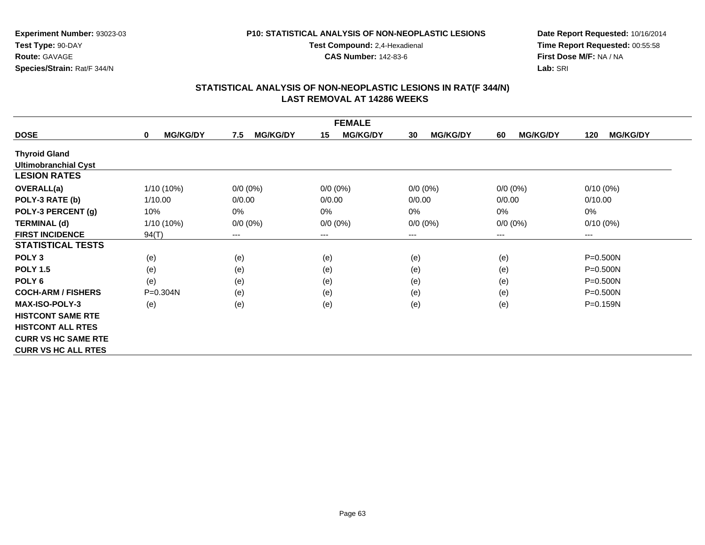### **P10: STATISTICAL ANALYSIS OF NON-NEOPLASTIC LESIONS**

**Test Compound:** 2,4-Hexadienal

**CAS Number:** 142-83-6

**Date Report Requested:** 10/16/2014**Time Report Requested:** 00:55:58**First Dose M/F:** NA / NA**Lab:** SRI

|                             |                                |                        | <b>FEMALE</b>         |                       |                       |                        |
|-----------------------------|--------------------------------|------------------------|-----------------------|-----------------------|-----------------------|------------------------|
| <b>DOSE</b>                 | <b>MG/KG/DY</b><br>$\mathbf 0$ | <b>MG/KG/DY</b><br>7.5 | 15<br><b>MG/KG/DY</b> | <b>MG/KG/DY</b><br>30 | <b>MG/KG/DY</b><br>60 | <b>MG/KG/DY</b><br>120 |
| <b>Thyroid Gland</b>        |                                |                        |                       |                       |                       |                        |
| <b>Ultimobranchial Cyst</b> |                                |                        |                       |                       |                       |                        |
| <b>LESION RATES</b>         |                                |                        |                       |                       |                       |                        |
| <b>OVERALL(a)</b>           | 1/10 (10%)                     | $0/0 (0\%)$            | $0/0 (0\%)$           | $0/0 (0\%)$           | $0/0 (0\%)$           | $0/10(0\%)$            |
| POLY-3 RATE (b)             | 1/10.00                        | 0/0.00                 | 0/0.00                | 0/0.00                | 0/0.00                | 0/10.00                |
| POLY-3 PERCENT (g)          | 10%                            | $0\%$                  | 0%                    | 0%                    | 0%                    | 0%                     |
| <b>TERMINAL (d)</b>         | $1/10(10\%)$                   | $0/0 (0\%)$            | $0/0 (0\%)$           | $0/0 (0\%)$           | $0/0 (0\%)$           | $0/10(0\%)$            |
| <b>FIRST INCIDENCE</b>      | 94(T)                          | ---                    | ---                   | ---                   | $---$                 | ---                    |
| <b>STATISTICAL TESTS</b>    |                                |                        |                       |                       |                       |                        |
| POLY <sub>3</sub>           | (e)                            | (e)                    | (e)                   | (e)                   | (e)                   | $P = 0.500N$           |
| <b>POLY 1.5</b>             | (e)                            | (e)                    | (e)                   | (e)                   | (e)                   | $P = 0.500N$           |
| POLY <sub>6</sub>           | (e)                            | (e)                    | (e)                   | (e)                   | (e)                   | $P = 0.500N$           |
| <b>COCH-ARM / FISHERS</b>   | P=0.304N                       | (e)                    | (e)                   | (e)                   | (e)                   | $P = 0.500N$           |
| <b>MAX-ISO-POLY-3</b>       | (e)                            | (e)                    | (e)                   | (e)                   | (e)                   | P=0.159N               |
| <b>HISTCONT SAME RTE</b>    |                                |                        |                       |                       |                       |                        |
| <b>HISTCONT ALL RTES</b>    |                                |                        |                       |                       |                       |                        |
| <b>CURR VS HC SAME RTE</b>  |                                |                        |                       |                       |                       |                        |
| <b>CURR VS HC ALL RTES</b>  |                                |                        |                       |                       |                       |                        |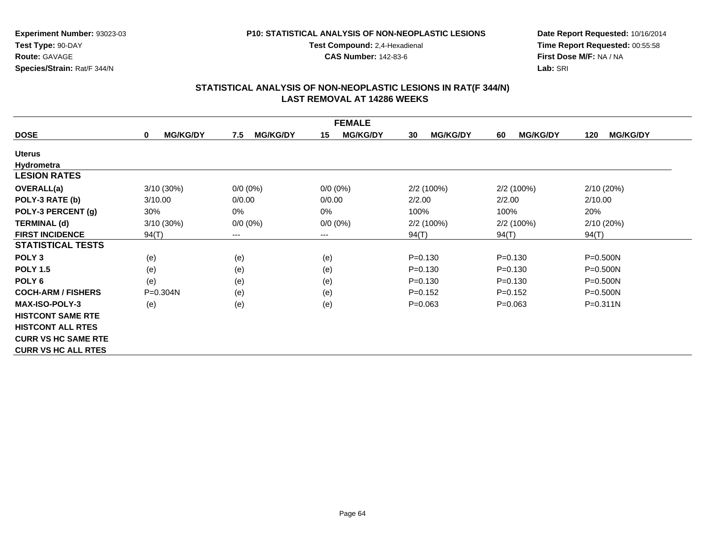### **P10: STATISTICAL ANALYSIS OF NON-NEOPLASTIC LESIONS**

**Test Compound:** 2,4-Hexadienal

**CAS Number:** 142-83-6

**Date Report Requested:** 10/16/2014**Time Report Requested:** 00:55:58**First Dose M/F:** NA / NA**Lab:** SRI

|                            |                      |                        | <b>FEMALE</b>         |                       |                       |                        |
|----------------------------|----------------------|------------------------|-----------------------|-----------------------|-----------------------|------------------------|
| <b>DOSE</b>                | <b>MG/KG/DY</b><br>0 | <b>MG/KG/DY</b><br>7.5 | <b>MG/KG/DY</b><br>15 | <b>MG/KG/DY</b><br>30 | <b>MG/KG/DY</b><br>60 | <b>MG/KG/DY</b><br>120 |
| <b>Uterus</b>              |                      |                        |                       |                       |                       |                        |
| Hydrometra                 |                      |                        |                       |                       |                       |                        |
| <b>LESION RATES</b>        |                      |                        |                       |                       |                       |                        |
| <b>OVERALL(a)</b>          | 3/10 (30%)           | $0/0 (0\%)$            | $0/0 (0\%)$           | 2/2 (100%)            | 2/2(100%)             | 2/10 (20%)             |
| POLY-3 RATE (b)            | 3/10.00              | 0/0.00                 | 0/0.00                | 2/2.00                | 2/2.00                | 2/10.00                |
| POLY-3 PERCENT (g)         | 30%                  | 0%                     | 0%                    | 100%                  | 100%                  | 20%                    |
| <b>TERMINAL (d)</b>        | 3/10 (30%)           | $0/0 (0\%)$            | $0/0 (0\%)$           | 2/2 (100%)            | 2/2(100%)             | 2/10 (20%)             |
| <b>FIRST INCIDENCE</b>     | 94(T)                | ---                    | ---                   | 94(T)                 | 94(T)                 | 94(T)                  |
| <b>STATISTICAL TESTS</b>   |                      |                        |                       |                       |                       |                        |
| POLY <sub>3</sub>          | (e)                  | (e)                    | (e)                   | $P = 0.130$           | $P = 0.130$           | P=0.500N               |
| <b>POLY 1.5</b>            | (e)                  | (e)                    | (e)                   | $P = 0.130$           | $P = 0.130$           | $P = 0.500N$           |
| POLY <sub>6</sub>          | (e)                  | (e)                    | (e)                   | $P = 0.130$           | $P = 0.130$           | $P = 0.500N$           |
| <b>COCH-ARM / FISHERS</b>  | P=0.304N             | (e)                    | (e)                   | $P=0.152$             | $P=0.152$             | $P = 0.500N$           |
| <b>MAX-ISO-POLY-3</b>      | (e)                  | (e)                    | (e)                   | $P = 0.063$           | $P = 0.063$           | $P = 0.311N$           |
| <b>HISTCONT SAME RTE</b>   |                      |                        |                       |                       |                       |                        |
| <b>HISTCONT ALL RTES</b>   |                      |                        |                       |                       |                       |                        |
| <b>CURR VS HC SAME RTE</b> |                      |                        |                       |                       |                       |                        |
| <b>CURR VS HC ALL RTES</b> |                      |                        |                       |                       |                       |                        |